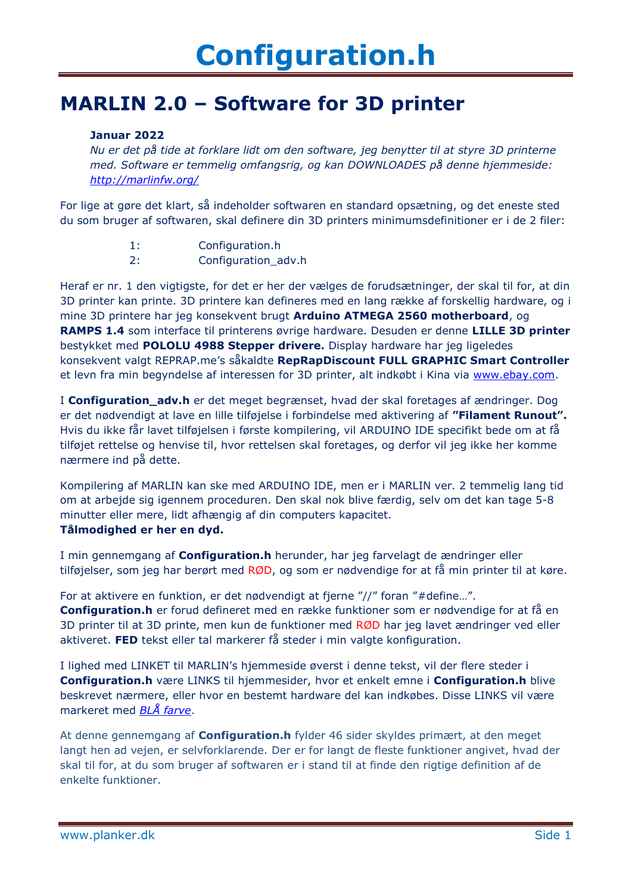#### **MARLIN 2.0 – Software for 3D printer**

#### **Januar 2022**

*Nu er det på tide at forklare lidt om den software, jeg benytter til at styre 3D printerne med. Software er temmelig omfangsrig, og kan DOWNLOADES på denne hjemmeside: <http://marlinfw.org/>*

For lige at gøre det klart, så indeholder softwaren en standard opsætning, og det eneste sted du som bruger af softwaren, skal definere din 3D printers minimumsdefinitioner er i de 2 filer:

- 1: Configuration.h
- 2: Configuration\_adv.h

Heraf er nr. 1 den vigtigste, for det er her der vælges de forudsætninger, der skal til for, at din 3D printer kan printe. 3D printere kan defineres med en lang række af forskellig hardware, og i mine 3D printere har jeg konsekvent brugt **Arduino ATMEGA 2560 motherboard**, og **RAMPS 1.4** som interface til printerens øvrige hardware. Desuden er denne **LILLE 3D printer** bestykket med **POLOLU 4988 Stepper drivere.** Display hardware har jeg ligeledes konsekvent valgt REPRAP.me's såkaldte **RepRapDiscount FULL GRAPHIC Smart Controller** et levn fra min begyndelse af interessen for 3D printer, alt indkøbt i Kina via [www.ebay.com.](http://www.ebay.com/)

I **Configuration\_adv.h** er det meget begrænset, hvad der skal foretages af ændringer. Dog er det nødvendigt at lave en lille tilføjelse i forbindelse med aktivering af **"Filament Runout".** Hvis du ikke får lavet tilføjelsen i første kompilering, vil ARDUINO IDE specifikt bede om at få tilføjet rettelse og henvise til, hvor rettelsen skal foretages, og derfor vil jeg ikke her komme nærmere ind på dette.

Kompilering af MARLIN kan ske med ARDUINO IDE, men er i MARLIN ver. 2 temmelig lang tid om at arbejde sig igennem proceduren. Den skal nok blive færdig, selv om det kan tage 5-8 minutter eller mere, lidt afhængig af din computers kapacitet. **Tålmodighed er her en dyd.**

I min gennemgang af **Configuration.h** herunder, har jeg farvelagt de ændringer eller tilføjelser, som jeg har berørt med RØD, og som er nødvendige for at få min printer til at køre.

For at aktivere en funktion, er det nødvendigt at fjerne "//" foran "#define…".

**Configuration.h** er forud defineret med en række funktioner som er nødvendige for at få en 3D printer til at 3D printe, men kun de funktioner med RØD har jeg lavet ændringer ved eller aktiveret. **FED** tekst eller tal markerer få steder i min valgte konfiguration.

I lighed med LINKET til MARLIN's hjemmeside øverst i denne tekst, vil der flere steder i **Configuration.h** være LINKS til hjemmesider, hvor et enkelt emne i **Configuration.h** blive beskrevet nærmere, eller hvor en bestemt hardware del kan indkøbes. Disse LINKS vil være markeret med *BLÅ farve*.

At denne gennemgang af **Configuration.h** fylder 46 sider skyldes primært, at den meget langt hen ad vejen, er selvforklarende. Der er for langt de fleste funktioner angivet, hvad der skal til for, at du som bruger af softwaren er i stand til at finde den rigtige definition af de enkelte funktioner.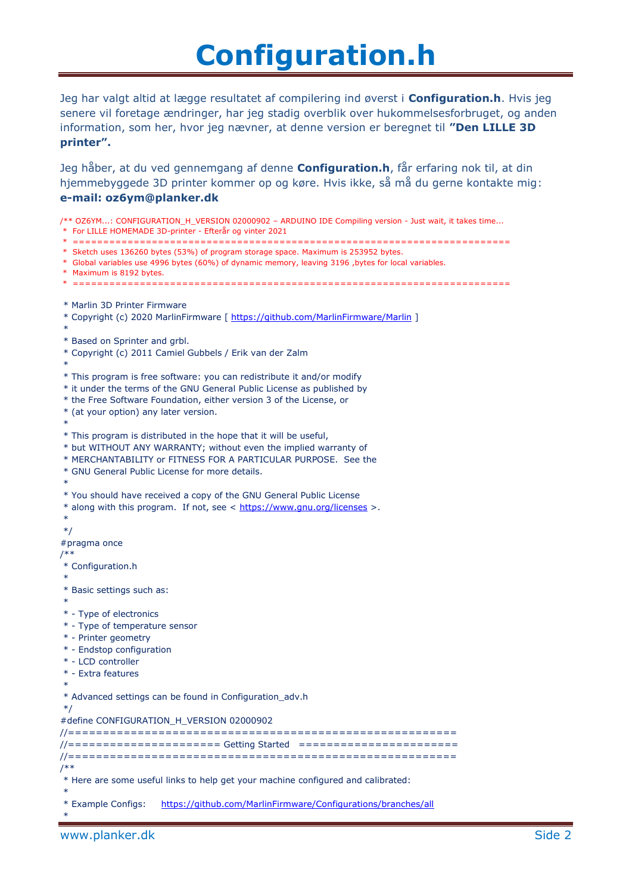Jeg har valgt altid at lægge resultatet af compilering ind øverst i **Configuration.h**. Hvis jeg senere vil foretage ændringer, har jeg stadig overblik over hukommelsesforbruget, og anden information, som her, hvor jeg nævner, at denne version er beregnet til **"Den LILLE 3D printer".**

Jeg håber, at du ved gennemgang af denne **Configuration.h**, får erfaring nok til, at din hjemmebyggede 3D printer kommer op og køre. Hvis ikke, så må du gerne kontakte mig: **e-mail: oz6ym@planker.dk**

/\*\* OZ6YM...: CONFIGURATION\_H\_VERSION 02000902 – ARDUINO IDE Compiling version - Just wait, it takes time... \* For LILLE HOMEMADE 3D-printer - Efterår og vinter 2021 \* ======================================================================== \* Sketch uses 136260 bytes (53%) of program storage space. Maximum is 253952 bytes. \* Global variables use 4996 bytes (60%) of dynamic memory, leaving 3196 ,bytes for local variables. \* Maximum is 8192 bytes. \* ======================================================================== \* Marlin 3D Printer Firmware \* Copyright (c) 2020 MarlinFirmware [ <https://github.com/MarlinFirmware/Marlin> ] \* \* Based on Sprinter and grbl. \* Copyright (c) 2011 Camiel Gubbels / Erik van der Zalm \* \* This program is free software: you can redistribute it and/or modify \* it under the terms of the GNU General Public License as published by \* the Free Software Foundation, either version 3 of the License, or \* (at your option) any later version. \* \* This program is distributed in the hope that it will be useful, \* but WITHOUT ANY WARRANTY; without even the implied warranty of \* MERCHANTABILITY or FITNESS FOR A PARTICULAR PURPOSE. See the \* GNU General Public License for more details. \* \* You should have received a copy of the GNU General Public License \* along with this program. If not, see < <https://www.gnu.org/licenses> >. \* \*/ #pragma once /\*\* \* Configuration.h \* \* Basic settings such as: \* \* - Type of electronics \* - Type of temperature sensor \* - Printer geometry \* - Endstop configuration \* - LCD controller \* - Extra features \* \* Advanced settings can be found in Configuration\_adv.h \*/ #define CONFIGURATION\_H\_VERSION 02000902 //======================================================== //====================== Getting Started ======================= //======================================================== /\*\* \* Here are some useful links to help get your machine configured and calibrated: \* \* Example Configs: <https://github.com/MarlinFirmware/Configurations/branches/all> \*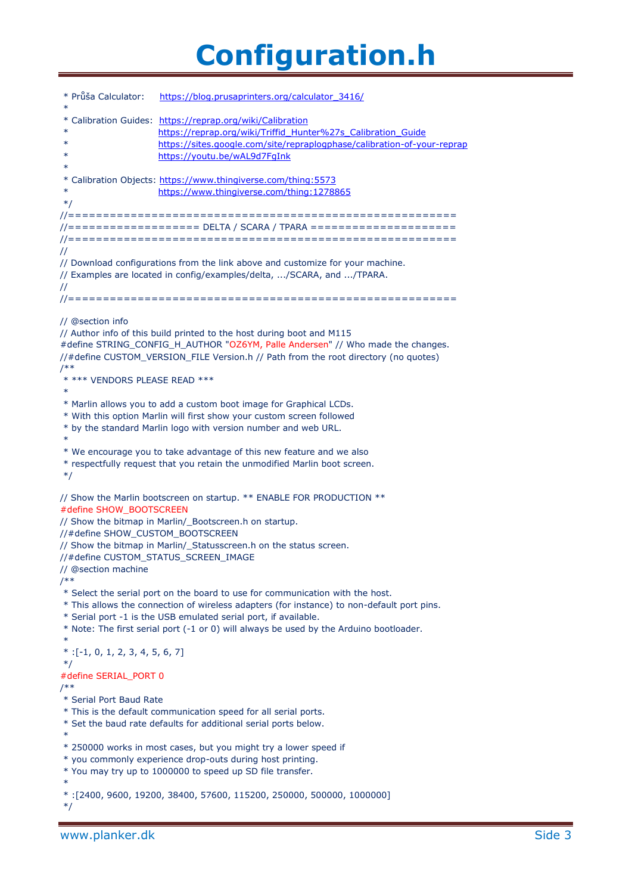| * Průša Calculator:<br>$\ast$                                                                 | https://blog.prusaprinters.org/calculator 3416/                                                                                                                                                                                                                                                                                          |
|-----------------------------------------------------------------------------------------------|------------------------------------------------------------------------------------------------------------------------------------------------------------------------------------------------------------------------------------------------------------------------------------------------------------------------------------------|
| $\ast$<br>$\ast$<br>$\ast$<br>$\ast$                                                          | * Calibration Guides: https://reprap.org/wiki/Calibration<br>https://reprap.org/wiki/Triffid Hunter%27s Calibration Guide<br>https://sites.google.com/site/repraplogphase/calibration-of-your-reprap<br>https://youtu.be/wAL9d7FgInk                                                                                                     |
| $\ast$<br>$*$ /                                                                               | * Calibration Objects: https://www.thingiverse.com/thing:5573<br>https://www.thingiverse.com/thing:1278865                                                                                                                                                                                                                               |
| $\prime\prime$<br>$\prime\prime$                                                              | //=================== DELTA / SCARA / TPARA ======================<br>// Download configurations from the link above and customize for your machine.<br>// Examples are located in config/examples/delta, /SCARA, and /TPARA.                                                                                                            |
| // @section info<br>$/**$<br>* *** VENDORS PLEASE READ ***<br>$\ast$                          | // Author info of this build printed to the host during boot and M115<br>#define STRING_CONFIG_H_AUTHOR "OZ6YM, Palle Andersen" // Who made the changes.<br>//#define CUSTOM_VERSION_FILE Version.h // Path from the root directory (no quotes)<br>* Marlin allows you to add a custom boot image for Graphical LCDs.                    |
| $*$                                                                                           | * With this option Marlin will first show your custom screen followed<br>* by the standard Marlin logo with version number and web URL.<br>* We encourage you to take advantage of this new feature and we also<br>* respectfully request that you retain the unmodified Marlin boot screen.                                             |
| #define SHOW BOOTSCREEN<br>//#define SHOW_CUSTOM_BOOTSCREEN<br>// @section machine<br>$^{**}$ | // Show the Marlin bootscreen on startup. ** ENABLE FOR PRODUCTION **<br>// Show the bitmap in Marlin/_Bootscreen.h on startup.<br>// Show the bitmap in Marlin/_Statusscreen.h on the status screen.<br>//#define CUSTOM_STATUS_SCREEN_IMAGE                                                                                            |
| $\ast$<br>$*$ : [-1, 0, 1, 2, 3, 4, 5, 6, 7]                                                  | * Select the serial port on the board to use for communication with the host.<br>* This allows the connection of wireless adapters (for instance) to non-default port pins.<br>* Serial port -1 is the USB emulated serial port, if available.<br>* Note: The first serial port (-1 or 0) will always be used by the Arduino bootloader. |
| $*$ /<br>#define SERIAL PORT 0                                                                |                                                                                                                                                                                                                                                                                                                                          |
| /**<br>* Serial Port Baud Rate<br>$\ast$                                                      | * This is the default communication speed for all serial ports.<br>* Set the baud rate defaults for additional serial ports below.                                                                                                                                                                                                       |
| $\ast$                                                                                        | * 250000 works in most cases, but you might try a lower speed if<br>* you commonly experience drop-outs during host printing.<br>* You may try up to 1000000 to speed up SD file transfer.                                                                                                                                               |
| $*$ /                                                                                         | *: [2400, 9600, 19200, 38400, 57600, 115200, 250000, 500000, 1000000]                                                                                                                                                                                                                                                                    |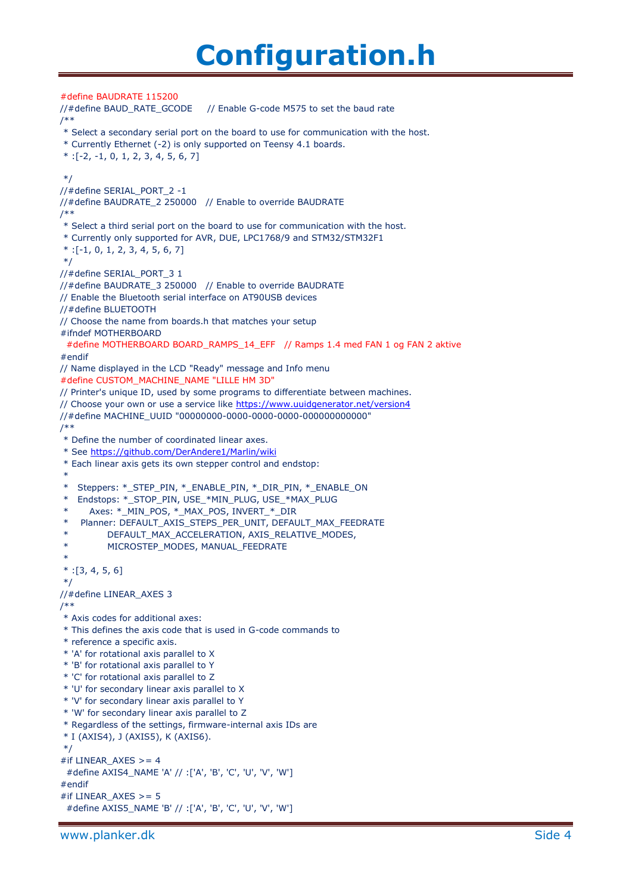#define BAUDRATE 115200 //#define BAUD\_RATE\_GCODE // Enable G-code M575 to set the baud rate /\*\* \* Select a secondary serial port on the board to use for communication with the host. \* Currently Ethernet (-2) is only supported on Teensy 4.1 boards.  $*$  :[-2, -1, 0, 1, 2, 3, 4, 5, 6, 7] \*/ //#define SERIAL\_PORT\_2 -1 //#define BAUDRATE\_2 250000 // Enable to override BAUDRATE /\*\* \* Select a third serial port on the board to use for communication with the host. \* Currently only supported for AVR, DUE, LPC1768/9 and STM32/STM32F1  $*$ :[-1, 0, 1, 2, 3, 4, 5, 6, 7] \*/ //#define SERIAL\_PORT\_3 1 //#define BAUDRATE\_3 250000 // Enable to override BAUDRATE // Enable the Bluetooth serial interface on AT90USB devices //#define BLUETOOTH // Choose the name from boards.h that matches your setup #ifndef MOTHERBOARD #define MOTHERBOARD BOARD\_RAMPS\_14\_EFF // Ramps 1.4 med FAN 1 og FAN 2 aktive #endif // Name displayed in the LCD "Ready" message and Info menu #define CUSTOM\_MACHINE\_NAME "LILLE HM 3D" // Printer's unique ID, used by some programs to differentiate between machines. // Choose your own or use a service like<https://www.uuidgenerator.net/version4> //#define MACHINE\_UUID "00000000-0000-0000-0000-000000000000" /\*\* \* Define the number of coordinated linear axes. \* See<https://github.com/DerAndere1/Marlin/wiki> \* Each linear axis gets its own stepper control and endstop: \* \* Steppers: \*\_STEP\_PIN, \*\_ENABLE\_PIN, \*\_DIR\_PIN, \*\_ENABLE\_ON \* Endstops: \*\_STOP\_PIN, USE\_\*MIN\_PLUG, USE\_\*MAX\_PLUG Axes: \*\_MIN\_POS, \*\_MAX\_POS, INVERT\_\*\_DIR Planner: DEFAULT\_AXIS\_STEPS\_PER\_UNIT, DEFAULT\_MAX\_FEEDRATE DEFAULT\_MAX\_ACCELERATION, AXIS\_RELATIVE\_MODES, MICROSTEP\_MODES, MANUAL\_FEEDRATE \*  $*:[3, 4, 5, 6]$ \*/ //#define LINEAR\_AXES 3 /\*\* \* Axis codes for additional axes: \* This defines the axis code that is used in G-code commands to \* reference a specific axis. \* 'A' for rotational axis parallel to X \* 'B' for rotational axis parallel to Y \* 'C' for rotational axis parallel to Z \* 'U' for secondary linear axis parallel to X \* 'V' for secondary linear axis parallel to Y \* 'W' for secondary linear axis parallel to Z \* Regardless of the settings, firmware-internal axis IDs are \* I (AXIS4), J (AXIS5), K (AXIS6). \*/ #if LINEAR  $AXES$  >= 4 #define AXIS4\_NAME 'A' // :['A', 'B', 'C', 'U', 'V', 'W'] #endif #if LINEAR  $AXES$  >= 5 #define AXIS5\_NAME 'B' // :['A', 'B', 'C', 'U', 'V', 'W']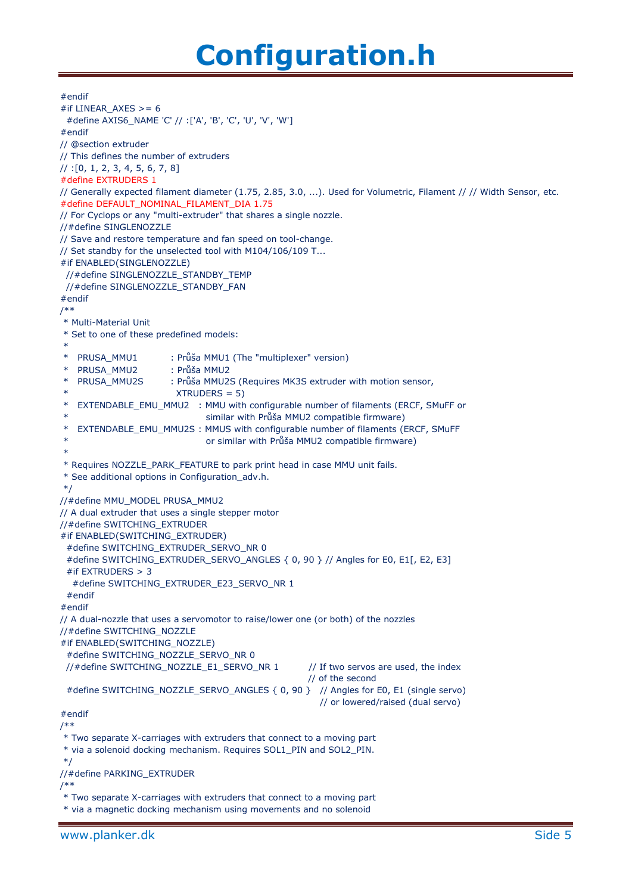#endif #if LINEAR\_AXES >= 6 #define AXIS6\_NAME 'C' // :['A', 'B', 'C', 'U', 'V', 'W'] #endif // @section extruder // This defines the number of extruders // :[0, 1, 2, 3, 4, 5, 6, 7, 8] #define EXTRUDERS 1 // Generally expected filament diameter (1.75, 2.85, 3.0, ...). Used for Volumetric, Filament // // Width Sensor, etc. #define DEFAULT\_NOMINAL\_FILAMENT\_DIA 1.75 // For Cyclops or any "multi-extruder" that shares a single nozzle. //#define SINGLENOZZLE // Save and restore temperature and fan speed on tool-change. // Set standby for the unselected tool with M104/106/109 T... #if ENABLED(SINGLENOZZLE) //#define SINGLENOZZLE\_STANDBY\_TEMP //#define SINGLENOZZLE\_STANDBY\_FAN #endif /\*\* \* Multi-Material Unit \* Set to one of these predefined models: \* \* PRUSA\_MMU1 : Průša MMU1 (The "multiplexer" version) \* PRUSA\_MMU2 : Průša MMU2 PRUSA\_MMU2S : Průša MMU2S (Requires MK3S extruder with motion sensor,  $XTRUDERS = 5$ EXTENDABLE\_EMU\_MMU2 : MMU with configurable number of filaments (ERCF, SMuFF or similar with Průša MMU2 compatible firmware) \* EXTENDABLE\_EMU\_MMU2S : MMUS with configurable number of filaments (ERCF, SMuFF or similar with Průša MMU2 compatible firmware) \* \* Requires NOZZLE\_PARK\_FEATURE to park print head in case MMU unit fails. \* See additional options in Configuration\_adv.h. \*/ //#define MMU\_MODEL PRUSA\_MMU2 // A dual extruder that uses a single stepper motor //#define SWITCHING\_EXTRUDER #if ENABLED(SWITCHING\_EXTRUDER) #define SWITCHING\_EXTRUDER\_SERVO\_NR 0 #define SWITCHING\_EXTRUDER\_SERVO\_ANGLES { 0, 90 } // Angles for E0, E1[, E2, E3] #if EXTRUDERS > 3 #define SWITCHING\_EXTRUDER\_E23\_SERVO\_NR 1 #endif #endif // A dual-nozzle that uses a servomotor to raise/lower one (or both) of the nozzles //#define SWITCHING\_NOZZLE #if ENABLED(SWITCHING\_NOZZLE) #define SWITCHING\_NOZZLE\_SERVO\_NR 0 //#define SWITCHING\_NOZZLE\_E1\_SERVO\_NR 1 // If two servos are used, the index // of the second #define SWITCHING\_NOZZLE\_SERVO\_ANGLES { 0, 90 } // Angles for E0, E1 (single servo) // or lowered/raised (dual servo) #endif /\*\* \* Two separate X-carriages with extruders that connect to a moving part \* via a solenoid docking mechanism. Requires SOL1\_PIN and SOL2\_PIN. \*/ //#define PARKING\_EXTRUDER /\*\* \* Two separate X-carriages with extruders that connect to a moving part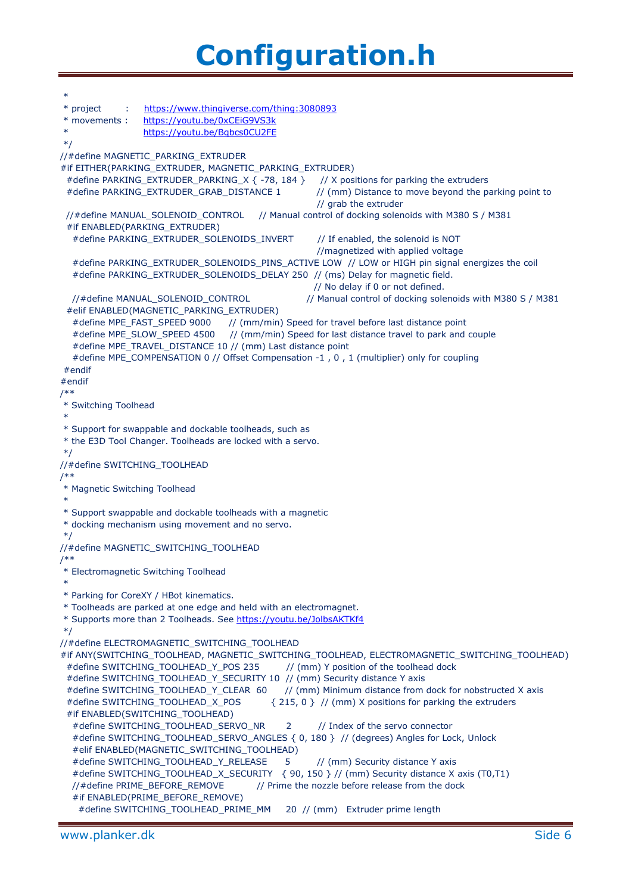\* \* project : <https://www.thingiverse.com/thing:3080893> \* movements : <https://youtu.be/0xCEiG9VS3k> <https://youtu.be/Bqbcs0CU2FE> \*/ //#define MAGNETIC\_PARKING\_EXTRUDER #if EITHER(PARKING\_EXTRUDER, MAGNETIC\_PARKING\_EXTRUDER) #define PARKING\_EXTRUDER\_PARKING\_X { -78, 184 } // X positions for parking the extruders #define PARKING\_EXTRUDER\_GRAB\_DISTANCE 1 // (mm) Distance to move beyond the parking point to // grab the extruder //#define MANUAL\_SOLENOID\_CONTROL // Manual control of docking solenoids with M380 S / M381 #if ENABLED(PARKING\_EXTRUDER) #define PARKING\_EXTRUDER\_SOLENOIDS\_INVERT // If enabled, the solenoid is NOT //magnetized with applied voltage #define PARKING\_EXTRUDER\_SOLENOIDS\_PINS\_ACTIVE LOW // LOW or HIGH pin signal energizes the coil #define PARKING\_EXTRUDER\_SOLENOIDS\_DELAY 250 // (ms) Delay for magnetic field. // No delay if 0 or not defined.<br>//#define MANUAL\_SOLENOID\_CONTROL // Manual control of docking sole // Manual control of docking solenoids with M380 S / M381 #elif ENABLED(MAGNETIC\_PARKING\_EXTRUDER) #define MPE\_FAST\_SPEED 9000 // (mm/min) Speed for travel before last distance point #define MPE\_SLOW\_SPEED 4500 // (mm/min) Speed for last distance travel to park and couple #define MPE\_TRAVEL\_DISTANCE 10 // (mm) Last distance point #define MPE\_COMPENSATION 0 // Offset Compensation -1 , 0 , 1 (multiplier) only for coupling #endif #endif /\*\* \* Switching Toolhead \* \* Support for swappable and dockable toolheads, such as \* the E3D Tool Changer. Toolheads are locked with a servo. \*/ //#define SWITCHING\_TOOLHEAD /\*\* \* Magnetic Switching Toolhead \* \* Support swappable and dockable toolheads with a magnetic \* docking mechanism using movement and no servo. \*/ //#define MAGNETIC\_SWITCHING\_TOOLHEAD /\*\* \* Electromagnetic Switching Toolhead \* \* Parking for CoreXY / HBot kinematics. \* Toolheads are parked at one edge and held with an electromagnet. \* Supports more than 2 Toolheads. See<https://youtu.be/JolbsAKTKf4> \*/ //#define ELECTROMAGNETIC\_SWITCHING\_TOOLHEAD #if ANY(SWITCHING\_TOOLHEAD, MAGNETIC\_SWITCHING\_TOOLHEAD, ELECTROMAGNETIC\_SWITCHING\_TOOLHEAD) #define SWITCHING\_TOOLHEAD\_Y\_POS 235 // (mm) Y position of the toolhead dock #define SWITCHING\_TOOLHEAD\_Y\_SECURITY 10 // (mm) Security distance Y axis #define SWITCHING\_TOOLHEAD\_Y\_CLEAR 60 // (mm) Minimum distance from dock for nobstructed X axis #define SWITCHING\_TOOLHEAD\_X\_POS  $\{215, 0\}$  // (mm) X positions for parking the extruders #if ENABLED(SWITCHING\_TOOLHEAD) #define SWITCHING\_TOOLHEAD\_SERVO\_NR 2 // Index of the servo connector #define SWITCHING\_TOOLHEAD\_SERVO\_ANGLES { 0, 180 } // (degrees) Angles for Lock, Unlock #elif ENABLED(MAGNETIC\_SWITCHING\_TOOLHEAD) #define SWITCHING\_TOOLHEAD\_Y\_RELEASE 5 // (mm) Security distance Y axis #define SWITCHING\_TOOLHEAD\_X\_SECURITY { 90, 150 } // (mm) Security distance X axis (T0,T1) //#define PRIME\_BEFORE\_REMOVE // Prime the nozzle before release from the dock #if ENABLED(PRIME\_BEFORE\_REMOVE) #define SWITCHING\_TOOLHEAD\_PRIME\_MM 20 // (mm) Extruder prime length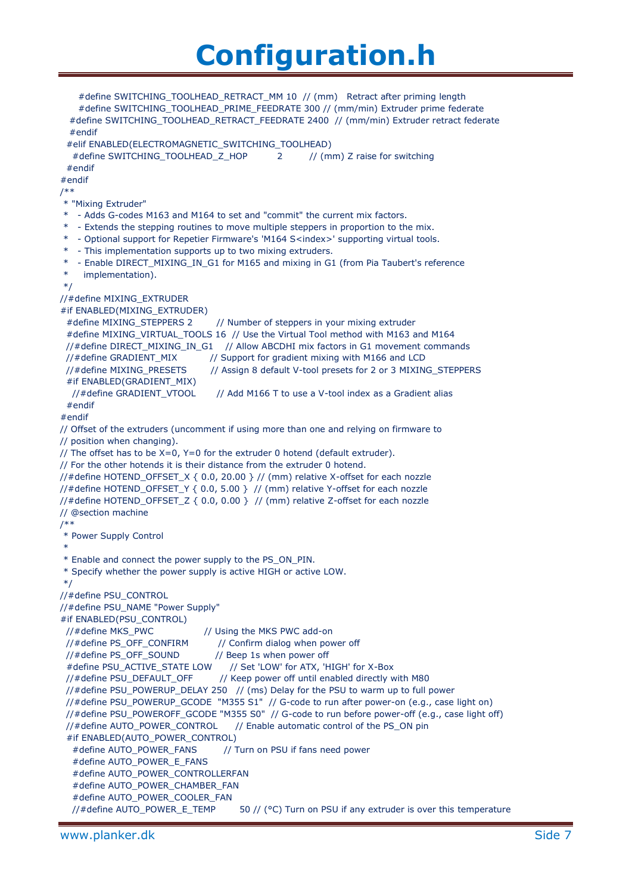```
 #define SWITCHING_TOOLHEAD_RETRACT_MM 10 // (mm) Retract after priming length
     #define SWITCHING_TOOLHEAD_PRIME_FEEDRATE 300 // (mm/min) Extruder prime federate
   #define SWITCHING_TOOLHEAD_RETRACT_FEEDRATE 2400 // (mm/min) Extruder retract federate
   #endif
  #elif ENABLED(ELECTROMAGNETIC_SWITCHING_TOOLHEAD)
  #define SWITCHING_TOOLHEAD_Z_HOP 2 // (mm) Z raise for switching
  #endif
#endif
/**
* "Mixing Extruder"
* - Adds G-codes M163 and M164 to set and "commit" the current mix factors.
 * - Extends the stepping routines to move multiple steppers in proportion to the mix.
 * - Optional support for Repetier Firmware's 'M164 S<index>' supporting virtual tools.
  - This implementation supports up to two mixing extruders.
* - Enable DIRECT_MIXING_IN_G1 for M165 and mixing in G1 (from Pia Taubert's reference
     implementation).
*/
//#define MIXING_EXTRUDER
#if ENABLED(MIXING_EXTRUDER)
 #define MIXING STEPPERS 2 // Number of steppers in your mixing extruder
 #define MIXING_VIRTUAL_TOOLS 16 // Use the Virtual Tool method with M163 and M164
  //#define DIRECT_MIXING_IN_G1 // Allow ABCDHI mix factors in G1 movement commands
 //#define GRADIENT_MIX // Support for gradient mixing with M166 and LCD
 //#define MIXING_PRESETS // Assign 8 default V-tool presets for 2 or 3 MIXING_STEPPERS
 #if ENABLED(GRADIENT_MIX)
  //#define GRADIENT_VTOOL // Add M166 T to use a V-tool index as a Gradient alias
  #endif
#endif
// Offset of the extruders (uncomment if using more than one and relying on firmware to 
// position when changing).
// The offset has to be X=0, Y=0 for the extruder 0 hotend (default extruder).
// For the other hotends it is their distance from the extruder 0 hotend.
//#define HOTEND_OFFSET_X { 0.0, 20.00 } // (mm) relative X-offset for each nozzle
//#define HOTEND_OFFSET_Y { 0.0, 5.00 } // (mm) relative Y-offset for each nozzle
//#define HOTEND_OFFSET_Z { 0.0, 0.00 } // (mm) relative Z-offset for each nozzle
// @section machine
/**
* Power Supply Control
 *
* Enable and connect the power supply to the PS_ON_PIN.
* Specify whether the power supply is active HIGH or active LOW.
*/
//#define PSU_CONTROL
//#define PSU_NAME "Power Supply"
#if ENABLED(PSU_CONTROL)
  //#define MKS_PWC // Using the MKS PWC add-on
  //#define PS_OFF_CONFIRM // Confirm dialog when power off
  //#define PS_OFF_SOUND // Beep 1s when power off
  #define PSU_ACTIVE_STATE LOW // Set 'LOW' for ATX, 'HIGH' for X-Box
 //#define PSU_DEFAULT_OFF // Keep power off until enabled directly with M80
  //#define PSU_POWERUP_DELAY 250 // (ms) Delay for the PSU to warm up to full power
  //#define PSU_POWERUP_GCODE "M355 S1" // G-code to run after power-on (e.g., case light on)
  //#define PSU_POWEROFF_GCODE "M355 S0" // G-code to run before power-off (e.g., case light off)
  //#define AUTO_POWER_CONTROL // Enable automatic control of the PS_ON pin
  #if ENABLED(AUTO_POWER_CONTROL)
  #define AUTO_POWER_FANS // Turn on PSU if fans need power
  #define AUTO_POWER_E_FANS
  #define AUTO_POWER_CONTROLLERFAN
  #define AUTO_POWER_CHAMBER_FAN
  #define AUTO_POWER_COOLER_FAN
  //#define AUTO_POWER_E_TEMP 50 // (°C) Turn on PSU if any extruder is over this temperature
```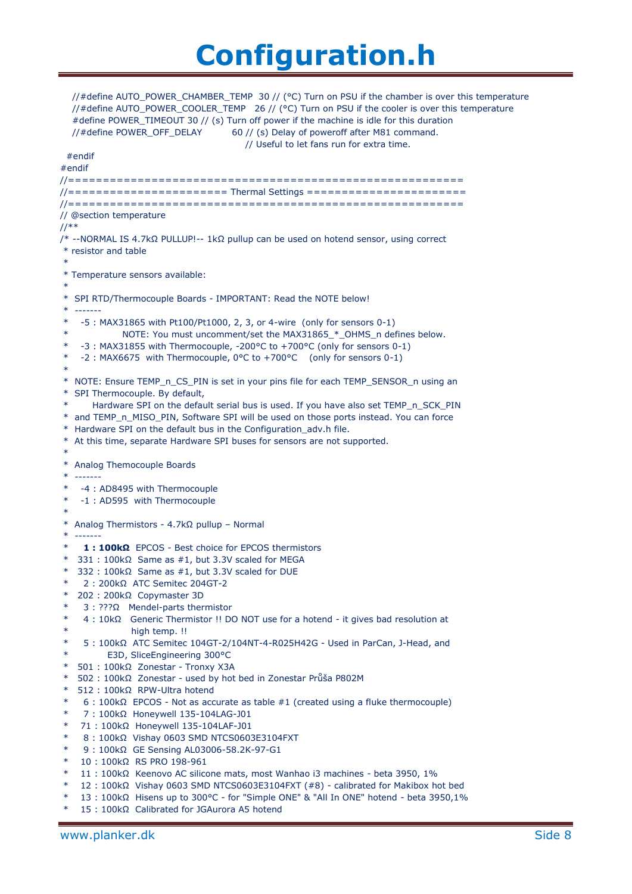//#define AUTO\_POWER\_CHAMBER\_TEMP 30 // (°C) Turn on PSU if the chamber is over this temperature //#define AUTO\_POWER\_COOLER\_TEMP 26 // (°C) Turn on PSU if the cooler is over this temperature #define POWER\_TIMEOUT 30 // (s) Turn off power if the machine is idle for this duration //#define POWER\_OFF\_DELAY 60 // (s) Delay of poweroff after M81 command. // Useful to let fans run for extra time. #endif #endif //========================================================= //======================= Thermal Settings ======================= //========================================================= // @section temperature //\*\* /\* --NORMAL IS 4.7kΩ PULLUP!-- 1kΩ pullup can be used on hotend sensor, using correct \* resistor and table \* \* Temperature sensors available: \* \* SPI RTD/Thermocouple Boards - IMPORTANT: Read the NOTE below! \* ------- -5 : MAX31865 with Pt100/Pt1000, 2, 3, or 4-wire (only for sensors 0-1) \* NOTE: You must uncomment/set the MAX31865\_\*\_OHMS\_n defines below. \* -3 : MAX31855 with Thermocouple, -200°C to +700°C (only for sensors 0-1) \* -2 : MAX6675 with Thermocouple, 0°C to +700°C (only for sensors 0-1) \* \* NOTE: Ensure TEMP\_n\_CS\_PIN is set in your pins file for each TEMP\_SENSOR\_n using an \* SPI Thermocouple. By default, Hardware SPI on the default serial bus is used. If you have also set TEMP\_n\_SCK\_PIN \* and TEMP\_n\_MISO\_PIN, Software SPI will be used on those ports instead. You can force Hardware SPI on the default bus in the Configuration adv.h file. At this time, separate Hardware SPI buses for sensors are not supported. \* \* Analog Themocouple Boards \* ------- \* -4 : AD8495 with Thermocouple \* -1 : AD595 with Thermocouple \* Analog Thermistors -  $4.7$ kΩ pullup – Normal \* ------- 1 : 100kΩ EPCOS - Best choice for EPCOS thermistors \* 331 : 100kΩ Same as #1, but 3.3V scaled for MEGA 332 : 100k $\Omega$  Same as #1, but 3.3V scaled for DUE 2 : 200kΩ ATC Semitec 204GT-2 \* 202 : 200kΩ Copymaster 3D 3 : ???Ω Mendel-parts thermistor 4 : 10kΩ Generic Thermistor !! DO NOT use for a hotend - it gives bad resolution at high temp. !! 5 : 100kΩ ATC Semitec 104GT-2/104NT-4-R025H42G - Used in ParCan, J-Head, and E3D, SliceEngineering 300°C \* 501 : 100kΩ Zonestar - Tronxy X3A \* 502 : 100kΩ Zonestar - used by hot bed in Zonestar Průša P802M \* 512 : 100kΩ RPW-Ultra hotend  $6 : 100kΩ$  EPCOS - Not as accurate as table #1 (created using a fluke thermocouple) 7 : 100kΩ Honeywell 135-104LAG-J01 71 : 100kΩ Honeywell 135-104LAF-J01 8 : 100kΩ Vishay 0603 SMD NTCS0603E3104FXT 9 : 100kΩ GE Sensing AL03006-58.2K-97-G1 10 : 100kΩ RS PRO 198-961 11 : 100kΩ Keenovo AC silicone mats, most Wanhao i3 machines - beta 3950, 1%  $12 : 100kΩ$  Vishay 0603 SMD NTCS0603E3104FXT (#8) - calibrated for Makibox hot bed 13 : 100kΩ Hisens up to 300°C - for "Simple ONE" & "All In ONE" hotend - beta 3950,1% 15 : 100kΩ Calibrated for JGAurora A5 hotend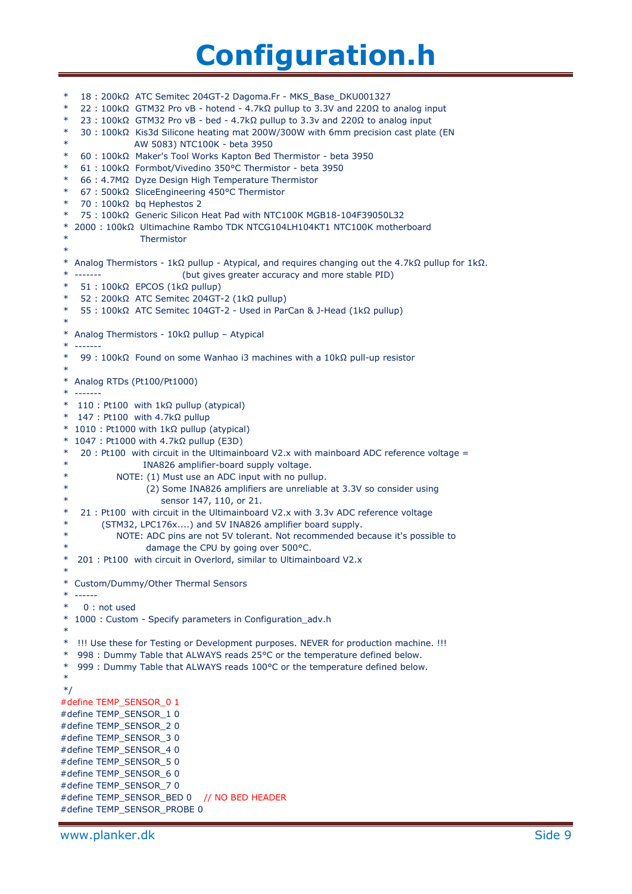\* 18 : 200kΩ ATC Semitec 204GT-2 Dagoma.Fr - MKS\_Base\_DKU001327 22 : 100kΩ GTM32 Pro vB - hotend - 4.7kΩ pullup to 3.3V and 220Ω to analog input 23 : 100kΩ GTM32 Pro vB - bed - 4.7kΩ pullup to 3.3v and 220Ω to analog input 30 : 100kΩ Kis3d Silicone heating mat 200W/300W with 6mm precision cast plate (EN AW 5083) NTC100K - beta 3950 \* 60 : 100kΩ Maker's Tool Works Kapton Bed Thermistor - beta 3950 \* 61 : 100kΩ Formbot/Vivedino 350°C Thermistor - beta 3950 \* 66 : 4.7MΩ Dyze Design High Temperature Thermistor \* 67 : 500kΩ SliceEngineering 450°C Thermistor 70 : 100kΩ bq Hephestos 2 75 : 100kΩ Generic Silicon Heat Pad with NTC100K MGB18-104F39050L32 \* 2000 : 100kΩ Ultimachine Rambo TDK NTCG104LH104KT1 NTC100K motherboard **Thermistor** \* \* Analog Thermistors - 1kΩ pullup - Atypical, and requires changing out the 4.7kΩ pullup for 1kΩ. (but gives greater accuracy and more stable PID) 51 : 100kΩ EPCOS (1kΩ pullup) 52 : 200kΩ ATC Semitec 204GT-2 (1kΩ pullup) 55 : 100kΩ ATC Semitec 104GT-2 - Used in ParCan & J-Head (1kΩ pullup) \* \* Analog Thermistors - 10kΩ pullup – Atypical \* ------- 99 : 100kΩ Found on some Wanhao i3 machines with a 10kΩ pull-up resistor \* \* Analog RTDs (Pt100/Pt1000) \* ------- \* 110 : Pt100 with 1kΩ pullup (atypical) \* 147 : Pt100 with 4.7kΩ pullup \* 1010 : Pt1000 with 1kΩ pullup (atypical) \* 1047 : Pt1000 with 4.7kΩ pullup (E3D)  $20$  : Pt100 with circuit in the Ultimainboard V2.x with mainboard ADC reference voltage = INA826 amplifier-board supply voltage. NOTE: (1) Must use an ADC input with no pullup. (2) Some INA826 amplifiers are unreliable at 3.3V so consider using sensor 147, 110, or 21. 21 : Pt100 with circuit in the Ultimainboard V2.x with 3.3v ADC reference voltage (STM32, LPC176x....) and 5V INA826 amplifier board supply. NOTE: ADC pins are not 5V tolerant. Not recommended because it's possible to damage the CPU by going over 500°C. 201 : Pt100 with circuit in Overlord, similar to Ultimainboard V2.x \* \* Custom/Dummy/Other Thermal Sensors \* ------  $0:$  not used \* 1000 : Custom - Specify parameters in Configuration\_adv.h \* \* !!! Use these for Testing or Development purposes. NEVER for production machine. !!! \* 998 : Dummy Table that ALWAYS reads 25°C or the temperature defined below. \* 999 : Dummy Table that ALWAYS reads 100°C or the temperature defined below. \* \*/ #define TEMP\_SENSOR\_0 1 #define TEMP\_SENSOR\_1 0 #define TEMP\_SENSOR\_2 0 #define TEMP\_SENSOR\_3 0 #define TEMP\_SENSOR\_4 0 #define TEMP\_SENSOR\_5 0 #define TEMP\_SENSOR\_6 0 #define TEMP\_SENSOR\_7 0 #define TEMP\_SENSOR\_BED 0 // NO BED HEADER #define TEMP\_SENSOR\_PROBE 0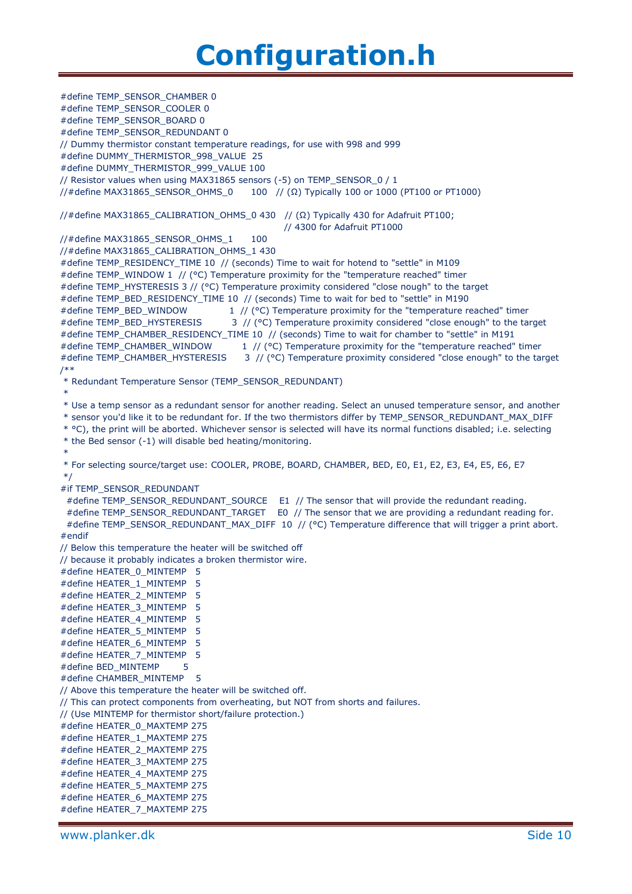#define TEMP\_SENSOR\_CHAMBER 0 #define TEMP\_SENSOR\_COOLER 0 #define TEMP\_SENSOR\_BOARD 0 #define TEMP\_SENSOR\_REDUNDANT 0 // Dummy thermistor constant temperature readings, for use with 998 and 999 #define DUMMY\_THERMISTOR\_998\_VALUE 25 #define DUMMY\_THERMISTOR\_999\_VALUE 100 // Resistor values when using MAX31865 sensors (-5) on TEMP\_SENSOR\_0 / 1 //#define MAX31865\_SENSOR\_OHMS\_0 100 // (Ω) Typically 100 or 1000 (PT100 or PT1000) //#define MAX31865\_CALIBRATION\_OHMS\_0 430 // (Ω) Typically 430 for Adafruit PT100; // 4300 for Adafruit PT1000 //#define MAX31865\_SENSOR\_OHMS\_1 100 //#define MAX31865\_CALIBRATION\_OHMS\_1 430 #define TEMP\_RESIDENCY\_TIME 10 // (seconds) Time to wait for hotend to "settle" in M109 #define TEMP\_WINDOW 1 // (°C) Temperature proximity for the "temperature reached" timer #define TEMP\_HYSTERESIS 3 // (°C) Temperature proximity considered "close nough" to the target #define TEMP\_BED\_RESIDENCY\_TIME 10 // (seconds) Time to wait for bed to "settle" in M190 #define TEMP\_BED\_WINDOW 1 // (°C) Temperature proximity for the "temperature reached" timer #define TEMP\_BED\_HYSTERESIS 3 // (°C) Temperature proximity considered "close enough" to the target #define TEMP\_CHAMBER\_RESIDENCY\_TIME 10 // (seconds) Time to wait for chamber to "settle" in M191 #define TEMP\_CHAMBER\_WINDOW 1 // (°C) Temperature proximity for the "temperature reached" timer #define TEMP\_CHAMBER\_HYSTERESIS 3 // (°C) Temperature proximity considered "close enough" to the target /\*\* \* Redundant Temperature Sensor (TEMP\_SENSOR\_REDUNDANT) \* \* Use a temp sensor as a redundant sensor for another reading. Select an unused temperature sensor, and another \* sensor you'd like it to be redundant for. If the two thermistors differ by TEMP\_SENSOR\_REDUNDANT\_MAX\_DIFF \* °C), the print will be aborted. Whichever sensor is selected will have its normal functions disabled; i.e. selecting \* the Bed sensor (-1) will disable bed heating/monitoring. \* \* For selecting source/target use: COOLER, PROBE, BOARD, CHAMBER, BED, E0, E1, E2, E3, E4, E5, E6, E7 \*/ #if TEMP\_SENSOR\_REDUNDANT #define TEMP\_SENSOR\_REDUNDANT\_SOURCE E1 // The sensor that will provide the redundant reading. #define TEMP\_SENSOR\_REDUNDANT\_TARGET E0 // The sensor that we are providing a redundant reading for. #define TEMP\_SENSOR\_REDUNDANT\_MAX\_DIFF 10 // (°C) Temperature difference that will trigger a print abort. #endif // Below this temperature the heater will be switched off // because it probably indicates a broken thermistor wire. #define HEATER\_0\_MINTEMP 5 #define HEATER\_1\_MINTEMP 5 #define HEATER\_2\_MINTEMP 5 #define HEATER\_3\_MINTEMP 5 #define HEATER\_4\_MINTEMP 5 #define HEATER\_5\_MINTEMP 5 #define HEATER\_6\_MINTEMP 5 #define HEATER\_7\_MINTEMP 5 #define BED\_MINTEMP 5 #define CHAMBER\_MINTEMP 5 // Above this temperature the heater will be switched off. // This can protect components from overheating, but NOT from shorts and failures. // (Use MINTEMP for thermistor short/failure protection.) #define HEATER\_0\_MAXTEMP 275 #define HEATER\_1\_MAXTEMP 275 #define HEATER\_2\_MAXTEMP 275 #define HEATER\_3\_MAXTEMP 275 #define HEATER\_4\_MAXTEMP 275 #define HEATER\_5\_MAXTEMP 275 #define HEATER\_6\_MAXTEMP 275 #define HEATER\_7\_MAXTEMP 275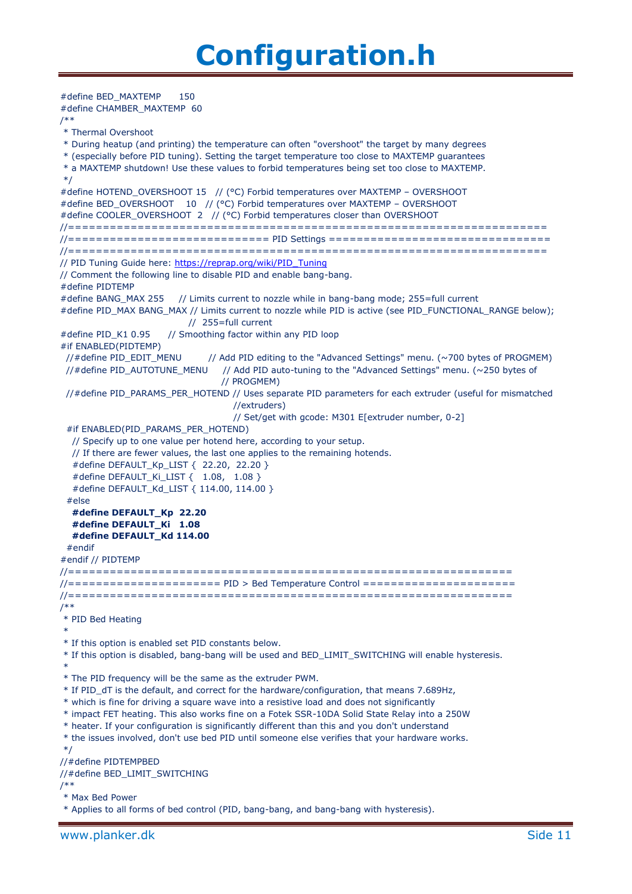#define BED\_MAXTEMP 150 #define CHAMBER\_MAXTEMP 60 /\*\* \* Thermal Overshoot \* During heatup (and printing) the temperature can often "overshoot" the target by many degrees \* (especially before PID tuning). Setting the target temperature too close to MAXTEMP guarantees \* a MAXTEMP shutdown! Use these values to forbid temperatures being set too close to MAXTEMP. \*/ #define HOTEND\_OVERSHOOT 15 // (°C) Forbid temperatures over MAXTEMP – OVERSHOOT #define BED\_OVERSHOOT 10 // (°C) Forbid temperatures over MAXTEMP – OVERSHOOT #define COOLER\_OVERSHOOT 2 // (°C) Forbid temperatures closer than OVERSHOOT //===================================================================== //============================= PID Settings ================================ //===================================================================== // PID Tuning Guide here: [https://reprap.org/wiki/PID\\_Tuning](https://reprap.org/wiki/PID_Tuning) // Comment the following line to disable PID and enable bang-bang. #define PIDTEMP #define BANG\_MAX 255 // Limits current to nozzle while in bang-bang mode; 255=full current #define PID\_MAX BANG\_MAX // Limits current to nozzle while PID is active (see PID\_FUNCTIONAL\_RANGE below); // 255=full current #define PID\_K1 0.95 // Smoothing factor within any PID loop #if ENABLED(PIDTEMP) //#define PID\_EDIT\_MENU // Add PID editing to the "Advanced Settings" menu. (~700 bytes of PROGMEM) //#define PID\_AUTOTUNE\_MENU // Add PID auto-tuning to the "Advanced Settings" menu. ( $\sim$ 250 bytes of // PROGMEM) //#define PID\_PARAMS\_PER\_HOTEND // Uses separate PID parameters for each extruder (useful for mismatched //extruders) // Set/get with gcode: M301 E[extruder number, 0-2] #if ENABLED(PID\_PARAMS\_PER\_HOTEND) // Specify up to one value per hotend here, according to your setup. // If there are fewer values, the last one applies to the remaining hotends. #define DEFAULT\_Kp\_LIST { 22.20, 22.20 } #define DEFAULT\_Ki\_LIST { 1.08, 1.08 } #define DEFAULT\_Kd\_LIST { 114.00, 114.00 } #else  **#define DEFAULT\_Kp 22.20 #define DEFAULT\_Ki 1.08 #define DEFAULT\_Kd 114.00** #endif #endif // PIDTEMP //================================================================ //====================== PID > Bed Temperature Control ====================== //================================================================ /\*\* \* PID Bed Heating \* \* If this option is enabled set PID constants below. \* If this option is disabled, bang-bang will be used and BED\_LIMIT\_SWITCHING will enable hysteresis. \* \* The PID frequency will be the same as the extruder PWM. \* If PID\_dT is the default, and correct for the hardware/configuration, that means 7.689Hz, \* which is fine for driving a square wave into a resistive load and does not significantly \* impact FET heating. This also works fine on a Fotek SSR-10DA Solid State Relay into a 250W \* heater. If your configuration is significantly different than this and you don't understand \* the issues involved, don't use bed PID until someone else verifies that your hardware works. \*/ //#define PIDTEMPBED //#define BED\_LIMIT\_SWITCHING /\*\* \* Max Bed Power \* Applies to all forms of bed control (PID, bang-bang, and bang-bang with hysteresis).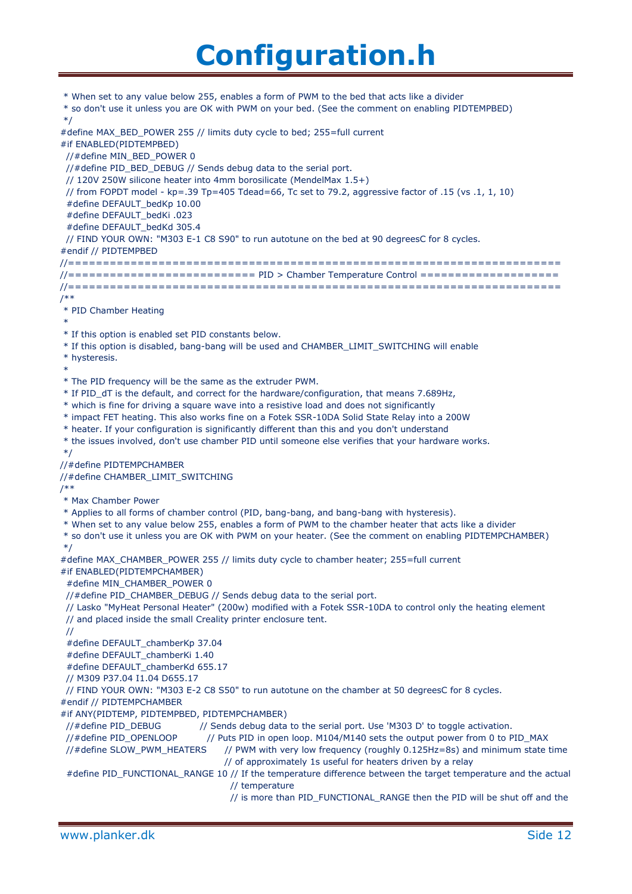\* When set to any value below 255, enables a form of PWM to the bed that acts like a divider \* so don't use it unless you are OK with PWM on your bed. (See the comment on enabling PIDTEMPBED) \*/ #define MAX\_BED\_POWER 255 // limits duty cycle to bed; 255=full current #if ENABLED(PIDTEMPBED) //#define MIN\_BED\_POWER 0 //#define PID\_BED\_DEBUG // Sends debug data to the serial port. // 120V 250W silicone heater into 4mm borosilicate (MendelMax 1.5+) // from FOPDT model - kp=.39 Tp=405 Tdead=66, Tc set to 79.2, aggressive factor of .15 (vs .1, 1, 10) #define DEFAULT\_bedKp 10.00 #define DEFAULT\_bedKi .023 #define DEFAULT\_bedKd 305.4 // FIND YOUR OWN: "M303 E-1 C8 S90" to run autotune on the bed at 90 degreesC for 8 cycles. #endif // PIDTEMPBED //======================================================================= //=========================== PID > Chamber Temperature Control ==================== //======================================================================= /\*\* \* PID Chamber Heating \* \* If this option is enabled set PID constants below. \* If this option is disabled, bang-bang will be used and CHAMBER\_LIMIT\_SWITCHING will enable \* hysteresis. \* \* The PID frequency will be the same as the extruder PWM. \* If PID\_dT is the default, and correct for the hardware/configuration, that means 7.689Hz, \* which is fine for driving a square wave into a resistive load and does not significantly \* impact FET heating. This also works fine on a Fotek SSR-10DA Solid State Relay into a 200W \* heater. If your configuration is significantly different than this and you don't understand \* the issues involved, don't use chamber PID until someone else verifies that your hardware works. \*/ //#define PIDTEMPCHAMBER //#define CHAMBER\_LIMIT\_SWITCHING /\*\* \* Max Chamber Power \* Applies to all forms of chamber control (PID, bang-bang, and bang-bang with hysteresis). \* When set to any value below 255, enables a form of PWM to the chamber heater that acts like a divider \* so don't use it unless you are OK with PWM on your heater. (See the comment on enabling PIDTEMPCHAMBER) \*/ #define MAX\_CHAMBER\_POWER 255 // limits duty cycle to chamber heater; 255=full current #if ENABLED(PIDTEMPCHAMBER) #define MIN\_CHAMBER\_POWER 0 //#define PID\_CHAMBER\_DEBUG // Sends debug data to the serial port. // Lasko "MyHeat Personal Heater" (200w) modified with a Fotek SSR-10DA to control only the heating element // and placed inside the small Creality printer enclosure tent. // #define DEFAULT\_chamberKp 37.04 #define DEFAULT\_chamberKi 1.40 #define DEFAULT\_chamberKd 655.17 // M309 P37.04 I1.04 D655.17 // FIND YOUR OWN: "M303 E-2 C8 S50" to run autotune on the chamber at 50 degreesC for 8 cycles. #endif // PIDTEMPCHAMBER #if ANY(PIDTEMP, PIDTEMPBED, PIDTEMPCHAMBER) //#define PID\_DEBUG // Sends debug data to the serial port. Use 'M303 D' to toggle activation. //#define PID\_OPENLOOP // Puts PID in open loop. M104/M140 sets the output power from 0 to PID\_MAX //#define SLOW\_PWM\_HEATERS // PWM with very low frequency (roughly 0.125Hz=8s) and minimum state time // of approximately 1s useful for heaters driven by a relay #define PID\_FUNCTIONAL\_RANGE 10 // If the temperature difference between the target temperature and the actual // temperature // is more than PID\_FUNCTIONAL\_RANGE then the PID will be shut off and the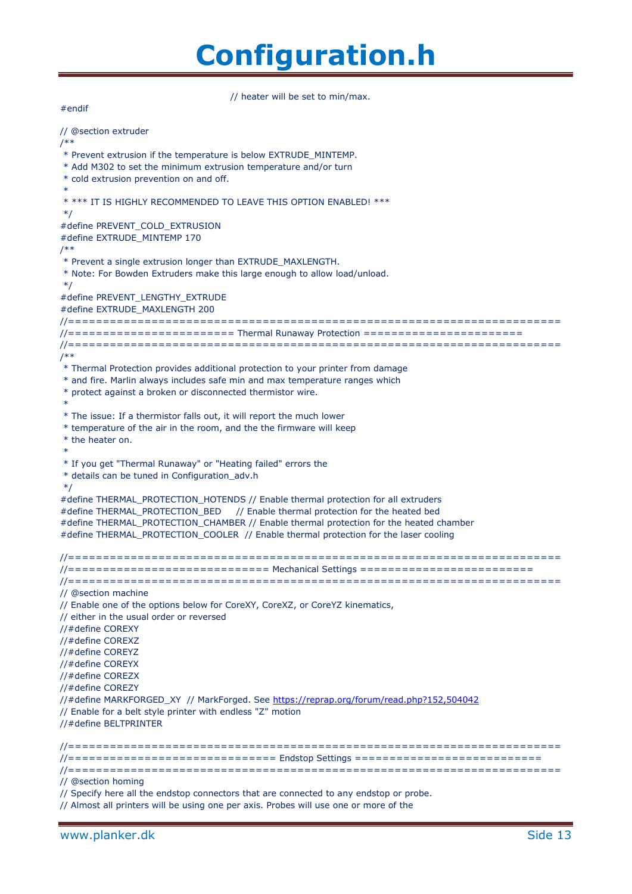// heater will be set to min/max.

// @section extruder /\*\* \* Prevent extrusion if the temperature is below EXTRUDE\_MINTEMP. \* Add M302 to set the minimum extrusion temperature and/or turn \* cold extrusion prevention on and off. \* \* \*\*\* IT IS HIGHLY RECOMMENDED TO LEAVE THIS OPTION ENABLED! \*\*\* \*/ #define PREVENT\_COLD\_EXTRUSION #define EXTRUDE\_MINTEMP 170 /\*\* \* Prevent a single extrusion longer than EXTRUDE\_MAXLENGTH. \* Note: For Bowden Extruders make this large enough to allow load/unload. \*/ #define PREVENT\_LENGTHY\_EXTRUDE #define EXTRUDE\_MAXLENGTH 200 //======================================================================= //======================== Thermal Runaway Protection ======================= //======================================================================= /\*\* \* Thermal Protection provides additional protection to your printer from damage \* and fire. Marlin always includes safe min and max temperature ranges which \* protect against a broken or disconnected thermistor wire. \* \* The issue: If a thermistor falls out, it will report the much lower \* temperature of the air in the room, and the the firmware will keep \* the heater on. \* \* If you get "Thermal Runaway" or "Heating failed" errors the \* details can be tuned in Configuration\_adv.h \*/ #define THERMAL\_PROTECTION\_HOTENDS // Enable thermal protection for all extruders #define THERMAL\_PROTECTION\_BED // Enable thermal protection for the heated bed #define THERMAL\_PROTECTION\_CHAMBER // Enable thermal protection for the heated chamber #define THERMAL\_PROTECTION\_COOLER // Enable thermal protection for the laser cooling //======================================================================= //============================= Mechanical Settings ========================= //======================================================================= // @section machine // Enable one of the options below for CoreXY, CoreXZ, or CoreYZ kinematics, // either in the usual order or reversed //#define COREXY //#define COREXZ //#define COREYZ //#define COREYX //#define COREZX //#define COREZY //#define MARKFORGED\_XY // MarkForged. See<https://reprap.org/forum/read.php?152,504042> // Enable for a belt style printer with endless "Z" motion //#define BELTPRINTER //======================================================================= //============================== Endstop Settings =========================== //======================================================================= // @section homing

// Specify here all the endstop connectors that are connected to any endstop or probe.

// Almost all printers will be using one per axis. Probes will use one or more of the

#endif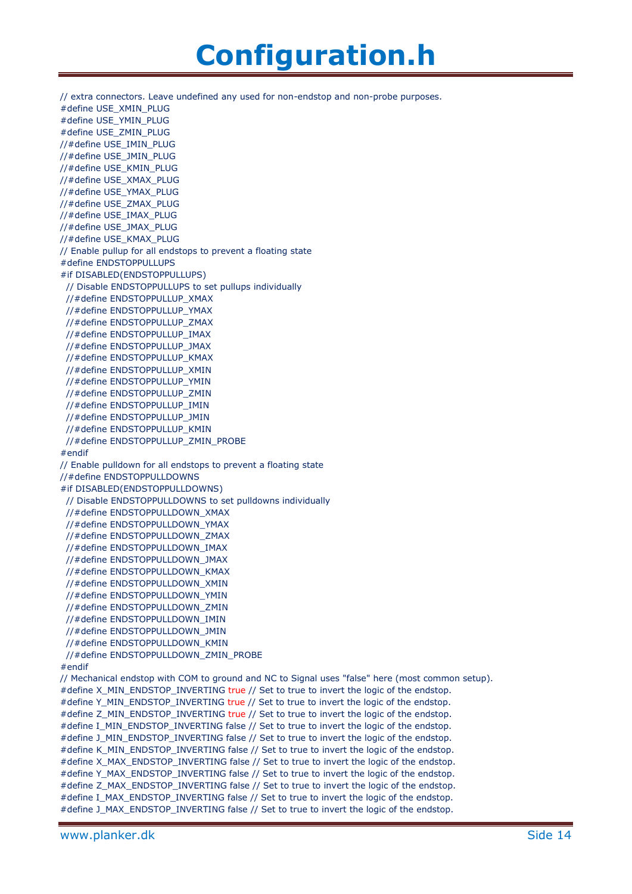// extra connectors. Leave undefined any used for non-endstop and non-probe purposes. #define USE\_XMIN\_PLUG #define USE\_YMIN\_PLUG #define USE\_ZMIN\_PLUG //#define USE\_IMIN\_PLUG //#define USE\_JMIN\_PLUG //#define USE\_KMIN\_PLUG //#define USE\_XMAX\_PLUG //#define USE\_YMAX\_PLUG //#define USE\_ZMAX\_PLUG //#define USE\_IMAX\_PLUG //#define USE\_JMAX\_PLUG //#define USE\_KMAX\_PLUG // Enable pullup for all endstops to prevent a floating state #define ENDSTOPPULLUPS #if DISABLED(ENDSTOPPULLUPS) // Disable ENDSTOPPULLUPS to set pullups individually //#define ENDSTOPPULLUP\_XMAX //#define ENDSTOPPULLUP\_YMAX //#define ENDSTOPPULLUP\_ZMAX //#define ENDSTOPPULLUP\_IMAX //#define ENDSTOPPULLUP\_JMAX //#define ENDSTOPPULLUP\_KMAX //#define ENDSTOPPULLUP\_XMIN //#define ENDSTOPPULLUP\_YMIN //#define ENDSTOPPULLUP\_ZMIN //#define ENDSTOPPULLUP\_IMIN //#define ENDSTOPPULLUP\_JMIN //#define ENDSTOPPULLUP\_KMIN //#define ENDSTOPPULLUP\_ZMIN\_PROBE #endif // Enable pulldown for all endstops to prevent a floating state //#define ENDSTOPPULLDOWNS #if DISABLED(ENDSTOPPULLDOWNS) // Disable ENDSTOPPULLDOWNS to set pulldowns individually //#define ENDSTOPPULLDOWN\_XMAX //#define ENDSTOPPULLDOWN\_YMAX //#define ENDSTOPPULLDOWN\_ZMAX //#define ENDSTOPPULLDOWN\_IMAX //#define ENDSTOPPULLDOWN\_JMAX //#define ENDSTOPPULLDOWN\_KMAX //#define ENDSTOPPULLDOWN\_XMIN //#define ENDSTOPPULLDOWN\_YMIN //#define ENDSTOPPULLDOWN\_ZMIN //#define ENDSTOPPULLDOWN\_IMIN //#define ENDSTOPPULLDOWN\_JMIN //#define ENDSTOPPULLDOWN\_KMIN //#define ENDSTOPPULLDOWN\_ZMIN\_PROBE #endif // Mechanical endstop with COM to ground and NC to Signal uses "false" here (most common setup). #define X\_MIN\_ENDSTOP\_INVERTING true // Set to true to invert the logic of the endstop. #define Y\_MIN\_ENDSTOP\_INVERTING true // Set to true to invert the logic of the endstop. #define Z\_MIN\_ENDSTOP\_INVERTING true // Set to true to invert the logic of the endstop. #define I\_MIN\_ENDSTOP\_INVERTING false // Set to true to invert the logic of the endstop. #define J\_MIN\_ENDSTOP\_INVERTING false // Set to true to invert the logic of the endstop. #define K\_MIN\_ENDSTOP\_INVERTING false // Set to true to invert the logic of the endstop. #define X\_MAX\_ENDSTOP\_INVERTING false // Set to true to invert the logic of the endstop. #define Y\_MAX\_ENDSTOP\_INVERTING false // Set to true to invert the logic of the endstop. #define Z\_MAX\_ENDSTOP\_INVERTING false // Set to true to invert the logic of the endstop. #define I\_MAX\_ENDSTOP\_INVERTING false // Set to true to invert the logic of the endstop. #define J\_MAX\_ENDSTOP\_INVERTING false // Set to true to invert the logic of the endstop.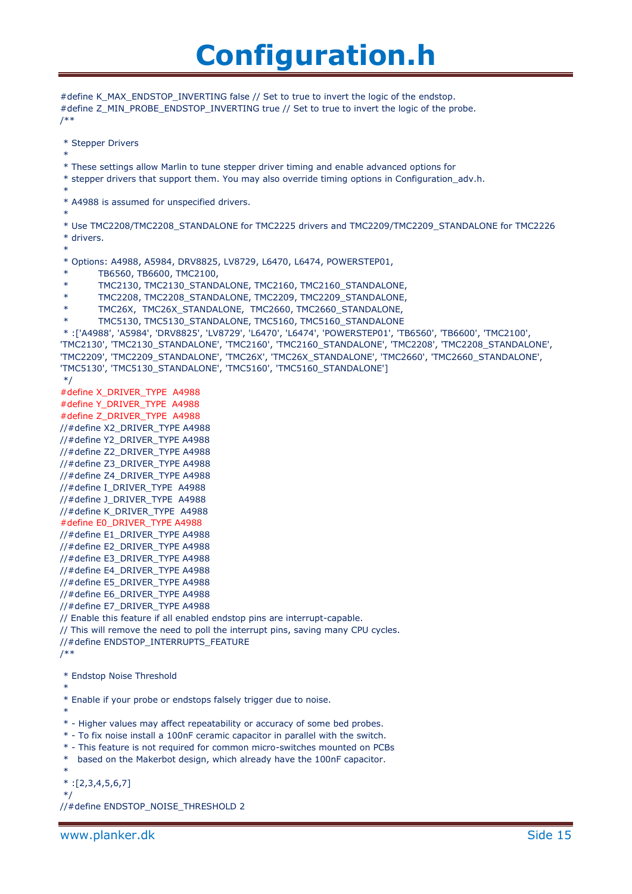```
#define K_MAX_ENDSTOP_INVERTING false // Set to true to invert the logic of the endstop.
#define Z_MIN_PROBE_ENDSTOP_INVERTING true // Set to true to invert the logic of the probe.
/**
 * Stepper Drivers
 *
 * These settings allow Marlin to tune stepper driver timing and enable advanced options for
 * stepper drivers that support them. You may also override timing options in Configuration_adv.h.
 *
 * A4988 is assumed for unspecified drivers.
 *
 * Use TMC2208/TMC2208_STANDALONE for TMC2225 drivers and TMC2209/TMC2209_STANDALONE for TMC2226
 * drivers.
 *
 * Options: A4988, A5984, DRV8825, LV8729, L6470, L6474, POWERSTEP01,
        TB6560, TB6600, TMC2100,
        TMC2130, TMC2130_STANDALONE, TMC2160, TMC2160_STANDALONE,
        TMC2208, TMC2208_STANDALONE, TMC2209, TMC2209_STANDALONE,
        TMC26X, TMC26X_STANDALONE, TMC2660, TMC2660_STANDALONE,
        TMC5130, TMC5130_STANDALONE, TMC5160, TMC5160_STANDALONE
 * :['A4988', 'A5984', 'DRV8825', 'LV8729', 'L6470', 'L6474', 'POWERSTEP01', 'TB6560', 'TB6600', 'TMC2100', 
'TMC2130', 'TMC2130_STANDALONE', 'TMC2160', 'TMC2160_STANDALONE', 'TMC2208', 'TMC2208_STANDALONE', 
'TMC2209', 'TMC2209_STANDALONE', 'TMC26X', 'TMC26X_STANDALONE', 'TMC2660', 'TMC2660_STANDALONE', 
'TMC5130', 'TMC5130_STANDALONE', 'TMC5160', 'TMC5160_STANDALONE']
*/
#define X_DRIVER_TYPE A4988
#define Y_DRIVER_TYPE A4988
#define Z_DRIVER_TYPE A4988
//#define X2_DRIVER_TYPE A4988
//#define Y2_DRIVER_TYPE A4988
//#define Z2_DRIVER_TYPE A4988
//#define Z3_DRIVER_TYPE A4988
//#define Z4_DRIVER_TYPE A4988
//#define I_DRIVER_TYPE A4988
//#define J_DRIVER_TYPE A4988
//#define K_DRIVER_TYPE A4988
#define E0_DRIVER_TYPE A4988
//#define E1_DRIVER_TYPE A4988
//#define E2_DRIVER_TYPE A4988
//#define E3_DRIVER_TYPE A4988
//#define E4_DRIVER_TYPE A4988
//#define E5_DRIVER_TYPE A4988
//#define E6_DRIVER_TYPE A4988
//#define E7_DRIVER_TYPE A4988
// Enable this feature if all enabled endstop pins are interrupt-capable.
// This will remove the need to poll the interrupt pins, saving many CPU cycles.
//#define ENDSTOP_INTERRUPTS_FEATURE
/**
 * Endstop Noise Threshold
 *
 * Enable if your probe or endstops falsely trigger due to noise.
 *
 * - Higher values may affect repeatability or accuracy of some bed probes.
 * - To fix noise install a 100nF ceramic capacitor in parallel with the switch.
 * - This feature is not required for common micro-switches mounted on PCBs
 * based on the Makerbot design, which already have the 100nF capacitor.
 *
 *:[2,3,4,5,6,7]
 */
//#define ENDSTOP_NOISE_THRESHOLD 2
```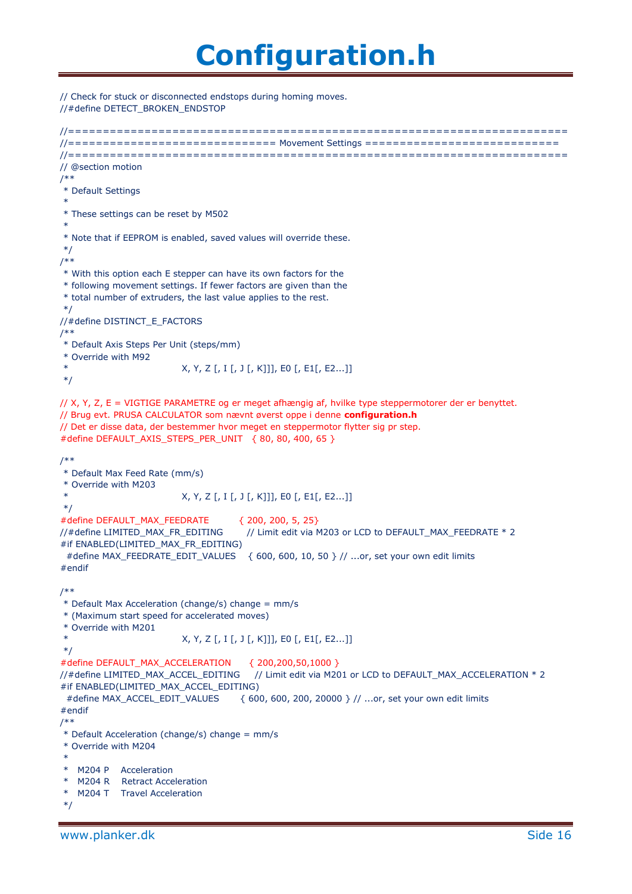// Check for stuck or disconnected endstops during homing moves. //#define DETECT\_BROKEN\_ENDSTOP

```
//========================================================================
//============================== Movement Settings ============================
//========================================================================
// @section motion
/**
* Default Settings
 *
* These settings can be reset by M502
 *
* Note that if EEPROM is enabled, saved values will override these.
*/
/**
* With this option each E stepper can have its own factors for the
* following movement settings. If fewer factors are given than the
* total number of extruders, the last value applies to the rest.
*/
//#define DISTINCT_E_FACTORS
/**
* Default Axis Steps Per Unit (steps/mm)
* Override with M92
                         * X, Y, Z [, I [, J [, K]]], E0 [, E1[, E2...]]
*/
// X, Y, Z, E = VIGTIGE PARAMETRE og er meget afhængig af, hvilke type steppermotorer der er benyttet.
// Brug evt. PRUSA CALCULATOR som nævnt øverst oppe i denne configuration.h
// Det er disse data, der bestemmer hvor meget en steppermotor flytter sig pr step.
#define DEFAULT_AXIS_STEPS_PER_UNIT { 80, 80, 400, 65 } 
/**
* Default Max Feed Rate (mm/s)
* Override with M203
* X, Y, Z [, I [, J [, K]]], E0 [, E1[, E2...]]
*/
#define DEFAULT_MAX_FEEDRATE { 200, 200, 5, 25}
//#define LIMITED_MAX_FR_EDITING // Limit edit via M203 or LCD to DEFAULT_MAX_FEEDRATE * 2
#if ENABLED(LIMITED_MAX_FR_EDITING)
 #define MAX_FEEDRATE_EDIT_VALUES { 600, 600, 10, 50 } // ...or, set your own edit limits
#endif
/**
* Default Max Acceleration (change/s) change = mm/s
* (Maximum start speed for accelerated moves)
* Override with M201
                         * X, Y, Z [, I [, J [, K]]], E0 [, E1[, E2...]]
*/
#define DEFAULT_MAX_ACCELERATION { 200,200,50,1000 }
//#define LIMITED_MAX_ACCEL_EDITING // Limit edit via M201 or LCD to DEFAULT_MAX_ACCELERATION * 2
#if ENABLED(LIMITED_MAX_ACCEL_EDITING)
  #define MAX_ACCEL_EDIT_VALUES { 600, 600, 200, 20000 } // ...or, set your own edit limits
#endif
/**
* Default Acceleration (change/s) change = mm/s
* Override with M204
 *
* M204 P Acceleration
  M204 R Retract Acceleration
  M204 T Travel Acceleration
*/
```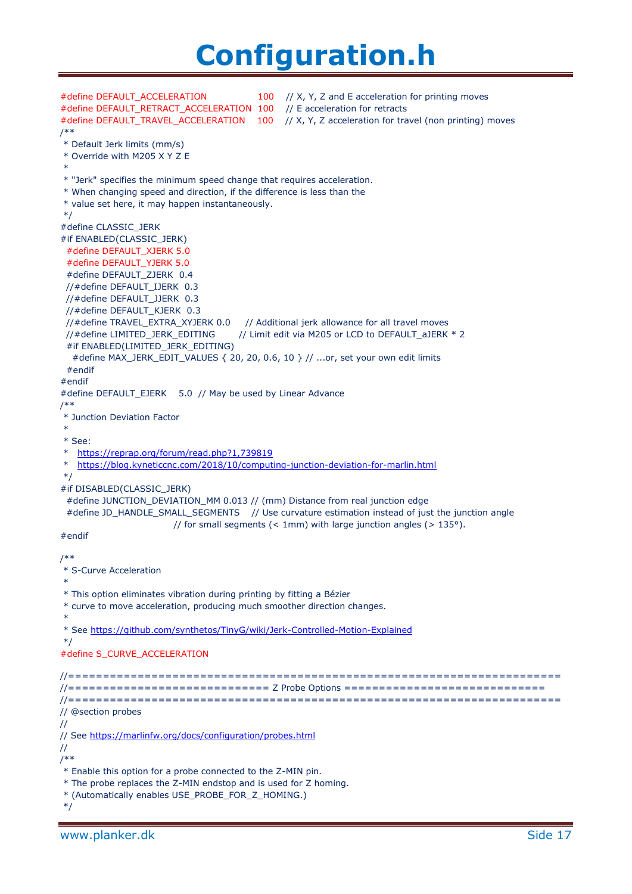#define DEFAULT\_ACCELERATION 100 // X, Y, Z and E acceleration for printing moves #define DEFAULT\_RETRACT\_ACCELERATION 100 // E acceleration for retracts #define DEFAULT\_TRAVEL\_ACCELERATION 100 // X, Y, Z acceleration for travel (non printing) moves /\*\* \* Default Jerk limits (mm/s) \* Override with M205 X Y Z E \* \* "Jerk" specifies the minimum speed change that requires acceleration. \* When changing speed and direction, if the difference is less than the \* value set here, it may happen instantaneously. \*/ #define CLASSIC\_JERK #if ENABLED(CLASSIC\_JERK) #define DEFAULT\_XJERK 5.0 #define DEFAULT\_YJERK 5.0 #define DEFAULT\_ZJERK 0.4 //#define DEFAULT\_IJERK 0.3 //#define DEFAULT\_JJERK 0.3 //#define DEFAULT\_KJERK 0.3 //#define TRAVEL\_EXTRA\_XYJERK 0.0 // Additional jerk allowance for all travel moves //#define LIMITED\_JERK\_EDITING // Limit edit via M205 or LCD to DEFAULT aJERK \* 2 #if ENABLED(LIMITED\_JERK\_EDITING) #define MAX\_JERK\_EDIT\_VALUES { 20, 20, 0.6, 10 } // ...or, set your own edit limits #endif #endif #define DEFAULT\_EJERK 5.0 // May be used by Linear Advance /\*\* \* Junction Deviation Factor \* \* See: <https://reprap.org/forum/read.php?1,739819> \* <https://blog.kyneticcnc.com/2018/10/computing-junction-deviation-for-marlin.html> \*/ #if DISABLED(CLASSIC\_JERK) #define JUNCTION\_DEVIATION\_MM 0.013 // (mm) Distance from real junction edge #define JD\_HANDLE\_SMALL\_SEGMENTS // Use curvature estimation instead of just the junction angle // for small segments  $(< 1$ mm) with large junction angles  $(> 135^{\circ})$ . #endif /\*\* \* S-Curve Acceleration \* \* This option eliminates vibration during printing by fitting a Bézier \* curve to move acceleration, producing much smoother direction changes. \* \* See<https://github.com/synthetos/TinyG/wiki/Jerk-Controlled-Motion-Explained> \*/ #define S\_CURVE\_ACCELERATION //======================================================================= //============================= Z Probe Options ============================= //======================================================================= // @section probes // // See<https://marlinfw.org/docs/configuration/probes.html> // /\*\* \* Enable this option for a probe connected to the Z-MIN pin. \* The probe replaces the Z-MIN endstop and is used for Z homing. \* (Automatically enables USE\_PROBE\_FOR\_Z\_HOMING.) \*/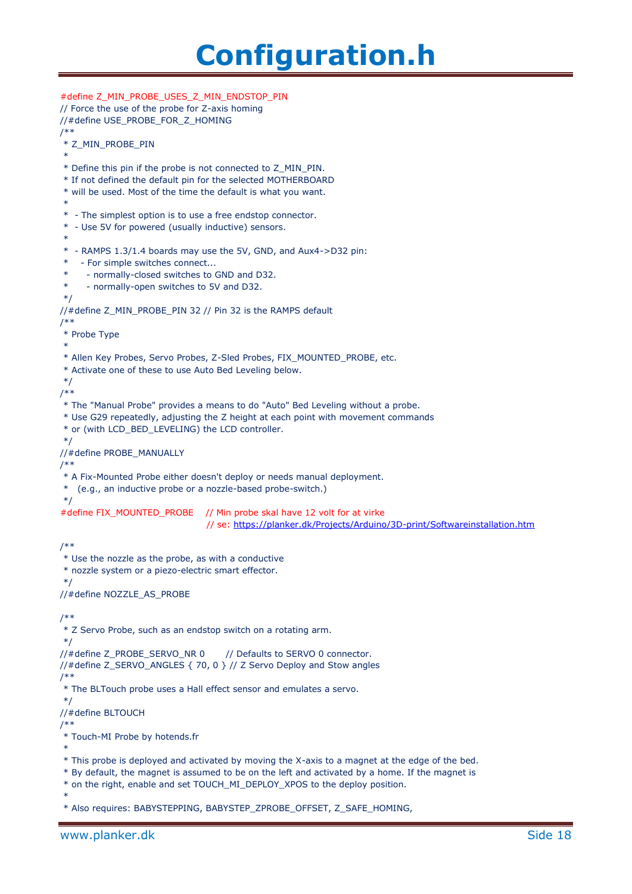```
#define Z_MIN_PROBE_USES_Z_MIN_ENDSTOP_PIN
// Force the use of the probe for Z-axis homing
//#define USE_PROBE_FOR_Z_HOMING
/**
 * Z_MIN_PROBE_PIN
 *
 * Define this pin if the probe is not connected to Z_MIN_PIN.
 * If not defined the default pin for the selected MOTHERBOARD
 * will be used. Most of the time the default is what you want.
 *
 * - The simplest option is to use a free endstop connector.
 * - Use 5V for powered (usually inductive) sensors.
 *
 * - RAMPS 1.3/1.4 boards may use the 5V, GND, and Aux4->D32 pin:
 * - For simple switches connect...
 * - normally-closed switches to GND and D32.
 * - normally-open switches to 5V and D32.
 */
//#define Z_MIN_PROBE_PIN 32 // Pin 32 is the RAMPS default
/**
* Probe Type
 *
 * Allen Key Probes, Servo Probes, Z-Sled Probes, FIX_MOUNTED_PROBE, etc.
 * Activate one of these to use Auto Bed Leveling below.
 */
/**
 * The "Manual Probe" provides a means to do "Auto" Bed Leveling without a probe.
 * Use G29 repeatedly, adjusting the Z height at each point with movement commands
 * or (with LCD_BED_LEVELING) the LCD controller.
 */
//#define PROBE_MANUALLY
/**
 * A Fix-Mounted Probe either doesn't deploy or needs manual deployment.
 * (e.g., an inductive probe or a nozzle-based probe-switch.)
 */
#define FIX_MOUNTED_PROBE // Min probe skal have 12 volt for at virke
                                 // se: https://planker.dk/Projects/Arduino/3D-print/Softwareinstallation.htm
/**
* Use the nozzle as the probe, as with a conductive
 * nozzle system or a piezo-electric smart effector.
 */
//#define NOZZLE_AS_PROBE
/**
 * Z Servo Probe, such as an endstop switch on a rotating arm.
*/
//#define Z_PROBE_SERVO_NR 0 // Defaults to SERVO 0 connector.
//#define Z_SERVO_ANGLES { 70, 0 } // Z Servo Deploy and Stow angles
/**
 * The BLTouch probe uses a Hall effect sensor and emulates a servo.
 */
//#define BLTOUCH
/**
 * Touch-MI Probe by hotends.fr
 *
 * This probe is deployed and activated by moving the X-axis to a magnet at the edge of the bed.
 * By default, the magnet is assumed to be on the left and activated by a home. If the magnet is
 * on the right, enable and set TOUCH_MI_DEPLOY_XPOS to the deploy position.
 *
 * Also requires: BABYSTEPPING, BABYSTEP_ZPROBE_OFFSET, Z_SAFE_HOMING,
```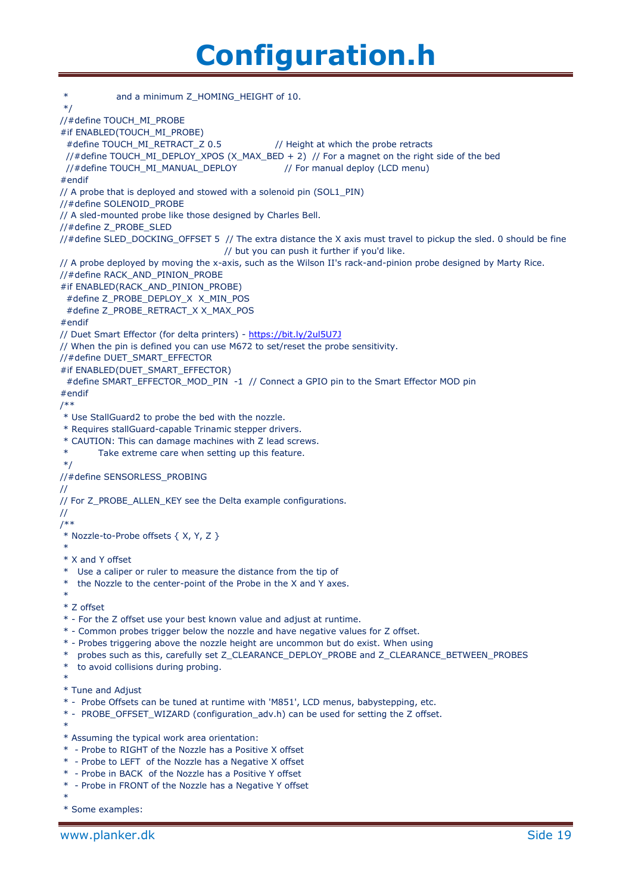| $\ast$<br>and a minimum Z_HOMING_HEIGHT of 10.                                                                                                                                              |
|---------------------------------------------------------------------------------------------------------------------------------------------------------------------------------------------|
| $*$ /                                                                                                                                                                                       |
| //#define TOUCH_MI_PROBE                                                                                                                                                                    |
| #if ENABLED(TOUCH_MI_PROBE)<br>#define TOUCH_MI_RETRACT_Z 0.5<br>// Height at which the probe retracts                                                                                      |
| //#define TOUCH_MI_DEPLOY_XPOS (X_MAX_BED + 2) // For a magnet on the right side of the bed                                                                                                 |
| //#define TOUCH_MI_MANUAL_DEPLOY<br>// For manual deploy (LCD menu)                                                                                                                         |
| #endif                                                                                                                                                                                      |
| // A probe that is deployed and stowed with a solenoid pin (SOL1_PIN)                                                                                                                       |
| //#define SOLENOID_PROBE                                                                                                                                                                    |
| // A sled-mounted probe like those designed by Charles Bell.<br>//#define Z_PROBE_SLED                                                                                                      |
| //#define SLED_DOCKING_OFFSET 5 // The extra distance the X axis must travel to pickup the sled. 0 should be fine                                                                           |
| // but you can push it further if you'd like.                                                                                                                                               |
| // A probe deployed by moving the x-axis, such as the Wilson II's rack-and-pinion probe designed by Marty Rice.                                                                             |
| //#define RACK_AND_PINION_PROBE                                                                                                                                                             |
| #if ENABLED(RACK_AND_PINION_PROBE)                                                                                                                                                          |
| #define Z_PROBE_DEPLOY_X X_MIN_POS                                                                                                                                                          |
| #define Z_PROBE_RETRACT_X X_MAX_POS<br>#endif                                                                                                                                               |
| // Duet Smart Effector (for delta printers) - https://bit.ly/2ul5U7J                                                                                                                        |
| // When the pin is defined you can use M672 to set/reset the probe sensitivity.                                                                                                             |
| //#define DUET_SMART_EFFECTOR                                                                                                                                                               |
| #if ENABLED(DUET_SMART_EFFECTOR)                                                                                                                                                            |
| #define SMART_EFFECTOR_MOD_PIN -1 // Connect a GPIO pin to the Smart Effector MOD pin                                                                                                       |
| #endif<br>$^{**}$                                                                                                                                                                           |
| * Use StallGuard2 to probe the bed with the nozzle.                                                                                                                                         |
| * Requires stallGuard-capable Trinamic stepper drivers.                                                                                                                                     |
| * CAUTION: This can damage machines with Z lead screws.                                                                                                                                     |
| $\ast$<br>Take extreme care when setting up this feature.                                                                                                                                   |
| $*$ /                                                                                                                                                                                       |
| //#define SENSORLESS_PROBING                                                                                                                                                                |
| // For Z_PROBE_ALLEN_KEY see the Delta example configurations.                                                                                                                              |
| 77                                                                                                                                                                                          |
| $/**$                                                                                                                                                                                       |
| * Nozzle-to-Probe offsets { X, Y, Z }                                                                                                                                                       |
| * X and Y offset                                                                                                                                                                            |
| Use a caliper or ruler to measure the distance from the tip of<br>$\ast$                                                                                                                    |
| the Nozzle to the center-point of the Probe in the X and Y axes.<br>$\ast$                                                                                                                  |
| $\ast$                                                                                                                                                                                      |
| * Z offset                                                                                                                                                                                  |
| * - For the Z offset use your best known value and adjust at runtime.                                                                                                                       |
| * - Common probes trigger below the nozzle and have negative values for Z offset.                                                                                                           |
| * - Probes triggering above the nozzle height are uncommon but do exist. When using<br>$\ast$<br>probes such as this, carefully set Z_CLEARANCE_DEPLOY_PROBE and Z_CLEARANCE_BETWEEN_PROBES |
| to avoid collisions during probing.<br>$\ast$                                                                                                                                               |
| $\ast$                                                                                                                                                                                      |
| * Tune and Adjust                                                                                                                                                                           |
| * - Probe Offsets can be tuned at runtime with 'M851', LCD menus, babystepping, etc.                                                                                                        |
| * - PROBE_OFFSET_WIZARD (configuration_adv.h) can be used for setting the Z offset.<br>$\ast$                                                                                               |
| * Assuming the typical work area orientation:                                                                                                                                               |
| * - Probe to RIGHT of the Nozzle has a Positive X offset                                                                                                                                    |
| * - Probe to LEFT of the Nozzle has a Negative X offset                                                                                                                                     |
| * - Probe in BACK of the Nozzle has a Positive Y offset                                                                                                                                     |
| * - Probe in FRONT of the Nozzle has a Negative Y offset                                                                                                                                    |
| * Some examples:                                                                                                                                                                            |
|                                                                                                                                                                                             |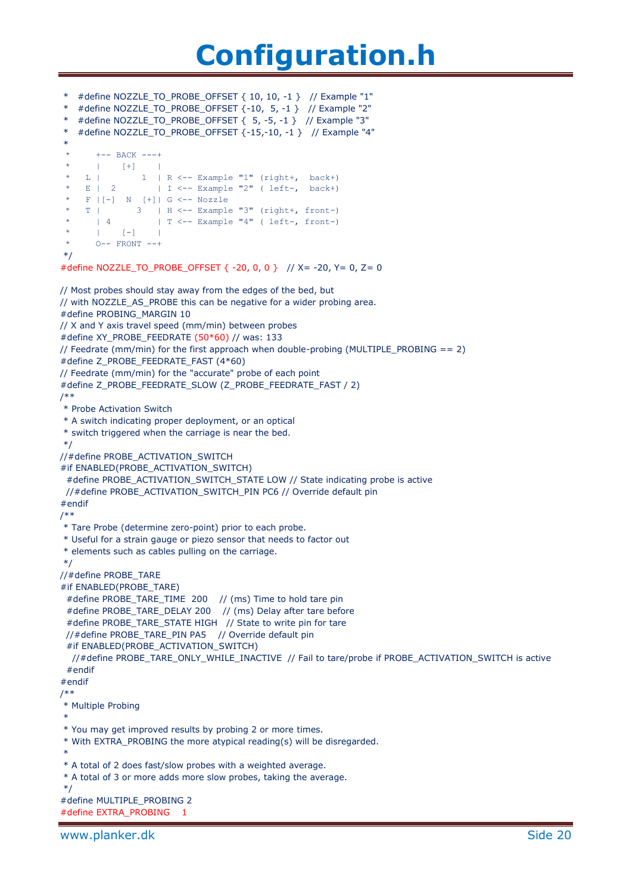```
* #define NOZZLE_TO_PROBE_OFFSET { 10, 10, -1 } // Example "1"
* #define NOZZLE_TO_PROBE_OFFSET {-10, 5, -1 } // Example "2"
* #define NOZZLE_TO_PROBE_OFFSET { 5, -5, -1 } // Example "3"
  * #define NOZZLE_TO_PROBE_OFFSET {-15,-10, -1 } // Example "4"
 *
       +-- BACK ---+<br>| [+] |<br>|
 * | [+] |
 \star L | 1 | R <-- Example "1" (right+, back+)
 * E | 2 | I <-- Example "2" ( left-, back+)
     F | [-] N [+] | G < -- NozzleT | 3 | H <-- Example "3" (right+, front-)
 * | 4 \rangle | T <-- Example "4" ( left-, front-)
 * | [-] |
 * 0-- FRONT --+
*/
#define NOZZLE_TO_PROBE_OFFSET { -20, 0, 0 } // X= -20, Y= 0, Z= 0
// Most probes should stay away from the edges of the bed, but
// with NOZZLE_AS_PROBE this can be negative for a wider probing area.
#define PROBING_MARGIN 10
// X and Y axis travel speed (mm/min) between probes
#define XY_PROBE_FEEDRATE (50*60) // was: 133
// Feedrate (mm/min) for the first approach when double-probing (MULTIPLE_PROBING == 2)
#define Z_PROBE_FEEDRATE_FAST (4*60)
// Feedrate (mm/min) for the "accurate" probe of each point
#define Z_PROBE_FEEDRATE_SLOW (Z_PROBE_FEEDRATE_FAST / 2)
/**
* Probe Activation Switch
* A switch indicating proper deployment, or an optical
* switch triggered when the carriage is near the bed.
*/
//#define PROBE_ACTIVATION_SWITCH
#if ENABLED(PROBE_ACTIVATION_SWITCH)
  #define PROBE_ACTIVATION_SWITCH_STATE LOW // State indicating probe is active
  //#define PROBE_ACTIVATION_SWITCH_PIN PC6 // Override default pin
#endif
/**
* Tare Probe (determine zero-point) prior to each probe.
* Useful for a strain gauge or piezo sensor that needs to factor out
* elements such as cables pulling on the carriage.
*/
//#define PROBE_TARE
#if ENABLED(PROBE_TARE)
 #define PROBE_TARE_TIME_200 // (ms) Time to hold tare pin
 #define PROBE_TARE_DELAY 200 // (ms) Delay after tare before
 #define PROBE_TARE_STATE HIGH // State to write pin for tare
  //#define PROBE_TARE_PIN PA5 // Override default pin
 #if ENABLED(PROBE_ACTIVATION_SWITCH)
   //#define PROBE_TARE_ONLY_WHILE_INACTIVE // Fail to tare/probe if PROBE_ACTIVATION_SWITCH is active
  #endif
#endif
/**
* Multiple Probing
 *
* You may get improved results by probing 2 or more times.
* With EXTRA_PROBING the more atypical reading(s) will be disregarded.
 *
* A total of 2 does fast/slow probes with a weighted average.
* A total of 3 or more adds more slow probes, taking the average.
*/
#define MULTIPLE_PROBING 2
#define EXTRA_PROBING 1
```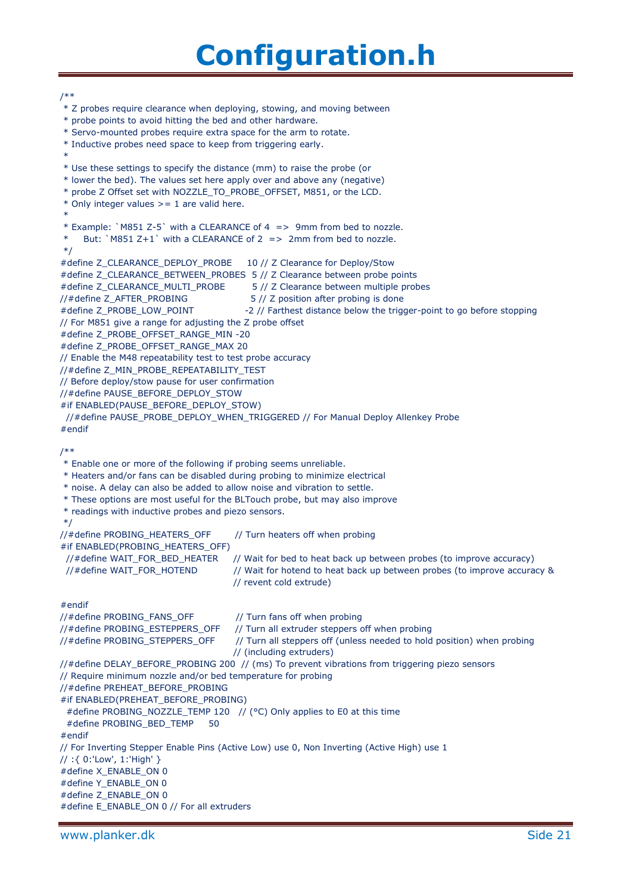/\*\* \* Z probes require clearance when deploying, stowing, and moving between \* probe points to avoid hitting the bed and other hardware. \* Servo-mounted probes require extra space for the arm to rotate. \* Inductive probes need space to keep from triggering early. \* \* Use these settings to specify the distance (mm) to raise the probe (or \* lower the bed). The values set here apply over and above any (negative) \* probe Z Offset set with NOZZLE\_TO\_PROBE\_OFFSET, M851, or the LCD.  $*$  Only integer values  $>= 1$  are valid here. \* \* Example: `M851 Z-5` with a CLEARANCE of 4 => 9mm from bed to nozzle. But: `M851 Z+1` with a CLEARANCE of 2 => 2mm from bed to nozzle. \*/ #define Z\_CLEARANCE\_DEPLOY\_PROBE 10 // Z Clearance for Deploy/Stow #define Z\_CLEARANCE\_BETWEEN\_PROBES 5 // Z Clearance between probe points #define Z\_CLEARANCE\_MULTI\_PROBE 5 // Z Clearance between multiple probes //#define Z\_AFTER\_PROBING 5 // Z position after probing is done #define Z\_PROBE\_LOW\_POINT -2 // Farthest distance below the trigger-point to go before stopping // For M851 give a range for adjusting the Z probe offset #define Z\_PROBE\_OFFSET\_RANGE\_MIN -20 #define Z\_PROBE\_OFFSET\_RANGE\_MAX 20 // Enable the M48 repeatability test to test probe accuracy //#define Z\_MIN\_PROBE\_REPEATABILITY\_TEST // Before deploy/stow pause for user confirmation //#define PAUSE\_BEFORE\_DEPLOY\_STOW #if ENABLED(PAUSE\_BEFORE\_DEPLOY\_STOW) //#define PAUSE\_PROBE\_DEPLOY\_WHEN\_TRIGGERED // For Manual Deploy Allenkey Probe #endif /\*\* \* Enable one or more of the following if probing seems unreliable. \* Heaters and/or fans can be disabled during probing to minimize electrical \* noise. A delay can also be added to allow noise and vibration to settle. \* These options are most useful for the BLTouch probe, but may also improve \* readings with inductive probes and piezo sensors. \*/ //#define PROBING\_HEATERS\_OFF // Turn heaters off when probing #if ENABLED(PROBING\_HEATERS\_OFF) //#define WAIT\_FOR\_BED\_HEATER // Wait for bed to heat back up between probes (to improve accuracy) //#define WAIT\_FOR\_HOTEND // Wait for hotend to heat back up between probes (to improve accuracy & // revent cold extrude) #endif //#define PROBING\_FANS\_OFF // Turn fans off when probing //#define PROBING\_ESTEPPERS\_OFF // Turn all extruder steppers off when probing //#define PROBING\_STEPPERS\_OFF // Turn all steppers off (unless needed to hold position) when probing // (including extruders) //#define DELAY\_BEFORE\_PROBING 200 // (ms) To prevent vibrations from triggering piezo sensors // Require minimum nozzle and/or bed temperature for probing //#define PREHEAT\_BEFORE\_PROBING #if ENABLED(PREHEAT\_BEFORE\_PROBING) #define PROBING\_NOZZLE\_TEMP 120 // (°C) Only applies to E0 at this time #define PROBING\_BED\_TEMP 50 #endif // For Inverting Stepper Enable Pins (Active Low) use 0, Non Inverting (Active High) use 1 // :{ 0:'Low', 1:'High' } #define X\_ENABLE\_ON 0 #define Y\_ENABLE\_ON 0 #define Z\_ENABLE\_ON 0 #define E\_ENABLE\_ON 0 // For all extruders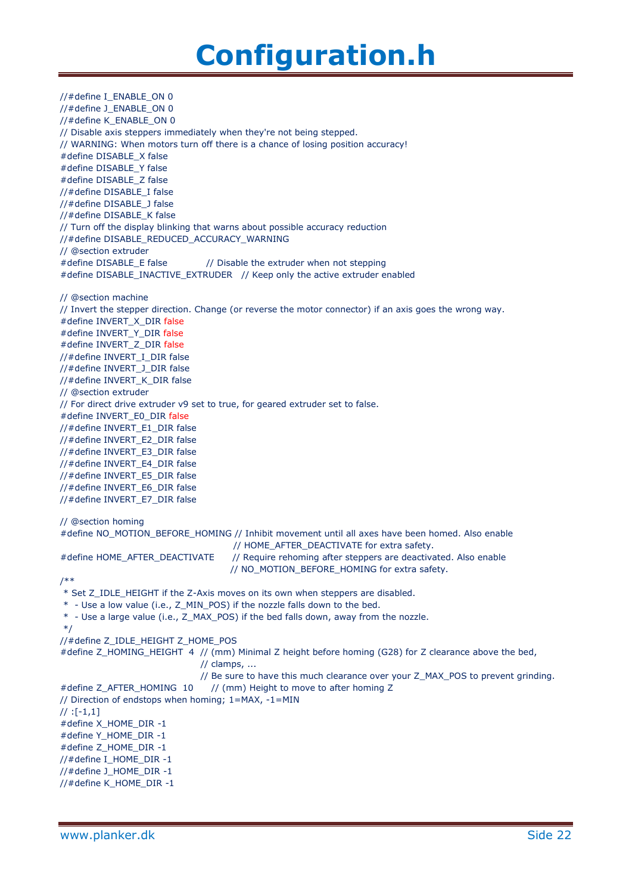//#define I\_ENABLE\_ON 0 //#define J\_ENABLE\_ON 0 //#define K\_ENABLE\_ON 0 // Disable axis steppers immediately when they're not being stepped. // WARNING: When motors turn off there is a chance of losing position accuracy! #define DISABLE\_X false #define DISABLE\_Y false #define DISABLE\_Z false //#define DISABLE\_I false //#define DISABLE\_J false //#define DISABLE\_K false // Turn off the display blinking that warns about possible accuracy reduction //#define DISABLE\_REDUCED\_ACCURACY\_WARNING // @section extruder #define DISABLE\_E false // Disable the extruder when not stepping #define DISABLE\_INACTIVE\_EXTRUDER // Keep only the active extruder enabled // @section machine // Invert the stepper direction. Change (or reverse the motor connector) if an axis goes the wrong way. #define INVERT\_X\_DIR false #define INVERT\_Y\_DIR false #define INVERT\_Z\_DIR false //#define INVERT\_I\_DIR false //#define INVERT\_J\_DIR false //#define INVERT\_K\_DIR false // @section extruder // For direct drive extruder v9 set to true, for geared extruder set to false. #define INVERT\_E0\_DIR false //#define INVERT\_E1\_DIR false //#define INVERT\_E2\_DIR false //#define INVERT\_E3\_DIR false //#define INVERT\_E4\_DIR false //#define INVERT\_E5\_DIR false //#define INVERT\_E6\_DIR false //#define INVERT\_E7\_DIR false // @section homing #define NO\_MOTION\_BEFORE\_HOMING // Inhibit movement until all axes have been homed. Also enable // HOME\_AFTER\_DEACTIVATE for extra safety. #define HOME\_AFTER\_DEACTIVATE // Require rehoming after steppers are deactivated. Also enable // NO\_MOTION\_BEFORE\_HOMING for extra safety. /\*\* \* Set Z\_IDLE\_HEIGHT if the Z-Axis moves on its own when steppers are disabled. \* - Use a low value (i.e., Z\_MIN\_POS) if the nozzle falls down to the bed. \* - Use a large value (i.e., Z\_MAX\_POS) if the bed falls down, away from the nozzle. \*/ //#define Z\_IDLE\_HEIGHT Z\_HOME\_POS #define Z\_HOMING\_HEIGHT 4 // (mm) Minimal Z height before homing (G28) for Z clearance above the bed, // clamps, ... // Be sure to have this much clearance over your Z\_MAX\_POS to prevent grinding. #define Z\_AFTER\_HOMING 10 // (mm) Height to move to after homing Z // Direction of endstops when homing; 1=MAX, -1=MIN  $//$  :[-1,1] #define X\_HOME\_DIR -1 #define Y\_HOME\_DIR -1 #define Z\_HOME\_DIR -1 //#define I\_HOME\_DIR -1 //#define J\_HOME\_DIR -1 //#define K\_HOME\_DIR -1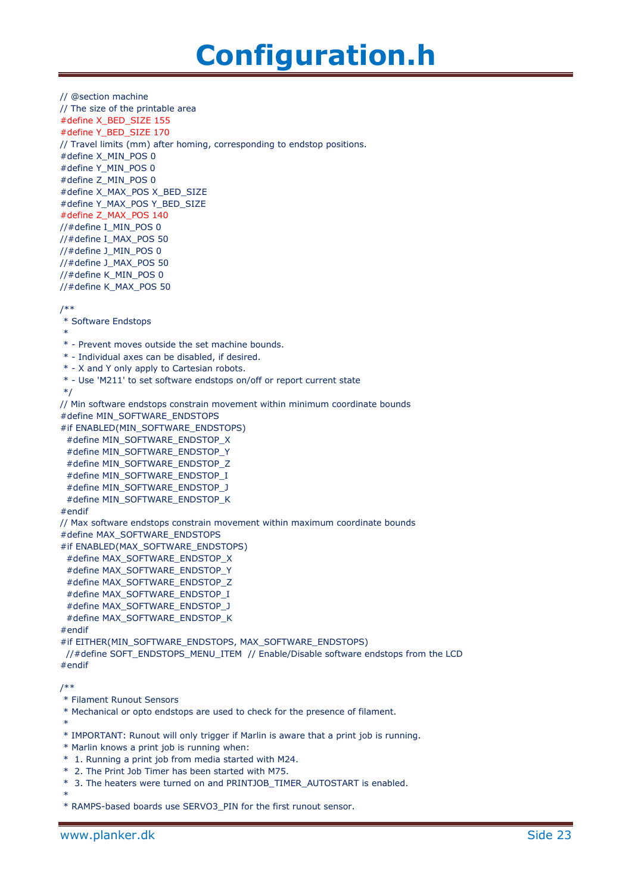```
// @section machine
// The size of the printable area
#define X_BED_SIZE 155
#define Y_BED_SIZE 170
// Travel limits (mm) after homing, corresponding to endstop positions.
#define X_MIN_POS 0
#define Y_MIN_POS 0
#define Z_MIN_POS 0
#define X_MAX_POS X_BED_SIZE
#define Y_MAX_POS Y_BED_SIZE
#define Z_MAX_POS 140
//#define I_MIN_POS 0
//#define I_MAX_POS 50
//#define J_MIN_POS 0
//#define J_MAX_POS 50
//#define K_MIN_POS 0
//#define K_MAX_POS 50
/**
* Software Endstops
*
* - Prevent moves outside the set machine bounds.
* - Individual axes can be disabled, if desired.
* - X and Y only apply to Cartesian robots.
* - Use 'M211' to set software endstops on/off or report current state
*/
// Min software endstops constrain movement within minimum coordinate bounds
#define MIN_SOFTWARE_ENDSTOPS
#if ENABLED(MIN_SOFTWARE_ENDSTOPS)
 #define MIN_SOFTWARE_ENDSTOP_X
 #define MIN_SOFTWARE_ENDSTOP_Y
 #define MIN_SOFTWARE_ENDSTOP_Z
  #define MIN_SOFTWARE_ENDSTOP_I
  #define MIN_SOFTWARE_ENDSTOP_J
  #define MIN_SOFTWARE_ENDSTOP_K
#endif
// Max software endstops constrain movement within maximum coordinate bounds
#define MAX_SOFTWARE_ENDSTOPS
#if ENABLED(MAX_SOFTWARE_ENDSTOPS)
  #define MAX_SOFTWARE_ENDSTOP_X
  #define MAX_SOFTWARE_ENDSTOP_Y
  #define MAX_SOFTWARE_ENDSTOP_Z
  #define MAX_SOFTWARE_ENDSTOP_I
  #define MAX_SOFTWARE_ENDSTOP_J
  #define MAX_SOFTWARE_ENDSTOP_K
#endif
#if EITHER(MIN_SOFTWARE_ENDSTOPS, MAX_SOFTWARE_ENDSTOPS)
  //#define SOFT_ENDSTOPS_MENU_ITEM // Enable/Disable software endstops from the LCD
#endif
/**
* Filament Runout Sensors
* Mechanical or opto endstops are used to check for the presence of filament.
 *
* IMPORTANT: Runout will only trigger if Marlin is aware that a print job is running.
* Marlin knows a print job is running when:
 * 1. Running a print job from media started with M24.
* 2. The Print Job Timer has been started with M75.
* 3. The heaters were turned on and PRINTJOB_TIMER_AUTOSTART is enabled.
 *
* RAMPS-based boards use SERVO3_PIN for the first runout sensor.
```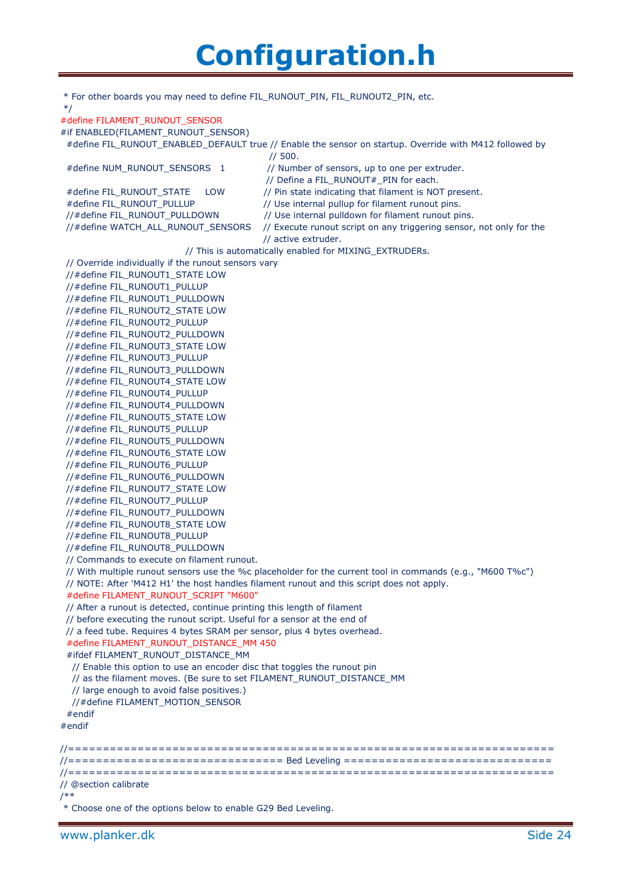| * For other boards you may need to define FIL_RUNOUT_PIN, FIL_RUNOUT2_PIN, etc.<br>$*$ /                               |  |  |
|------------------------------------------------------------------------------------------------------------------------|--|--|
| #define FILAMENT RUNOUT SENSOR                                                                                         |  |  |
| #if ENABLED(FILAMENT_RUNOUT_SENSOR)                                                                                    |  |  |
| #define FIL_RUNOUT_ENABLED_DEFAULT true // Enable the sensor on startup. Override with M412 followed by<br>1/500.      |  |  |
| #define NUM_RUNOUT_SENSORS 1<br>// Number of sensors, up to one per extruder.<br>// Define a FIL_RUNOUT#_PIN for each. |  |  |
| // Pin state indicating that filament is NOT present.<br>#define FIL RUNOUT STATE<br>LOW                               |  |  |
| #define FIL RUNOUT PULLUP<br>// Use internal pullup for filament runout pins.                                          |  |  |
| // Use internal pulldown for filament runout pins.<br>//#define FIL_RUNOUT_PULLDOWN                                    |  |  |
| // Execute runout script on any triggering sensor, not only for the<br>//#define WATCH_ALL_RUNOUT_SENSORS              |  |  |
| // active extruder.                                                                                                    |  |  |
| // This is automatically enabled for MIXING_EXTRUDERs.                                                                 |  |  |
| // Override individually if the runout sensors vary                                                                    |  |  |
| //#define FIL_RUNOUT1_STATE LOW                                                                                        |  |  |
| //#define FIL_RUNOUT1_PULLUP                                                                                           |  |  |
| //#define FIL_RUNOUT1_PULLDOWN                                                                                         |  |  |
| //#define FIL_RUNOUT2_STATE LOW                                                                                        |  |  |
| //#define FIL RUNOUT2 PULLUP                                                                                           |  |  |
| //#define FIL_RUNOUT2_PULLDOWN                                                                                         |  |  |
| //#define FIL_RUNOUT3_STATE LOW                                                                                        |  |  |
| //#define FIL_RUNOUT3_PULLUP                                                                                           |  |  |
| //#define FIL RUNOUT3 PULLDOWN                                                                                         |  |  |
| //#define FIL_RUNOUT4_STATE LOW                                                                                        |  |  |
| //#define FIL_RUNOUT4_PULLUP                                                                                           |  |  |
| //#define FIL_RUNOUT4_PULLDOWN                                                                                         |  |  |
| //#define FIL_RUNOUT5_STATE LOW                                                                                        |  |  |
| //#define FIL_RUNOUT5_PULLUP                                                                                           |  |  |
| //#define FIL RUNOUT5 PULLDOWN                                                                                         |  |  |
| //#define FIL_RUNOUT6_STATE LOW                                                                                        |  |  |
| //#define FIL_RUNOUT6_PULLUP                                                                                           |  |  |
| //#define FIL_RUNOUT6_PULLDOWN                                                                                         |  |  |
| //#define FIL_RUNOUT7_STATE LOW                                                                                        |  |  |
| //#define FIL RUNOUT7 PULLUP                                                                                           |  |  |
| //#define FIL_RUNOUT7_PULLDOWN                                                                                         |  |  |
| //#define FIL_RUNOUT8_STATE LOW<br>//#define FIL_RUNOUT8_PULLUP                                                        |  |  |
| //#define FIL_RUNOUT8_PULLDOWN                                                                                         |  |  |
| // Commands to execute on filament runout.                                                                             |  |  |
| // With multiple runout sensors use the %c placeholder for the current tool in commands (e.g., "M600 T%c")             |  |  |
| // NOTE: After 'M412 H1' the host handles filament runout and this script does not apply.                              |  |  |
| #define FILAMENT_RUNOUT_SCRIPT "M600"                                                                                  |  |  |
| // After a runout is detected, continue printing this length of filament                                               |  |  |
| // before executing the runout script. Useful for a sensor at the end of                                               |  |  |
| // a feed tube. Requires 4 bytes SRAM per sensor, plus 4 bytes overhead.                                               |  |  |
| #define FILAMENT_RUNOUT_DISTANCE_MM 450                                                                                |  |  |
| #ifdef FILAMENT_RUNOUT_DISTANCE_MM                                                                                     |  |  |
| // Enable this option to use an encoder disc that toggles the runout pin                                               |  |  |
| // as the filament moves. (Be sure to set FILAMENT_RUNOUT_DISTANCE_MM                                                  |  |  |
| // large enough to avoid false positives.)                                                                             |  |  |
| //#define FILAMENT_MOTION_SENSOR                                                                                       |  |  |
| $#$ endif                                                                                                              |  |  |
| #endif                                                                                                                 |  |  |
|                                                                                                                        |  |  |
|                                                                                                                        |  |  |
| //================================ Bed Leveling ================================                                       |  |  |
| // @section calibrate                                                                                                  |  |  |
| /**                                                                                                                    |  |  |
|                                                                                                                        |  |  |

\* Choose one of the options below to enable G29 Bed Leveling.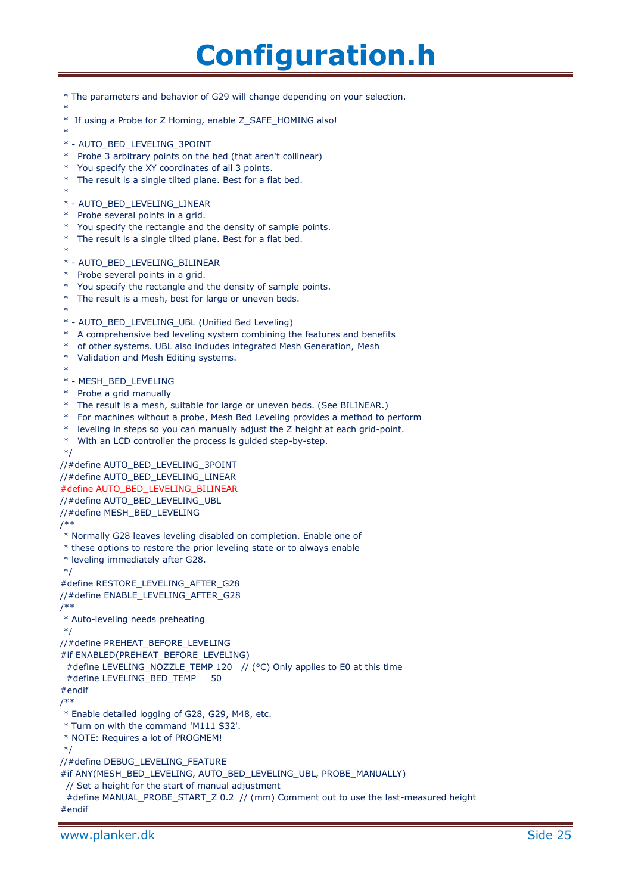\* The parameters and behavior of G29 will change depending on your selection. \* \* If using a Probe for Z Homing, enable Z\_SAFE\_HOMING also! \* \* - AUTO\_BED\_LEVELING\_3POINT \* Probe 3 arbitrary points on the bed (that aren't collinear) \* You specify the XY coordinates of all 3 points. \* The result is a single tilted plane. Best for a flat bed. \* \* - AUTO\_BED\_LEVELING\_LINEAR \* Probe several points in a grid. \* You specify the rectangle and the density of sample points. \* The result is a single tilted plane. Best for a flat bed. \* \* - AUTO\_BED\_LEVELING\_BILINEAR \* Probe several points in a grid. \* You specify the rectangle and the density of sample points. \* The result is a mesh, best for large or uneven beds. \* \* - AUTO\_BED\_LEVELING\_UBL (Unified Bed Leveling) \* A comprehensive bed leveling system combining the features and benefits \* of other systems. UBL also includes integrated Mesh Generation, Mesh \* Validation and Mesh Editing systems. \* \* - MESH\_BED\_LEVELING \* Probe a grid manually The result is a mesh, suitable for large or uneven beds. (See BILINEAR.) \* For machines without a probe, Mesh Bed Leveling provides a method to perform \* leveling in steps so you can manually adjust the Z height at each grid-point. \* With an LCD controller the process is guided step-by-step. \*/ //#define AUTO\_BED\_LEVELING\_3POINT //#define AUTO\_BED\_LEVELING\_LINEAR #define AUTO\_BED\_LEVELING\_BILINEAR //#define AUTO\_BED\_LEVELING\_UBL //#define MESH\_BED\_LEVELING /\*\* \* Normally G28 leaves leveling disabled on completion. Enable one of \* these options to restore the prior leveling state or to always enable \* leveling immediately after G28. \*/ #define RESTORE\_LEVELING\_AFTER\_G28 //#define ENABLE\_LEVELING\_AFTER\_G28 /\*\* \* Auto-leveling needs preheating \*/ //#define PREHEAT\_BEFORE\_LEVELING #if ENABLED(PREHEAT\_BEFORE\_LEVELING) #define LEVELING\_NOZZLE\_TEMP 120 // (°C) Only applies to E0 at this time #define LEVELING BED TEMP 50 #endif /\*\* \* Enable detailed logging of G28, G29, M48, etc. \* Turn on with the command 'M111 S32'. \* NOTE: Requires a lot of PROGMEM! \*/ //#define DEBUG\_LEVELING\_FEATURE #if ANY(MESH\_BED\_LEVELING, AUTO\_BED\_LEVELING\_UBL, PROBE\_MANUALLY) // Set a height for the start of manual adjustment #define MANUAL\_PROBE\_START\_Z 0.2 // (mm) Comment out to use the last-measured height #endif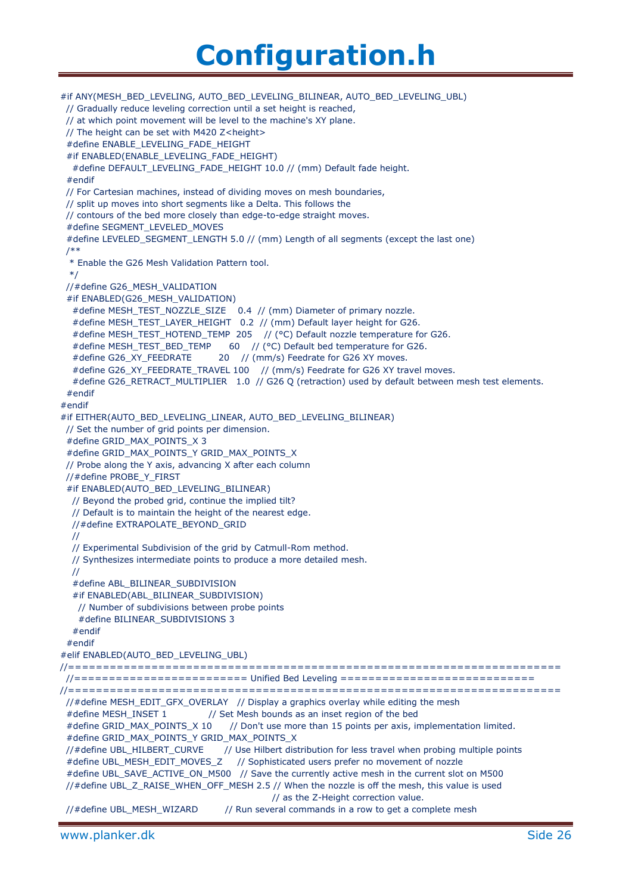#if ANY(MESH\_BED\_LEVELING, AUTO\_BED\_LEVELING\_BILINEAR, AUTO\_BED\_LEVELING\_UBL) // Gradually reduce leveling correction until a set height is reached, // at which point movement will be level to the machine's XY plane. // The height can be set with M420 Z<height> #define ENABLE\_LEVELING\_FADE\_HEIGHT #if ENABLED(ENABLE\_LEVELING\_FADE\_HEIGHT) #define DEFAULT\_LEVELING\_FADE\_HEIGHT 10.0 // (mm) Default fade height. #endif // For Cartesian machines, instead of dividing moves on mesh boundaries, // split up moves into short segments like a Delta. This follows the // contours of the bed more closely than edge-to-edge straight moves. #define SEGMENT\_LEVELED\_MOVES #define LEVELED\_SEGMENT\_LENGTH 5.0 // (mm) Length of all segments (except the last one) /\*\* \* Enable the G26 Mesh Validation Pattern tool. \*/ //#define G26\_MESH\_VALIDATION #if ENABLED(G26\_MESH\_VALIDATION) #define MESH\_TEST\_NOZZLE\_SIZE 0.4 // (mm) Diameter of primary nozzle. #define MESH\_TEST\_LAYER\_HEIGHT 0.2 // (mm) Default layer height for G26. #define MESH\_TEST\_HOTEND\_TEMP 205 // (°C) Default nozzle temperature for G26. #define MESH\_TEST\_BED\_TEMP 60 // (°C) Default bed temperature for G26. #define G26\_XY\_FEEDRATE 20 // (mm/s) Feedrate for G26 XY moves. #define G26\_XY\_FEEDRATE\_TRAVEL 100 // (mm/s) Feedrate for G26 XY travel moves. #define G26\_RETRACT\_MULTIPLIER 1.0 // G26 Q (retraction) used by default between mesh test elements. #endif #endif #if EITHER(AUTO\_BED\_LEVELING\_LINEAR, AUTO\_BED\_LEVELING\_BILINEAR) // Set the number of grid points per dimension. #define GRID\_MAX\_POINTS\_X 3 #define GRID\_MAX\_POINTS\_Y GRID\_MAX\_POINTS\_X // Probe along the Y axis, advancing X after each column //#define PROBE\_Y\_FIRST #if ENABLED(AUTO\_BED\_LEVELING\_BILINEAR) // Beyond the probed grid, continue the implied tilt? // Default is to maintain the height of the nearest edge. //#define EXTRAPOLATE\_BEYOND\_GRID // // Experimental Subdivision of the grid by Catmull-Rom method. // Synthesizes intermediate points to produce a more detailed mesh. // #define ABL\_BILINEAR\_SUBDIVISION #if ENABLED(ABL\_BILINEAR\_SUBDIVISION) // Number of subdivisions between probe points #define BILINEAR\_SUBDIVISIONS 3 #endif #endif #elif ENABLED(AUTO\_BED\_LEVELING\_UBL) //======================================================================= //========================= Unified Bed Leveling ============================ //======================================================================= //#define MESH\_EDIT\_GFX\_OVERLAY // Display a graphics overlay while editing the mesh #define MESH\_INSET 1 // Set Mesh bounds as an inset region of the bed #define GRID\_MAX\_POINTS\_X 10 // Don't use more than 15 points per axis, implementation limited. #define GRID\_MAX\_POINTS\_Y GRID\_MAX\_POINTS\_X //#define UBL\_HILBERT\_CURVE // Use Hilbert distribution for less travel when probing multiple points #define UBL\_MESH\_EDIT\_MOVES\_Z // Sophisticated users prefer no movement of nozzle #define UBL\_SAVE\_ACTIVE\_ON\_M500 // Save the currently active mesh in the current slot on M500 //#define UBL\_Z\_RAISE\_WHEN\_OFF\_MESH 2.5 // When the nozzle is off the mesh, this value is used // as the Z-Height correction value. //#define UBL\_MESH\_WIZARD // Run several commands in a row to get a complete mesh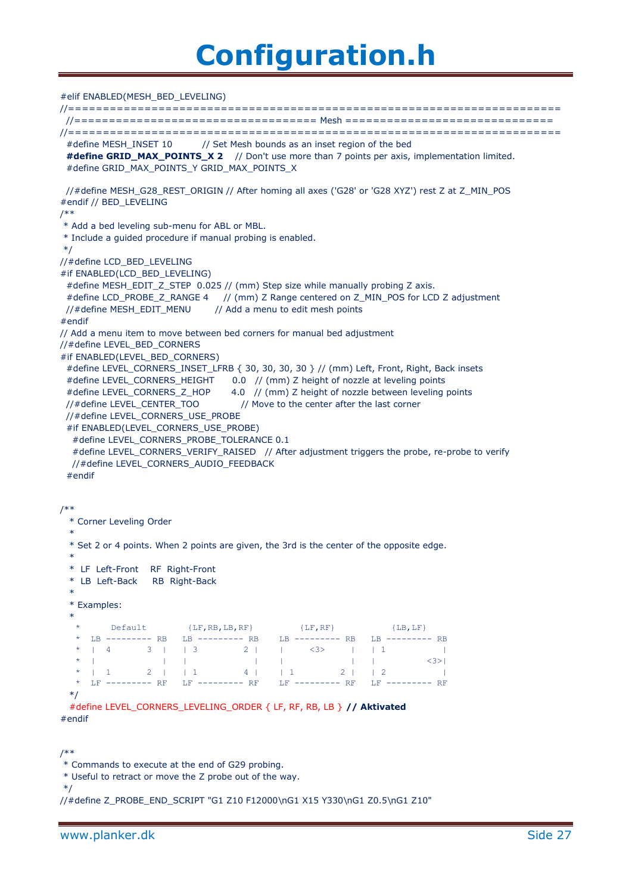#### #elif ENABLED(MESH\_BED\_LEVELING)

//======================================================================= //=================================== Mesh ============================== //======================================================================= #define MESH\_INSET 10 // Set Mesh bounds as an inset region of the bed #define GRID\_MAX\_POINTS\_X 2 // Don't use more than 7 points per axis, implementation limited. #define GRID\_MAX\_POINTS\_Y GRID\_MAX\_POINTS\_X //#define MESH\_G28\_REST\_ORIGIN // After homing all axes ('G28' or 'G28 XYZ') rest Z at Z\_MIN\_POS #endif // BED\_LEVELING /\*\* \* Add a bed leveling sub-menu for ABL or MBL. \* Include a guided procedure if manual probing is enabled. \*/ //#define LCD\_BED\_LEVELING #if ENABLED(LCD\_BED\_LEVELING) #define MESH\_EDIT\_Z\_STEP\_0.025 // (mm) Step size while manually probing Z axis. #define LCD\_PROBE\_Z\_RANGE 4 // (mm) Z Range centered on Z\_MIN\_POS for LCD Z adjustment //#define MESH\_EDIT\_MENU // Add a menu to edit mesh points #endif // Add a menu item to move between bed corners for manual bed adjustment //#define LEVEL\_BED\_CORNERS #if ENABLED(LEVEL BED CORNERS) #define LEVEL\_CORNERS\_INSET\_LFRB { 30, 30, 30, 30 } // (mm) Left, Front, Right, Back insets #define LEVEL\_CORNERS\_HEIGHT 0.0 // (mm) Z height of nozzle at leveling points #define LEVEL\_CORNERS\_Z\_HOP 4.0 // (mm) Z height of nozzle between leveling points //#define LEVEL\_CENTER\_TOO // Move to the center after the last corner //#define LEVEL\_CORNERS\_USE\_PROBE #if ENABLED(LEVEL\_CORNERS\_USE\_PROBE) #define LEVEL\_CORNERS\_PROBE\_TOLERANCE 0.1 #define LEVEL\_CORNERS\_VERIFY\_RAISED // After adjustment triggers the probe, re-probe to verify //#define LEVEL\_CORNERS\_AUDIO\_FEEDBACK #endif /\*\* \* Corner Leveling Order \* \* Set 2 or 4 points. When 2 points are given, the 3rd is the center of the opposite edge. \* \* LF Left-Front RF Right-Front \* LB Left-Back RB Right-Back \* \* Examples: \* \* Default {LF,RB,LB,RF} {LF,RF} {LB,LF} LB --------- RB LB --------- RB LB --------- RB LB --------- RB \* | 4 3 | | 3 2 | | <3> | | 1 | \* | | | | | | | <3>| \* | 1 2 | | 1 4 | | 1 2 | | 2 | \* LF --------- RF LF --------- RF LF --------- RF LF --------- RF \*/ #define LEVEL\_CORNERS\_LEVELING\_ORDER { LF, RF, RB, LB } **// Aktivated**

#endif

```
*/
```

```
//#define Z_PROBE_END_SCRIPT "G1 Z10 F12000\nG1 X15 Y330\nG1 Z0.5\nG1 Z10"
```
<sup>/\*\*</sup> \* Commands to execute at the end of G29 probing.

<sup>\*</sup> Useful to retract or move the Z probe out of the way.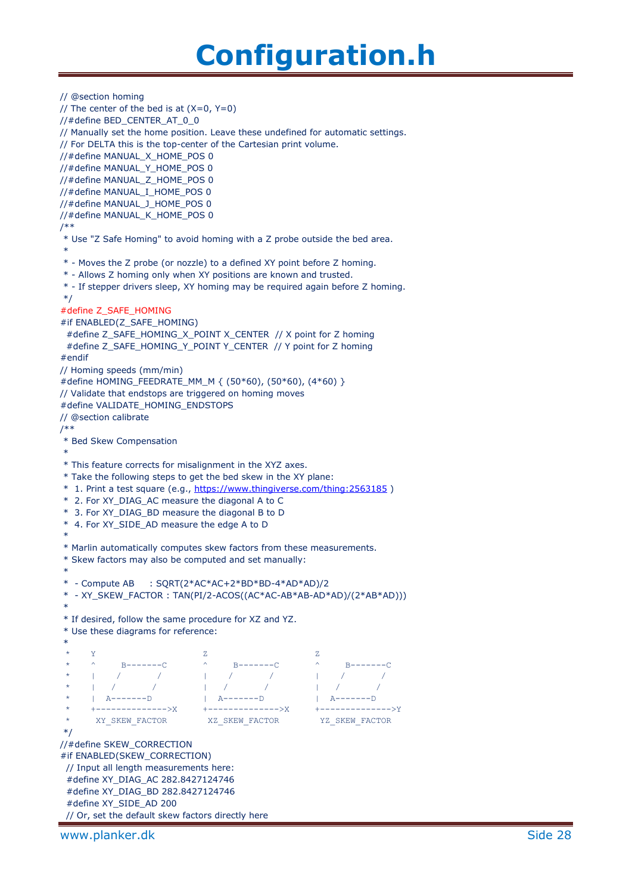// @section homing // The center of the bed is at  $(X=0, Y=0)$ //#define BED\_CENTER\_AT\_0\_0 // Manually set the home position. Leave these undefined for automatic settings. // For DELTA this is the top-center of the Cartesian print volume. //#define MANUAL\_X\_HOME\_POS 0 //#define MANUAL\_Y\_HOME\_POS 0 //#define MANUAL\_Z\_HOME\_POS 0 //#define MANUAL\_I\_HOME\_POS 0 //#define MANUAL\_J\_HOME\_POS 0 //#define MANUAL\_K\_HOME\_POS 0 /\*\* \* Use "Z Safe Homing" to avoid homing with a Z probe outside the bed area. \* \* - Moves the Z probe (or nozzle) to a defined XY point before Z homing. \* - Allows Z homing only when XY positions are known and trusted. \* - If stepper drivers sleep, XY homing may be required again before Z homing. \*/ #define Z\_SAFE\_HOMING #if ENABLED(Z\_SAFE\_HOMING) #define Z\_SAFE\_HOMING\_X\_POINT X\_CENTER // X point for Z homing #define Z\_SAFE\_HOMING\_Y\_POINT Y\_CENTER // Y point for Z homing #endif // Homing speeds (mm/min) #define HOMING\_FEEDRATE\_MM\_M { (50\*60), (50\*60), (4\*60) } // Validate that endstops are triggered on homing moves #define VALIDATE\_HOMING\_ENDSTOPS // @section calibrate /\*\* \* Bed Skew Compensation \* \* This feature corrects for misalignment in the XYZ axes. \* Take the following steps to get the bed skew in the XY plane: \* 1. Print a test square (e.g.,<https://www.thingiverse.com/thing:2563185> ) \* 2. For XY\_DIAG\_AC measure the diagonal A to C \* 3. For XY\_DIAG\_BD measure the diagonal B to D \* 4. For XY\_SIDE\_AD measure the edge A to D \* \* Marlin automatically computes skew factors from these measurements. \* Skew factors may also be computed and set manually: \* \* - Compute AB : SQRT(2\*AC\*AC+2\*BD\*BD-4\*AD\*AD)/2 \* - XY\_SKEW\_FACTOR : TAN(PI/2-ACOS((AC\*AC-AB\*AB-AD\*AD)/(2\*AB\*AD))) \* \* If desired, follow the same procedure for XZ and YZ. \* Use these diagrams for reference: \*  $\star$  Y  $\qquad$  Z  $\qquad$  Z \* ^ B-------C ^ B-------C ^ B-------C \* | / / | / / | / / \* | / / / | / / / | / / \* | A--------D | A--------D | A--------D \* +-------------->X +-------------->X +-------------->Y \* XY\_SKEW\_FACTOR XZ\_SKEW\_FACTOR YZ\_SKEW\_FACTOR \*/ //#define SKEW\_CORRECTION #if ENABLED(SKEW\_CORRECTION) // Input all length measurements here: #define XY\_DIAG\_AC 282.8427124746 #define XY\_DIAG\_BD 282.8427124746 #define XY\_SIDE\_AD 200 // Or, set the default skew factors directly here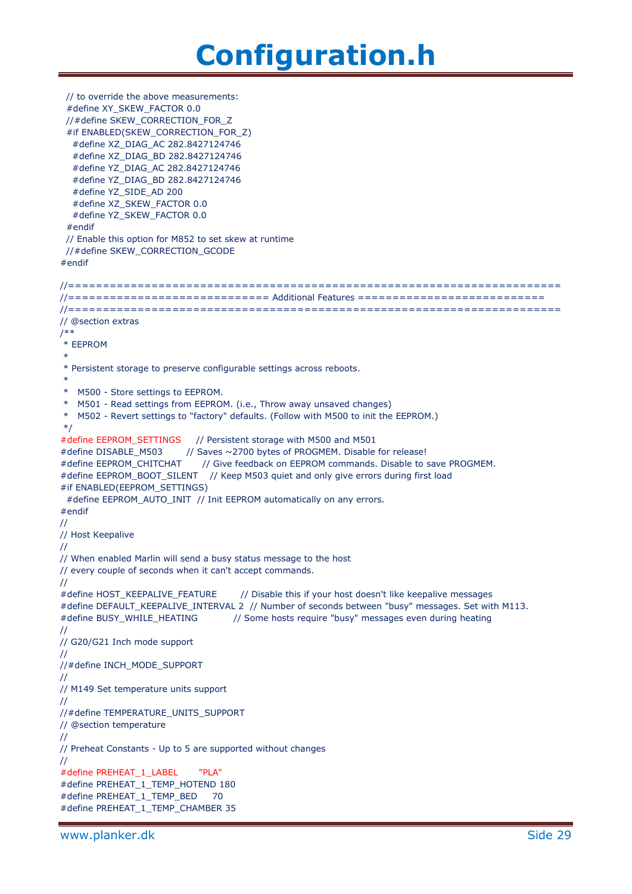```
 // to override the above measurements:
  #define XY_SKEW_FACTOR 0.0
  //#define SKEW_CORRECTION_FOR_Z
  #if ENABLED(SKEW_CORRECTION_FOR_Z)
   #define XZ_DIAG_AC 282.8427124746
   #define XZ_DIAG_BD 282.8427124746
   #define YZ_DIAG_AC 282.8427124746
   #define YZ_DIAG_BD 282.8427124746
   #define YZ_SIDE_AD 200
   #define XZ_SKEW_FACTOR 0.0
   #define YZ_SKEW_FACTOR 0.0
  #endif
  // Enable this option for M852 to set skew at runtime
  //#define SKEW_CORRECTION_GCODE
#endif
//=======================================================================
//============================= Additional Features ===========================
//=======================================================================
// @section extras
/**
* EEPROM
*
* Persistent storage to preserve configurable settings across reboots.
 *
* M500 - Store settings to EEPROM.
* M501 - Read settings from EEPROM. (i.e., Throw away unsaved changes)
* M502 - Revert settings to "factory" defaults. (Follow with M500 to init the EEPROM.)
*/
#define EEPROM_SETTINGS // Persistent storage with M500 and M501
#define DISABLE_M503 // Saves ~2700 bytes of PROGMEM. Disable for release!
#define EEPROM_CHITCHAT // Give feedback on EEPROM commands. Disable to save PROGMEM.
#define EEPROM_BOOT_SILENT // Keep M503 quiet and only give errors during first load
#if ENABLED(EEPROM_SETTINGS)
 #define EEPROM_AUTO_INIT // Init EEPROM automatically on any errors.
#endif
//
// Host Keepalive
//
// When enabled Marlin will send a busy status message to the host
// every couple of seconds when it can't accept commands.
//
#define HOST_KEEPALIVE_FEATURE // Disable this if your host doesn't like keepalive messages
#define DEFAULT_KEEPALIVE_INTERVAL 2 // Number of seconds between "busy" messages. Set with M113.
#define BUSY_WHILE_HEATING // Some hosts require "busy" messages even during heating
//
// G20/G21 Inch mode support
//
//#define INCH_MODE_SUPPORT
//
// M149 Set temperature units support
//
//#define TEMPERATURE_UNITS_SUPPORT
// @section temperature
//
// Preheat Constants - Up to 5 are supported without changes
//
#define PREHEAT_1_LABEL "PLA"
#define PREHEAT_1_TEMP_HOTEND 180
#define PREHEAT_1_TEMP_BED 70
#define PREHEAT_1_TEMP_CHAMBER 35
```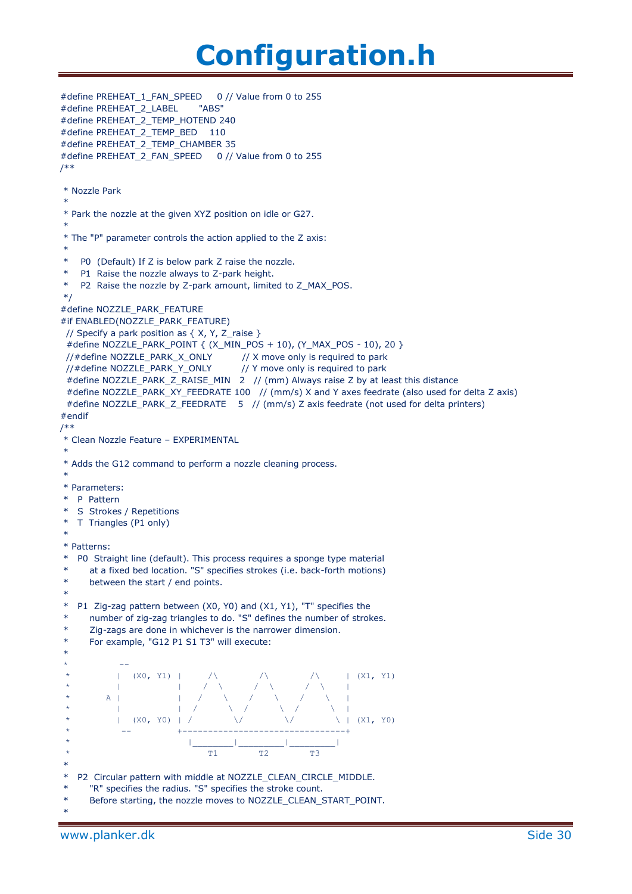```
#define PREHEAT_1_FAN_SPEED 0 // Value from 0 to 255
#define PREHEAT_2_LABEL "ABS"
#define PREHEAT_2_TEMP_HOTEND 240
#define PREHEAT_2_TEMP_BED 110
#define PREHEAT_2_TEMP_CHAMBER 35
#define PREHEAT_2_FAN_SPEED 0 // Value from 0 to 255
/**
* Nozzle Park
 *
* Park the nozzle at the given XYZ position on idle or G27.
 *
* The "P" parameter controls the action applied to the Z axis:
 *
  P0 (Default) If Z is below park Z raise the nozzle.
   P1 Raise the nozzle always to Z-park height.
* P2 Raise the nozzle by Z-park amount, limited to Z_MAX_POS.
*/
#define NOZZLE_PARK_FEATURE
#if ENABLED(NOZZLE_PARK_FEATURE)
 // Specify a park position as \{ X, Y, Z \text{ raise } \} #define NOZZLE_PARK_POINT { (X_MIN_POS + 10), (Y_MAX_POS - 10), 20 }
 //#define NOZZLE_PARK_X_ONLY // X move only is required to park
 //#define NOZZLE_PARK_Y_ONLY // Y move only is required to park
 \frac{1}{4} define NOZZLE_PARK_Z_RAISE_MIN 2 // (mm) Always raise Z by at least this distance
  #define NOZZLE_PARK_XY_FEEDRATE 100 // (mm/s) X and Y axes feedrate (also used for delta Z axis)
 #define NOZZLE_PARK_Z_FEEDRATE 5 // (mm/s) Z axis feedrate (not used for delta printers)
#endif
/**
* Clean Nozzle Feature – EXPERIMENTAL
 *
* Adds the G12 command to perform a nozzle cleaning process.
 *
* Parameters:
 * P Pattern
* S Strokes / Repetitions
* T Triangles (P1 only)
 *
* Patterns:
* P0 Straight line (default). This process requires a sponge type material
      at a fixed bed location. "S" specifies strokes (i.e. back-forth motions)
      between the start / end points.
 *
* P1 Zig-zag pattern between (X0, Y0) and (X1, Y1), "T" specifies the
      number of zig-zag triangles to do. "S" defines the number of strokes.
      Zig-zags are done in whichever is the narrower dimension.
      For example, "G12 P1 S1 T3" will execute:
 *
 * --
                (X0, Y1) / / / / / / (XI, Y1)* | | / \ / \ / \ |
 * A | / \ \ / \ / \ \ |
 * | | / \ / \ / \ |
               (X0, Y0) | / \qquad \qquad \setminus / \qquad \qquad \setminus / \qquad \qquad \setminus (X1, Y0)* -- +--------------------------------+
 \star \qquad \qquad \qquad \qquad \qquad \qquad \qquad \qquad \qquad \qquad \qquad \qquad \qquad \qquad \qquad \qquad \qquad \qquad \qquad \qquad \qquad \qquad \qquad \qquad \qquad \qquad \qquad \qquad \qquad \qquad \qquad \qquad \qquad \qquad \qquad \qquad 
 \star T1 T2 T3
 *
* P2 Circular pattern with middle at NOZZLE_CLEAN_CIRCLE_MIDDLE.
* "R" specifies the radius. "S" specifies the stroke count.
      Before starting, the nozzle moves to NOZZLE_CLEAN_START_POINT.
 *
```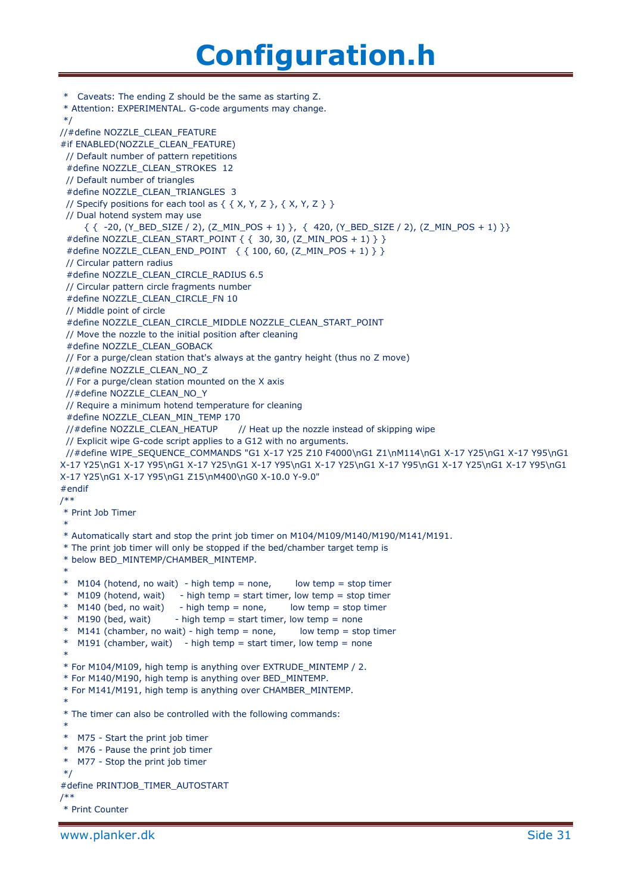\* Caveats: The ending Z should be the same as starting Z. \* Attention: EXPERIMENTAL. G-code arguments may change. \*/ //#define NOZZLE\_CLEAN\_FEATURE #if ENABLED(NOZZLE\_CLEAN\_FEATURE) // Default number of pattern repetitions #define NOZZLE\_CLEAN\_STROKES 12 // Default number of triangles #define NOZZLE\_CLEAN\_TRIANGLES 3 // Specify positions for each tool as  $\{ \{ X, Y, Z \} , \{ X, Y, Z \} \}$  // Dual hotend system may use { { -20, (Y\_BED\_SIZE / 2), (Z\_MIN\_POS + 1) }, { 420, (Y\_BED\_SIZE / 2), (Z\_MIN\_POS + 1) }} #define NOZZLE\_CLEAN\_START\_POINT { { 30, 30, (Z\_MIN\_POS + 1) } } #define NOZZLE\_CLEAN\_END\_POINT { { 100, 60, (Z\_MIN\_POS + 1) } } // Circular pattern radius #define NOZZLE\_CLEAN\_CIRCLE\_RADIUS 6.5 // Circular pattern circle fragments number #define NOZZLE\_CLEAN\_CIRCLE\_FN 10 // Middle point of circle #define NOZZLE\_CLEAN\_CIRCLE\_MIDDLE NOZZLE\_CLEAN\_START\_POINT // Move the nozzle to the initial position after cleaning #define NOZZLE\_CLEAN\_GOBACK // For a purge/clean station that's always at the gantry height (thus no Z move) //#define NOZZLE\_CLEAN\_NO\_Z // For a purge/clean station mounted on the X axis //#define NOZZLE\_CLEAN\_NO\_Y // Require a minimum hotend temperature for cleaning #define NOZZLE\_CLEAN\_MIN\_TEMP 170 //#define NOZZLE\_CLEAN\_HEATUP // Heat up the nozzle instead of skipping wipe // Explicit wipe G-code script applies to a G12 with no arguments. //#define WIPE\_SEQUENCE\_COMMANDS "G1 X-17 Y25 Z10 F4000\nG1 Z1\nM114\nG1 X-17 Y25\nG1 X-17 Y95\nG1 X-17 Y25\nG1 X-17 Y95\nG1 X-17 Y25\nG1 X-17 Y95\nG1 X-17 Y25\nG1 X-17 Y95\nG1 X-17 Y25\nG1 X-17 Y95\nG1 X-17 Y25\nG1 X-17 Y95\nG1 Z15\nM400\nG0 X-10.0 Y-9.0" #endif /\*\* \* Print Job Timer \* \* Automatically start and stop the print job timer on M104/M109/M140/M190/M141/M191. \* The print job timer will only be stopped if the bed/chamber target temp is \* below BED\_MINTEMP/CHAMBER\_MINTEMP. \*  $*$  M104 (hotend, no wait) - high temp = none, low temp = stop timer \* M109 (hotend, wait) - high temp = start timer, low temp = stop timer  $*$  M140 (bed, no wait) - high temp = none, low temp = stop timer  $*$  M190 (bed, wait) - high temp = start timer, low temp = none  $*$  M141 (chamber, no wait) - high temp = none, low temp = stop timer  $*$  M191 (chamber, wait) - high temp = start timer, low temp = none \* \* For M104/M109, high temp is anything over EXTRUDE\_MINTEMP / 2. \* For M140/M190, high temp is anything over BED\_MINTEMP. \* For M141/M191, high temp is anything over CHAMBER\_MINTEMP. \* \* The timer can also be controlled with the following commands: \* \* M75 - Start the print job timer \* M76 - Pause the print job timer \* M77 - Stop the print job timer \*/ #define PRINTJOB\_TIMER\_AUTOSTART /\*\* \* Print Counter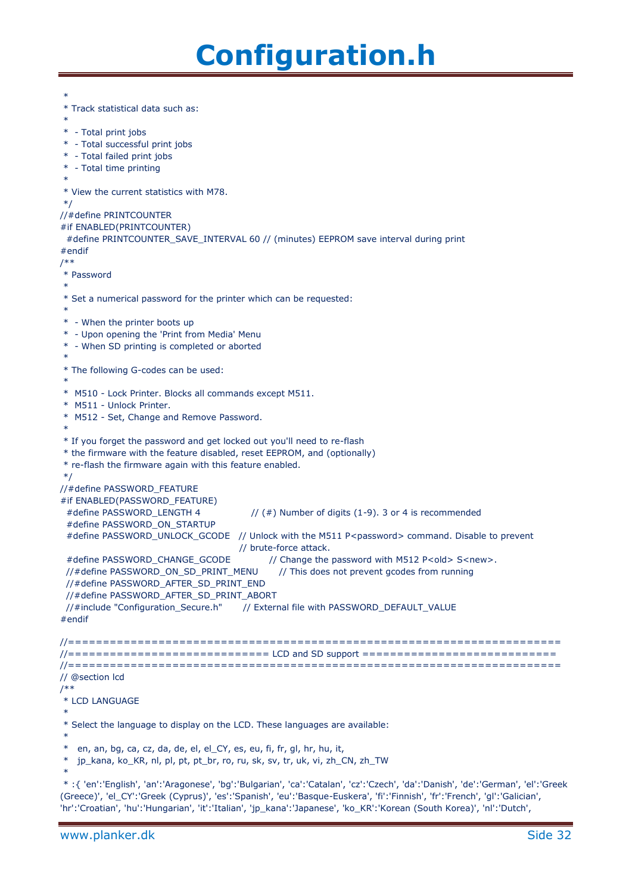\* \* Track statistical data such as: \* \* - Total print jobs \* - Total successful print jobs \* - Total failed print jobs \* - Total time printing \* \* View the current statistics with M78. \*/ //#define PRINTCOUNTER #if ENABLED(PRINTCOUNTER) #define PRINTCOUNTER\_SAVE\_INTERVAL 60 // (minutes) EEPROM save interval during print #endif /\*\* \* Password \* \* Set a numerical password for the printer which can be requested: \* \* - When the printer boots up \* - Upon opening the 'Print from Media' Menu \* - When SD printing is completed or aborted \* \* The following G-codes can be used: \* \* M510 - Lock Printer. Blocks all commands except M511. \* M511 - Unlock Printer. \* M512 - Set, Change and Remove Password. \* \* If you forget the password and get locked out you'll need to re-flash \* the firmware with the feature disabled, reset EEPROM, and (optionally) \* re-flash the firmware again with this feature enabled. \*/ //#define PASSWORD\_FEATURE #if ENABLED(PASSWORD\_FEATURE) #define PASSWORD\_LENGTH 4 // (#) Number of digits (1-9). 3 or 4 is recommended #define PASSWORD\_ON\_STARTUP #define PASSWORD\_UNLOCK\_GCODE // Unlock with the M511 P<password> command. Disable to prevent // brute-force attack. #define PASSWORD\_CHANGE\_GCODE // Change the password with M512 P<old> S<new>. //#define PASSWORD\_ON\_SD\_PRINT\_MENU // This does not prevent gcodes from running //#define PASSWORD\_AFTER\_SD\_PRINT\_END //#define PASSWORD\_AFTER\_SD\_PRINT\_ABORT //#include "Configuration\_Secure.h" // External file with PASSWORD\_DEFAULT\_VALUE #endif //======================================================================= //============================= LCD and SD support ============================ //======================================================================= // @section lcd /\*\* \* LCD LANGUAGE \* \* Select the language to display on the LCD. These languages are available: \* \* en, an, bg, ca, cz, da, de, el, el\_CY, es, eu, fi, fr, gl, hr, hu, it, \* jp\_kana, ko\_KR, nl, pl, pt, pt\_br, ro, ru, sk, sv, tr, uk, vi, zh\_CN, zh\_TW \* \* :{ 'en':'English', 'an':'Aragonese', 'bg':'Bulgarian', 'ca':'Catalan', 'cz':'Czech', 'da':'Danish', 'de':'German', 'el':'Greek (Greece)', 'el\_CY':'Greek (Cyprus)', 'es':'Spanish', 'eu':'Basque-Euskera', 'fi':'Finnish', 'fr':'French', 'gl':'Galician',

'hr':'Croatian', 'hu':'Hungarian', 'it':'Italian', 'jp\_kana':'Japanese', 'ko\_KR':'Korean (South Korea)', 'nl':'Dutch',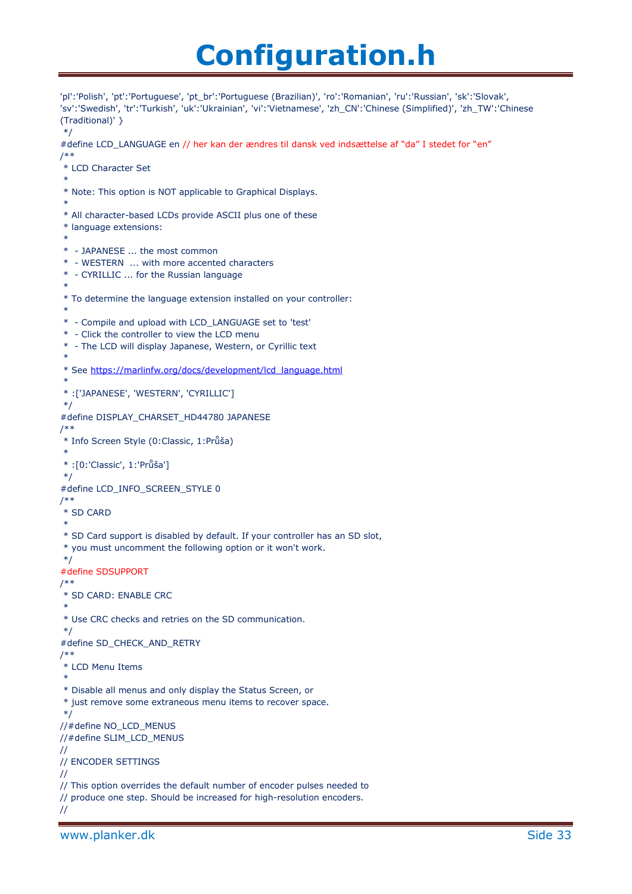```
'pl':'Polish', 'pt':'Portuguese', 'pt_br':'Portuguese (Brazilian)', 'ro':'Romanian', 'ru':'Russian', 'sk':'Slovak', 
'sv':'Swedish', 'tr':'Turkish', 'uk':'Ukrainian', 'vi':'Vietnamese', 'zh_CN':'Chinese (Simplified)', 'zh_TW':'Chinese 
(Traditional)' }
*/
#define LCD_LANGUAGE en // her kan der ændres til dansk ved indsættelse af "da" I stedet for "en"
/**
* LCD Character Set
*
* Note: This option is NOT applicable to Graphical Displays.
 *
* All character-based LCDs provide ASCII plus one of these
* language extensions:
 *
* - JAPANESE ... the most common
* - WESTERN ... with more accented characters
* - CYRILLIC ... for the Russian language
 *
* To determine the language extension installed on your controller:
 *
* - Compile and upload with LCD_LANGUAGE set to 'test'
* - Click the controller to view the LCD menu
* - The LCD will display Japanese, Western, or Cyrillic text
 *
* See https://marlinfw.org/docs/development/lcd_language.html
 *
* :['JAPANESE', 'WESTERN', 'CYRILLIC']
*/
#define DISPLAY_CHARSET_HD44780 JAPANESE
/**
* Info Screen Style (0:Classic, 1:Průša)
*
* :[0:'Classic', 1:'Průša']
*/
#define LCD_INFO_SCREEN_STYLE 0
/**
* SD CARD
*
* SD Card support is disabled by default. If your controller has an SD slot,
* you must uncomment the following option or it won't work.
*/
#define SDSUPPORT
/**
* SD CARD: ENABLE CRC
*
* Use CRC checks and retries on the SD communication.
*/
#define SD_CHECK_AND_RETRY
/**
* LCD Menu Items
 *
* Disable all menus and only display the Status Screen, or
* just remove some extraneous menu items to recover space.
*/
//#define NO_LCD_MENUS
//#define SLIM_LCD_MENUS
//
// ENCODER SETTINGS
//
// This option overrides the default number of encoder pulses needed to
// produce one step. Should be increased for high-resolution encoders.
//
```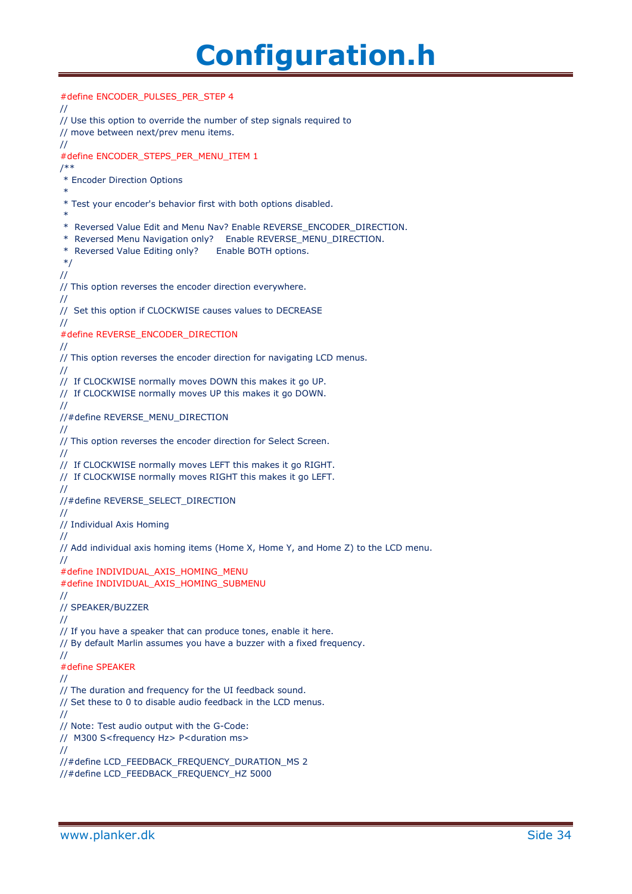```
#define ENCODER_PULSES_PER_STEP 4
//
// Use this option to override the number of step signals required to
// move between next/prev menu items.
//
#define ENCODER_STEPS_PER_MENU_ITEM 1
/**
* Encoder Direction Options
 *
* Test your encoder's behavior first with both options disabled.
 *
* Reversed Value Edit and Menu Nav? Enable REVERSE_ENCODER_DIRECTION.
* Reversed Menu Navigation only? Enable REVERSE_MENU_DIRECTION.
* Reversed Value Editing only? Enable BOTH options.
*/
//
// This option reverses the encoder direction everywhere.
//
// Set this option if CLOCKWISE causes values to DECREASE
//
#define REVERSE_ENCODER_DIRECTION
//
// This option reverses the encoder direction for navigating LCD menus.
//
// If CLOCKWISE normally moves DOWN this makes it go UP.
// If CLOCKWISE normally moves UP this makes it go DOWN.
//
//#define REVERSE_MENU_DIRECTION
//
// This option reverses the encoder direction for Select Screen.
//
// If CLOCKWISE normally moves LEFT this makes it go RIGHT.
// If CLOCKWISE normally moves RIGHT this makes it go LEFT.
//
//#define REVERSE_SELECT_DIRECTION
//
// Individual Axis Homing
//
// Add individual axis homing items (Home X, Home Y, and Home Z) to the LCD menu.
//
#define INDIVIDUAL_AXIS_HOMING_MENU
#define INDIVIDUAL_AXIS_HOMING_SUBMENU
//
// SPEAKER/BUZZER
//
// If you have a speaker that can produce tones, enable it here.
// By default Marlin assumes you have a buzzer with a fixed frequency.
//
#define SPEAKER
//
// The duration and frequency for the UI feedback sound.
// Set these to 0 to disable audio feedback in the LCD menus.
//
// Note: Test audio output with the G-Code:
// M300 S<frequency Hz> P<duration ms>
//
//#define LCD_FEEDBACK_FREQUENCY_DURATION_MS 2
//#define LCD_FEEDBACK_FREQUENCY_HZ 5000
```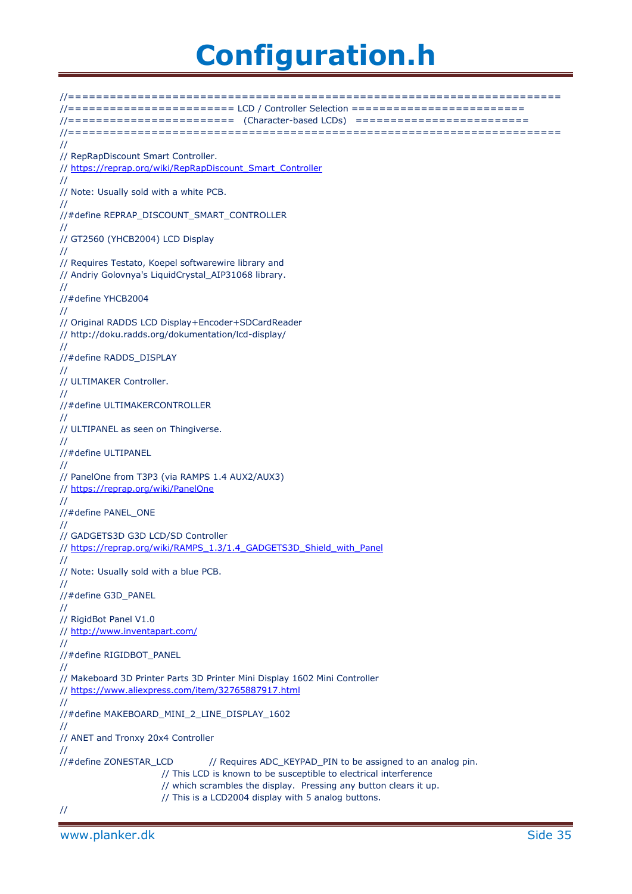//======================================================================= //======================== LCD / Controller Selection ========================= //======================== (Character-based LCDs) ========================= //======================================================================= // // RepRapDiscount Smart Controller. // [https://reprap.org/wiki/RepRapDiscount\\_Smart\\_Controller](https://reprap.org/wiki/RepRapDiscount_Smart_Controller) // // Note: Usually sold with a white PCB. // //#define REPRAP\_DISCOUNT\_SMART\_CONTROLLER // // GT2560 (YHCB2004) LCD Display // // Requires Testato, Koepel softwarewire library and // Andriy Golovnya's LiquidCrystal\_AIP31068 library. // //#define YHCB2004 // // Original RADDS LCD Display+Encoder+SDCardReader // http://doku.radds.org/dokumentation/lcd-display/ // //#define RADDS\_DISPLAY // // ULTIMAKER Controller. // //#define ULTIMAKERCONTROLLER // // ULTIPANEL as seen on Thingiverse. // //#define ULTIPANEL // // PanelOne from T3P3 (via RAMPS 1.4 AUX2/AUX3) //<https://reprap.org/wiki/PanelOne> // //#define PANEL\_ONE // // GADGETS3D G3D LCD/SD Controller // [https://reprap.org/wiki/RAMPS\\_1.3/1.4\\_GADGETS3D\\_Shield\\_with\\_Panel](https://reprap.org/wiki/RAMPS_1.3/1.4_GADGETS3D_Shield_with_Panel) // // Note: Usually sold with a blue PCB. // //#define G3D\_PANEL // // RigidBot Panel V1.0 //<http://www.inventapart.com/> // //#define RIGIDBOT\_PANEL // // Makeboard 3D Printer Parts 3D Printer Mini Display 1602 Mini Controller //<https://www.aliexpress.com/item/32765887917.html> // //#define MAKEBOARD\_MINI\_2\_LINE\_DISPLAY\_1602 // // ANET and Tronxy 20x4 Controller // //#define ZONESTAR\_LCD // Requires ADC\_KEYPAD\_PIN to be assigned to an analog pin. // This LCD is known to be susceptible to electrical interference // which scrambles the display. Pressing any button clears it up. // This is a LCD2004 display with 5 analog buttons. //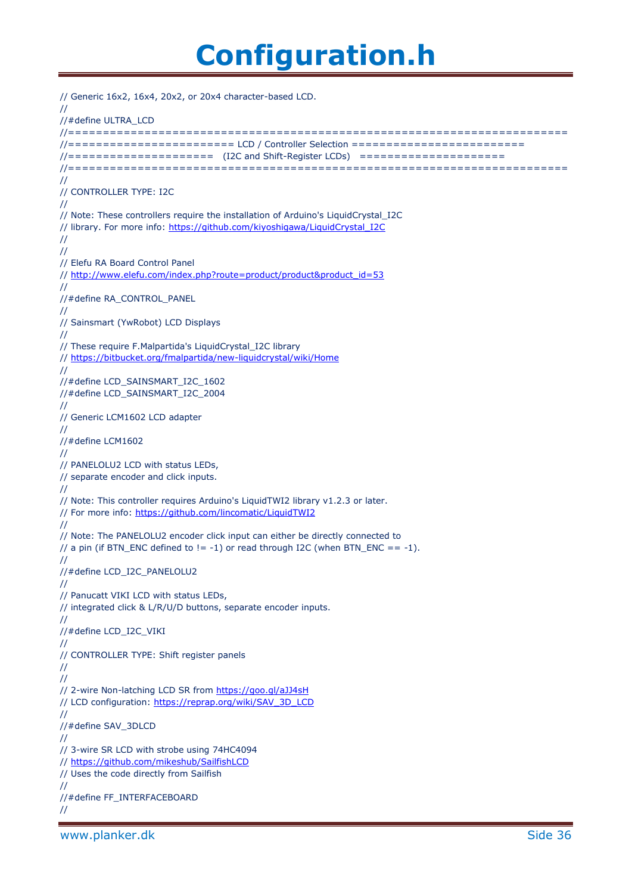```
// Generic 16x2, 16x4, 20x2, or 20x4 character-based LCD.
//
//#define ULTRA_LCD
//========================================================================
//======================== LCD / Controller Selection =========================
//===================== (I2C and Shift-Register LCDs) =====================
//========================================================================
//
// CONTROLLER TYPE: I2C
//
// Note: These controllers require the installation of Arduino's LiquidCrystal_I2C
// library. For more info: https://github.com/kiyoshigawa/LiquidCrystal_I2C
//
//
// Elefu RA Board Control Panel
// http://www.elefu.com/index.php?route=product/product&product_id=53
//
//#define RA_CONTROL_PANEL
//
// Sainsmart (YwRobot) LCD Displays
//
// These require F.Malpartida's LiquidCrystal_I2C library
// https://bitbucket.org/fmalpartida/new-liquidcrystal/wiki/Home
//
//#define LCD_SAINSMART_I2C_1602
//#define LCD_SAINSMART_I2C_2004
//
// Generic LCM1602 LCD adapter
//
//#define LCM1602
//
// PANELOLU2 LCD with status LEDs,
// separate encoder and click inputs.
//
// Note: This controller requires Arduino's LiquidTWI2 library v1.2.3 or later.
 https://github.com/lincomatic/LiquidTWI2
//
// Note: The PANELOLU2 encoder click input can either be directly connected to
// a pin (if BTN_ENC defined to != -1) or read through I2C (when BTN_ENC == -1).
//
//#define LCD_I2C_PANELOLU2
//
// Panucatt VIKI LCD with status LEDs,
// integrated click & L/R/U/D buttons, separate encoder inputs.
//
//#define LCD_I2C_VIKI
//
// CONTROLLER TYPE: Shift register panels
//
//
// 2-wire Non-latching LCD SR from https://goo.gl/aJJ4sH
 https://reprap.org/wiki/SAV_3D_LCD
//
//#define SAV_3DLCD
//
// 3-wire SR LCD with strobe using 74HC4094
// https://github.com/mikeshub/SailfishLCD
// Uses the code directly from Sailfish
//
//#define FF_INTERFACEBOARD
//
```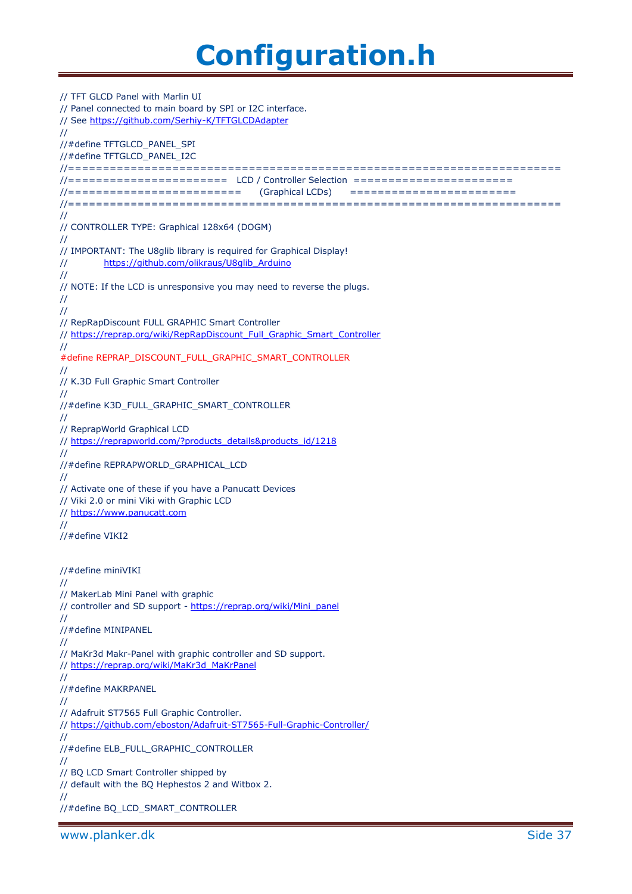// TFT GLCD Panel with Marlin UI // Panel connected to main board by SPI or I2C interface. // See<https://github.com/Serhiy-K/TFTGLCDAdapter> // //#define TFTGLCD\_PANEL\_SPI //#define TFTGLCD\_PANEL\_I2C //======================================================================= //======================= LCD / Controller Selection ======================= //========================= (Graphical LCDs) ======================== //======================================================================= // // CONTROLLER TYPE: Graphical 128x64 (DOGM) // // IMPORTANT: The U8glib library is required for Graphical Display! // [https://github.com/olikraus/U8glib\\_Arduino](https://github.com/olikraus/U8glib_Arduino) // // NOTE: If the LCD is unresponsive you may need to reverse the plugs. // // // RepRapDiscount FULL GRAPHIC Smart Controller // [https://reprap.org/wiki/RepRapDiscount\\_Full\\_Graphic\\_Smart\\_Controller](https://reprap.org/wiki/RepRapDiscount_Full_Graphic_Smart_Controller) // #define REPRAP\_DISCOUNT\_FULL\_GRAPHIC\_SMART\_CONTROLLER // // K.3D Full Graphic Smart Controller // //#define K3D\_FULL\_GRAPHIC\_SMART\_CONTROLLER // // ReprapWorld Graphical LCD // [https://reprapworld.com/?products\\_details&products\\_id/1218](https://reprapworld.com/?products_details&products_id/1218) // //#define REPRAPWORLD\_GRAPHICAL\_LCD // // Activate one of these if you have a Panucatt Devices // Viki 2.0 or mini Viki with Graphic LCD // [https://www.panucatt.com](https://www.panucatt.com/) // //#define VIKI2 //#define miniVIKI // // MakerLab Mini Panel with graphic // controller and SD support - [https://reprap.org/wiki/Mini\\_panel](https://reprap.org/wiki/Mini_panel) // //#define MINIPANEL // // MaKr3d Makr-Panel with graphic controller and SD support. // [https://reprap.org/wiki/MaKr3d\\_MaKrPanel](https://reprap.org/wiki/MaKr3d_MaKrPanel) // //#define MAKRPANEL // // Adafruit ST7565 Full Graphic Controller. //<https://github.com/eboston/Adafruit-ST7565-Full-Graphic-Controller/> // //#define ELB\_FULL\_GRAPHIC\_CONTROLLER // // BQ LCD Smart Controller shipped by // default with the BQ Hephestos 2 and Witbox 2. // //#define BQ\_LCD\_SMART\_CONTROLLER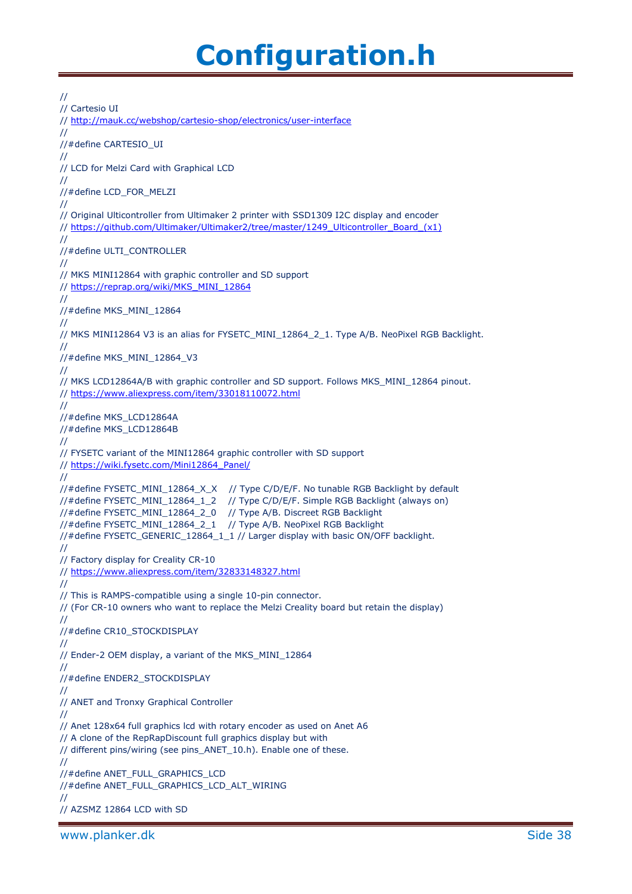```
//
// Cartesio UI
// http://mauk.cc/webshop/cartesio-shop/electronics/user-interface
//
//#define CARTESIO_UI
//
// LCD for Melzi Card with Graphical LCD
//
//#define LCD_FOR_MELZI
//
// Original Ulticontroller from Ultimaker 2 printer with SSD1309 I2C display and encoder
// https://github.com/Ultimaker/Ultimaker2/tree/master/1249_Ulticontroller_Board_(x1)
//
//#define ULTI_CONTROLLER
//
// MKS MINI12864 with graphic controller and SD support
// https://reprap.org/wiki/MKS_MINI_12864
//
//#define MKS_MINI_12864
//
// MKS MINI12864 V3 is an alias for FYSETC_MINI_12864_2_1. Type A/B. NeoPixel RGB Backlight.
//
//#define MKS_MINI_12864_V3
//
// MKS LCD12864A/B with graphic controller and SD support. Follows MKS_MINI_12864 pinout.
// https://www.aliexpress.com/item/33018110072.html
//
//#define MKS_LCD12864A
//#define MKS_LCD12864B
//
// FYSETC variant of the MINI12864 graphic controller with SD support
// https://wiki.fysetc.com/Mini12864_Panel/
//
//#define FYSETC_MINI_12864_X_X // Type C/D/E/F. No tunable RGB Backlight by default
//#define FYSETC_MINI_12864_1_2 // Type C/D/E/F. Simple RGB Backlight (always on)
//#define FYSETC_MINI_12864_2_0 // Type A/B. Discreet RGB Backlight
//#define FYSETC_MINI_12864_2_1 // Type A/B. NeoPixel RGB Backlight
//#define FYSETC_GENERIC_12864_1_1 // Larger display with basic ON/OFF backlight.
//
// Factory display for Creality CR-10
// https://www.aliexpress.com/item/32833148327.html
//
// This is RAMPS-compatible using a single 10-pin connector.
// (For CR-10 owners who want to replace the Melzi Creality board but retain the display)
//
//#define CR10_STOCKDISPLAY
//
// Ender-2 OEM display, a variant of the MKS_MINI_12864
//
//#define ENDER2_STOCKDISPLAY
//
// ANET and Tronxy Graphical Controller
//
// Anet 128x64 full graphics lcd with rotary encoder as used on Anet A6
// A clone of the RepRapDiscount full graphics display but with
// different pins/wiring (see pins_ANET_10.h). Enable one of these.
//
//#define ANET_FULL_GRAPHICS_LCD
//#define ANET_FULL_GRAPHICS_LCD_ALT_WIRING
//
// AZSMZ 12864 LCD with SD
```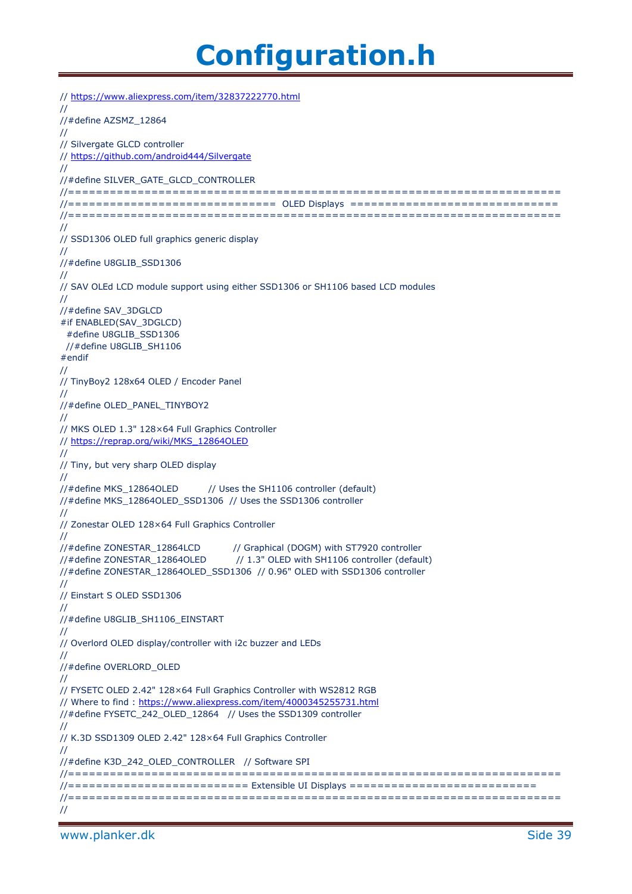```
// https://www.aliexpress.com/item/32837222770.html
//
//#define AZSMZ_12864
//
// Silvergate GLCD controller
// https://github.com/android444/Silvergate
//
//#define SILVER_GATE_GLCD_CONTROLLER
//=======================================================================
//============================== OLED Displays ==============================
//=======================================================================
//
// SSD1306 OLED full graphics generic display
//
//#define U8GLIB_SSD1306
//
// SAV OLEd LCD module support using either SSD1306 or SH1106 based LCD modules
//
//#define SAV_3DGLCD
#if ENABLED(SAV_3DGLCD)
 #define U8GLIB_SSD1306
  //#define U8GLIB_SH1106
#endif
//
// TinyBoy2 128x64 OLED / Encoder Panel
//
//#define OLED_PANEL_TINYBOY2
//
// MKS OLED 1.3" 128×64 Full Graphics Controller
// https://reprap.org/wiki/MKS_12864OLED
//
// Tiny, but very sharp OLED display
//
//#define MKS_12864OLED // Uses the SH1106 controller (default)
//#define MKS_12864OLED_SSD1306 // Uses the SSD1306 controller
//
// Zonestar OLED 128×64 Full Graphics Controller
//
//#define ZONESTAR_12864LCD // Graphical (DOGM) with ST7920 controller
//#define ZONESTAR_12864OLED // 1.3" OLED with SH1106 controller (default)
//#define ZONESTAR_12864OLED_SSD1306 // 0.96" OLED with SSD1306 controller
//
// Einstart S OLED SSD1306
//
//#define U8GLIB_SH1106_EINSTART
//
// Overlord OLED display/controller with i2c buzzer and LEDs
//
//#define OVERLORD_OLED
//
// FYSETC OLED 2.42" 128×64 Full Graphics Controller with WS2812 RGB
// Where to find : https://www.aliexpress.com/item/4000345255731.html
//#define FYSETC_242_OLED_12864 // Uses the SSD1309 controller
//
// K.3D SSD1309 OLED 2.42" 128×64 Full Graphics Controller
//
//#define K3D_242_OLED_CONTROLLER // Software SPI
//=======================================================================
//========================== Extensible UI Displays ===========================
//=======================================================================
//
```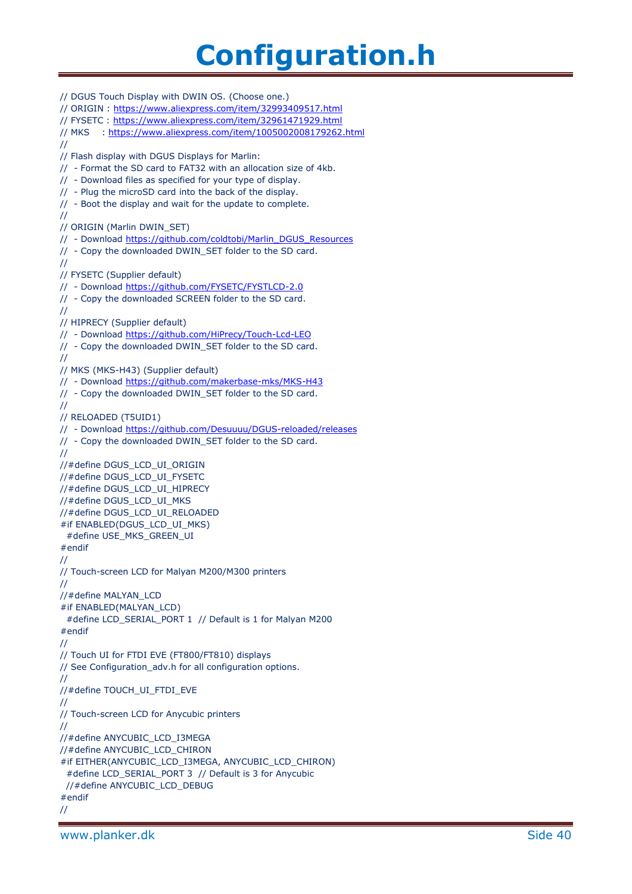// DGUS Touch Display with DWIN OS. (Choose one.) // ORIGIN :<https://www.aliexpress.com/item/32993409517.html> // FYSETC :<https://www.aliexpress.com/item/32961471929.html> // MKS :<https://www.aliexpress.com/item/1005002008179262.html> // // Flash display with DGUS Displays for Marlin: // - Format the SD card to FAT32 with an allocation size of 4kb. // - Download files as specified for your type of display. // - Plug the microSD card into the back of the display. // - Boot the display and wait for the update to complete. // // ORIGIN (Marlin DWIN\_SET) // - Download [https://github.com/coldtobi/Marlin\\_DGUS\\_Resources](https://github.com/coldtobi/Marlin_DGUS_Resources) // - Copy the downloaded DWIN\_SET folder to the SD card. // // FYSETC (Supplier default) // - Download<https://github.com/FYSETC/FYSTLCD-2.0> // - Copy the downloaded SCREEN folder to the SD card. // // HIPRECY (Supplier default) // - Download<https://github.com/HiPrecy/Touch-Lcd-LEO> // - Copy the downloaded DWIN\_SET folder to the SD card. // // MKS (MKS-H43) (Supplier default) // - Download<https://github.com/makerbase-mks/MKS-H43> // - Copy the downloaded DWIN\_SET folder to the SD card. // // RELOADED (T5UID1) // - Download<https://github.com/Desuuuu/DGUS-reloaded/releases> // - Copy the downloaded DWIN\_SET folder to the SD card. // //#define DGUS\_LCD\_UI\_ORIGIN //#define DGUS\_LCD\_UI\_FYSETC //#define DGUS\_LCD\_UI\_HIPRECY //#define DGUS\_LCD\_UI\_MKS //#define DGUS\_LCD\_UI\_RELOADED #if ENABLED(DGUS\_LCD\_UI\_MKS) #define USE\_MKS\_GREEN\_UI #endif // // Touch-screen LCD for Malyan M200/M300 printers // //#define MALYAN\_LCD #if ENABLED(MALYAN\_LCD) #define LCD\_SERIAL\_PORT 1 // Default is 1 for Malyan M200 #endif // // Touch UI for FTDI EVE (FT800/FT810) displays // See Configuration\_adv.h for all configuration options. // //#define TOUCH\_UI\_FTDI\_EVE // // Touch-screen LCD for Anycubic printers // //#define ANYCUBIC\_LCD\_I3MEGA //#define ANYCUBIC\_LCD\_CHIRON #if EITHER(ANYCUBIC\_LCD\_I3MEGA, ANYCUBIC\_LCD\_CHIRON) #define LCD\_SERIAL\_PORT 3 // Default is 3 for Anycubic //#define ANYCUBIC\_LCD\_DEBUG #endif //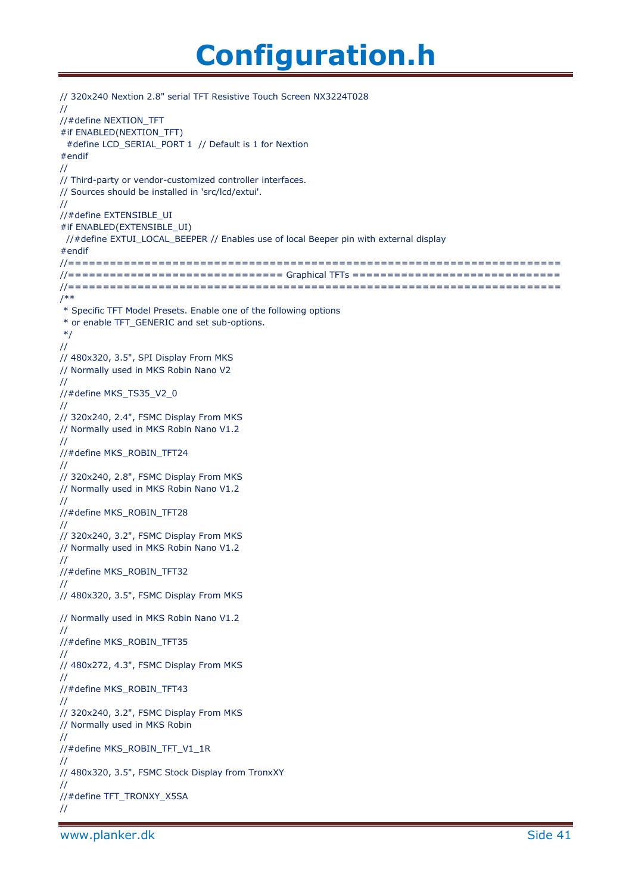```
// 320x240 Nextion 2.8" serial TFT Resistive Touch Screen NX3224T028
//
//#define NEXTION_TFT
#if ENABLED(NEXTION_TFT)
  #define LCD_SERIAL_PORT 1 // Default is 1 for Nextion
#endif
//
// Third-party or vendor-customized controller interfaces.
// Sources should be installed in 'src/lcd/extui'.
//
//#define EXTENSIBLE_UI
#if ENABLED(EXTENSIBLE_UI)
 //#define EXTUI_LOCAL_BEEPER // Enables use of local Beeper pin with external display
#endif
//=======================================================================
//=============================== Graphical TFTs ==============================
//=======================================================================
/**
* Specific TFT Model Presets. Enable one of the following options
* or enable TFT_GENERIC and set sub-options.
*/
//
// 480x320, 3.5", SPI Display From MKS
// Normally used in MKS Robin Nano V2
//
//#define MKS_TS35_V2_0
//
// 320x240, 2.4", FSMC Display From MKS
// Normally used in MKS Robin Nano V1.2
//
//#define MKS_ROBIN_TFT24
//
// 320x240, 2.8", FSMC Display From MKS
// Normally used in MKS Robin Nano V1.2
//
//#define MKS_ROBIN_TFT28
//
// 320x240, 3.2", FSMC Display From MKS
// Normally used in MKS Robin Nano V1.2
//
//#define MKS_ROBIN_TFT32
//
// 480x320, 3.5", FSMC Display From MKS
// Normally used in MKS Robin Nano V1.2
//
//#define MKS_ROBIN_TFT35
//
// 480x272, 4.3", FSMC Display From MKS
//
//#define MKS_ROBIN_TFT43
//
// 320x240, 3.2", FSMC Display From MKS
// Normally used in MKS Robin
//
//#define MKS_ROBIN_TFT_V1_1R
//
// 480x320, 3.5", FSMC Stock Display from TronxXY
//
//#define TFT_TRONXY_X5SA
//
```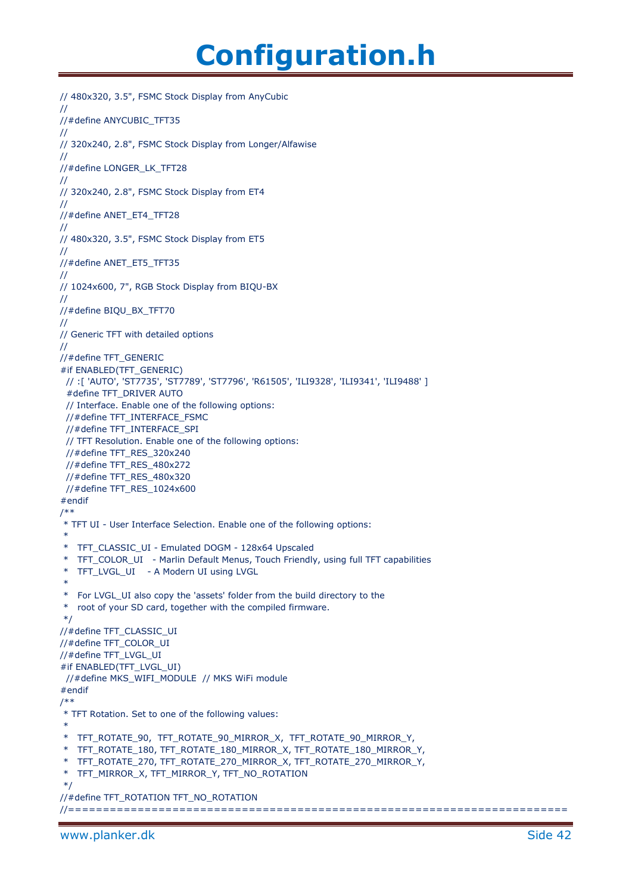```
// 480x320, 3.5", FSMC Stock Display from AnyCubic
//
//#define ANYCUBIC_TFT35
//
// 320x240, 2.8", FSMC Stock Display from Longer/Alfawise
//
//#define LONGER_LK_TFT28
//
// 320x240, 2.8", FSMC Stock Display from ET4
//
//#define ANET_ET4_TFT28
//
// 480x320, 3.5", FSMC Stock Display from ET5
//
//#define ANET_ET5_TFT35
//
// 1024x600, 7", RGB Stock Display from BIQU-BX
//
//#define BIQU_BX_TFT70
//
// Generic TFT with detailed options
//
//#define TFT_GENERIC
#if ENABLED(TFT_GENERIC)
  // :[ 'AUTO', 'ST7735', 'ST7789', 'ST7796', 'R61505', 'ILI9328', 'ILI9341', 'ILI9488' ]
  #define TFT_DRIVER AUTO
  // Interface. Enable one of the following options:
  //#define TFT_INTERFACE_FSMC
  //#define TFT_INTERFACE_SPI
  // TFT Resolution. Enable one of the following options:
  //#define TFT_RES_320x240
  //#define TFT_RES_480x272
  //#define TFT_RES_480x320
  //#define TFT_RES_1024x600
#endif
/**
* TFT UI - User Interface Selection. Enable one of the following options:
 *
* TFT_CLASSIC_UI - Emulated DOGM - 128x64 Upscaled
* TFT_COLOR_UI - Marlin Default Menus, Touch Friendly, using full TFT capabilities
* TFT_LVGL_UI - A Modern UI using LVGL
 *
* For LVGL_UI also copy the 'assets' folder from the build directory to the
* root of your SD card, together with the compiled firmware.
*/
//#define TFT_CLASSIC_UI
//#define TFT_COLOR_UI
//#define TFT_LVGL_UI
#if ENABLED(TFT_LVGL_UI)
  //#define MKS_WIFI_MODULE // MKS WiFi module
#endif
/**
* TFT Rotation. Set to one of the following values:
*
* TFT_ROTATE_90, TFT_ROTATE_90_MIRROR_X, TFT_ROTATE_90_MIRROR_Y,
* TFT_ROTATE_180, TFT_ROTATE_180_MIRROR_X, TFT_ROTATE_180_MIRROR_Y,
* TFT_ROTATE_270, TFT_ROTATE_270_MIRROR_X, TFT_ROTATE_270_MIRROR_Y,
* TFT_MIRROR_X, TFT_MIRROR_Y, TFT_NO_ROTATION
*/
//#define TFT_ROTATION TFT_NO_ROTATION
//========================================================================
```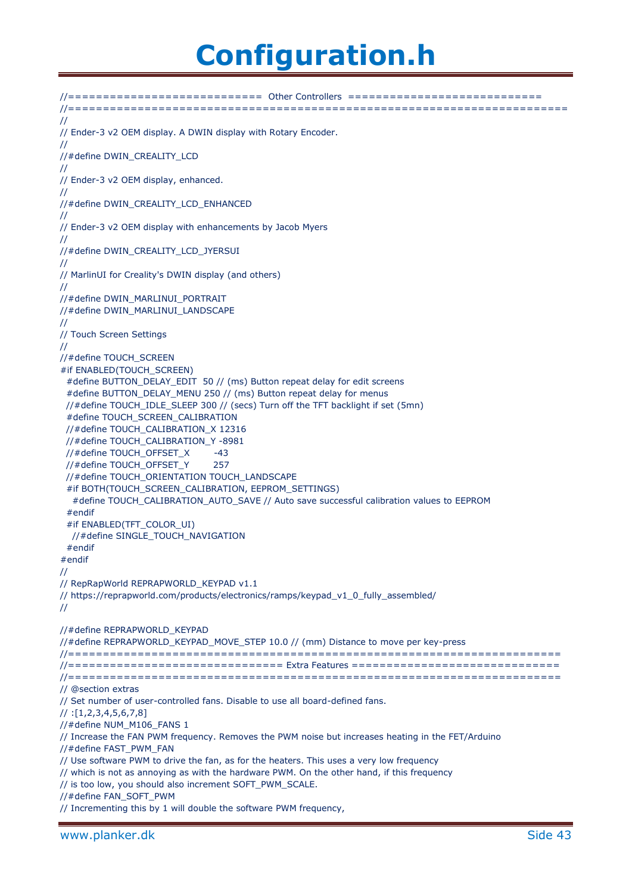//============================ Other Controllers ============================ //======================================================================== // // Ender-3 v2 OEM display. A DWIN display with Rotary Encoder. // //#define DWIN\_CREALITY\_LCD // // Ender-3 v2 OEM display, enhanced. // //#define DWIN\_CREALITY\_LCD\_ENHANCED // // Ender-3 v2 OEM display with enhancements by Jacob Myers // //#define DWIN\_CREALITY\_LCD\_JYERSUI // // MarlinUI for Creality's DWIN display (and others) // //#define DWIN\_MARLINUI\_PORTRAIT //#define DWIN\_MARLINUI\_LANDSCAPE // // Touch Screen Settings // //#define TOUCH\_SCREEN #if ENABLED(TOUCH\_SCREEN) #define BUTTON\_DELAY\_EDIT\_50 // (ms) Button repeat delay for edit screens #define BUTTON\_DELAY\_MENU 250 // (ms) Button repeat delay for menus //#define TOUCH\_IDLE\_SLEEP 300 // (secs) Turn off the TFT backlight if set (5mn) #define TOUCH\_SCREEN\_CALIBRATION //#define TOUCH\_CALIBRATION\_X 12316 //#define TOUCH\_CALIBRATION\_Y -8981 //#define TOUCH\_OFFSET\_X -43 //#define TOUCH OFFSET Y 257 //#define TOUCH\_ORIENTATION TOUCH\_LANDSCAPE #if BOTH(TOUCH\_SCREEN\_CALIBRATION, EEPROM\_SETTINGS) #define TOUCH\_CALIBRATION\_AUTO\_SAVE // Auto save successful calibration values to EEPROM #endif #if ENABLED(TFT\_COLOR\_UI) //#define SINGLE\_TOUCH\_NAVIGATION #endif #endif // // RepRapWorld REPRAPWORLD\_KEYPAD v1.1 // https://reprapworld.com/products/electronics/ramps/keypad\_v1\_0\_fully\_assembled/ // //#define REPRAPWORLD\_KEYPAD //#define REPRAPWORLD\_KEYPAD\_MOVE\_STEP 10.0 // (mm) Distance to move per key-press //======================================================================= //=============================== Extra Features ============================== //======================================================================= // @section extras // Set number of user-controlled fans. Disable to use all board-defined fans. // :[1,2,3,4,5,6,7,8] //#define NUM\_M106\_FANS 1 // Increase the FAN PWM frequency. Removes the PWM noise but increases heating in the FET/Arduino //#define FAST\_PWM\_FAN // Use software PWM to drive the fan, as for the heaters. This uses a very low frequency // which is not as annoying as with the hardware PWM. On the other hand, if this frequency // is too low, you should also increment SOFT\_PWM\_SCALE. //#define FAN\_SOFT\_PWM // Incrementing this by 1 will double the software PWM frequency,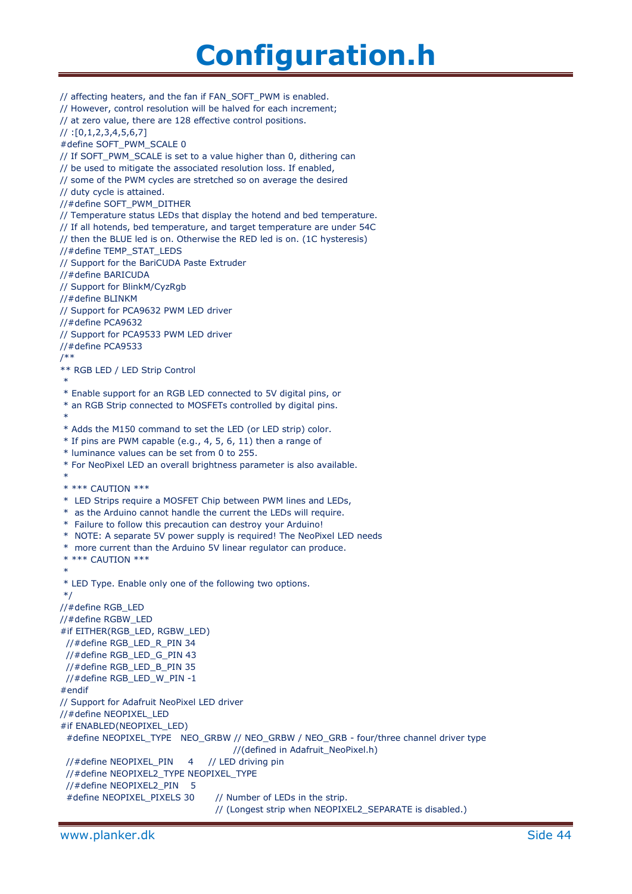// affecting heaters, and the fan if FAN\_SOFT\_PWM is enabled. // However, control resolution will be halved for each increment; // at zero value, there are 128 effective control positions.  $1/$ : [0,1,2,3,4,5,6,7] #define SOFT\_PWM\_SCALE 0 // If SOFT\_PWM\_SCALE is set to a value higher than 0, dithering can // be used to mitigate the associated resolution loss. If enabled, // some of the PWM cycles are stretched so on average the desired // duty cycle is attained. //#define SOFT\_PWM\_DITHER // Temperature status LEDs that display the hotend and bed temperature. // If all hotends, bed temperature, and target temperature are under 54C // then the BLUE led is on. Otherwise the RED led is on. (1C hysteresis) //#define TEMP\_STAT\_LEDS // Support for the BariCUDA Paste Extruder //#define BARICUDA // Support for BlinkM/CyzRgb //#define BLINKM // Support for PCA9632 PWM LED driver //#define PCA9632 // Support for PCA9533 PWM LED driver //#define PCA9533 /\*\* \*\* RGB LED / LED Strip Control \* \* Enable support for an RGB LED connected to 5V digital pins, or \* an RGB Strip connected to MOSFETs controlled by digital pins. \* \* Adds the M150 command to set the LED (or LED strip) color.  $*$  If pins are PWM capable (e.g., 4, 5, 6, 11) then a range of \* luminance values can be set from 0 to 255. \* For NeoPixel LED an overall brightness parameter is also available. \* \* \*\*\* CAUTION \*\*\* \* LED Strips require a MOSFET Chip between PWM lines and LEDs, \* as the Arduino cannot handle the current the LEDs will require. \* Failure to follow this precaution can destroy your Arduino! \* NOTE: A separate 5V power supply is required! The NeoPixel LED needs \* more current than the Arduino 5V linear regulator can produce. \* \*\*\* CAUTION \*\*\* \* \* LED Type. Enable only one of the following two options. \*/ //#define RGB\_LED //#define RGBW\_LED #if EITHER(RGB\_LED, RGBW\_LED) //#define RGB\_LED\_R\_PIN 34 //#define RGB\_LED\_G\_PIN 43 //#define RGB\_LED\_B\_PIN 35 //#define RGB\_LED\_W\_PIN -1 #endif // Support for Adafruit NeoPixel LED driver //#define NEOPIXEL\_LED #if ENABLED(NEOPIXEL\_LED) #define NEOPIXEL\_TYPE NEO\_GRBW // NEO\_GRBW / NEO\_GRB - four/three channel driver type //(defined in Adafruit\_NeoPixel.h) //#define NEOPIXEL\_PIN  $4$  // LED driving pin //#define NEOPIXEL2\_TYPE NEOPIXEL\_TYPE //#define NEOPIXEL2\_PIN 5 #define NEOPIXEL PIXELS 30 // Number of LEDs in the strip. // (Longest strip when NEOPIXEL2\_SEPARATE is disabled.)